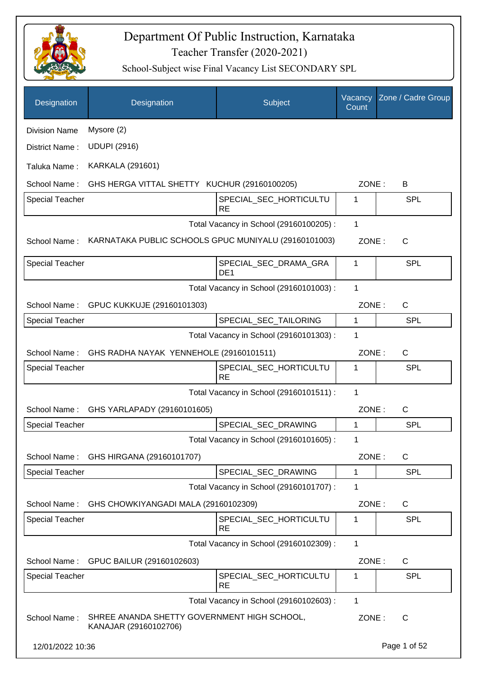

| Designation            | Designation                                                          | Subject                                  | Vacancy<br>Count | Zone / Cadre Group |
|------------------------|----------------------------------------------------------------------|------------------------------------------|------------------|--------------------|
| <b>Division Name</b>   | Mysore (2)                                                           |                                          |                  |                    |
| District Name:         | <b>UDUPI (2916)</b>                                                  |                                          |                  |                    |
| Taluka Name:           | <b>KARKALA (291601)</b>                                              |                                          |                  |                    |
| School Name:           | GHS HERGA VITTAL SHETTY KUCHUR (29160100205)                         |                                          | ZONE:            | B                  |
| <b>Special Teacher</b> |                                                                      | SPECIAL_SEC_HORTICULTU<br><b>RE</b>      | 1                | <b>SPL</b>         |
|                        |                                                                      | Total Vacancy in School (29160100205) :  | 1                |                    |
| School Name:           | KARNATAKA PUBLIC SCHOOLS GPUC MUNIYALU (29160101003)                 |                                          | ZONE:            | $\mathsf{C}$       |
| Special Teacher        |                                                                      | SPECIAL_SEC_DRAMA_GRA<br>DE <sub>1</sub> | 1                | <b>SPL</b>         |
|                        |                                                                      | Total Vacancy in School (29160101003) :  | $\mathbf{1}$     |                    |
| School Name:           | GPUC KUKKUJE (29160101303)                                           |                                          | ZONE:            | $\mathsf{C}$       |
| <b>Special Teacher</b> |                                                                      | SPECIAL_SEC_TAILORING                    | 1                | SPL                |
|                        |                                                                      | Total Vacancy in School (29160101303) :  | 1                |                    |
| School Name:           | GHS RADHA NAYAK YENNEHOLE (29160101511)                              |                                          | ZONE:            | $\mathsf C$        |
| Special Teacher        |                                                                      | SPECIAL_SEC_HORTICULTU<br><b>RE</b>      | 1                | <b>SPL</b>         |
|                        |                                                                      | Total Vacancy in School (29160101511) :  | 1                |                    |
| School Name:           | GHS YARLAPADY (29160101605)                                          |                                          | ZONE:            | C                  |
| <b>Special Teacher</b> |                                                                      | SPECIAL_SEC_DRAWING                      | 1                | <b>SPL</b>         |
|                        |                                                                      | Total Vacancy in School (29160101605) :  | 1                |                    |
| School Name:           | GHS HIRGANA (29160101707)                                            |                                          | ZONE:            | $\mathsf C$        |
| <b>Special Teacher</b> |                                                                      | SPECIAL_SEC_DRAWING                      | 1                | <b>SPL</b>         |
|                        |                                                                      | Total Vacancy in School (29160101707) :  | 1                |                    |
| School Name:           | GHS CHOWKIYANGADI MALA (29160102309)                                 |                                          | ZONE:            | $\mathsf C$        |
| <b>Special Teacher</b> |                                                                      | SPECIAL SEC HORTICULTU<br><b>RE</b>      | 1                | <b>SPL</b>         |
|                        |                                                                      | Total Vacancy in School (29160102309) :  | 1                |                    |
| School Name:           | GPUC BAILUR (29160102603)                                            |                                          | ZONE:            | C                  |
| <b>Special Teacher</b> |                                                                      | SPECIAL_SEC_HORTICULTU<br><b>RE</b>      | 1                | <b>SPL</b>         |
|                        |                                                                      | Total Vacancy in School (29160102603) :  | $\mathbf{1}$     |                    |
| School Name:           | SHREE ANANDA SHETTY GOVERNMENT HIGH SCHOOL,<br>KANAJAR (29160102706) |                                          | ZONE:            | $\mathsf{C}$       |
| 12/01/2022 10:36       |                                                                      |                                          |                  | Page 1 of 52       |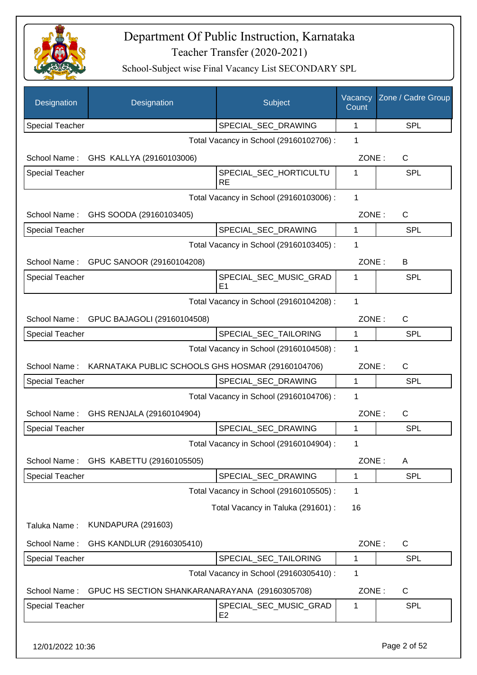

| Designation            | Designation                                       | Subject                                  | Vacancy<br>Count | Zone / Cadre Group |
|------------------------|---------------------------------------------------|------------------------------------------|------------------|--------------------|
| <b>Special Teacher</b> |                                                   | SPECIAL_SEC_DRAWING                      | 1                | <b>SPL</b>         |
|                        |                                                   | Total Vacancy in School (29160102706) :  | 1                |                    |
| School Name:           | GHS KALLYA (29160103006)                          |                                          | ZONE:            | C                  |
| <b>Special Teacher</b> |                                                   | SPECIAL_SEC_HORTICULTU<br><b>RE</b>      | 1                | SPL                |
|                        |                                                   | Total Vacancy in School (29160103006) :  | 1                |                    |
| School Name:           | GHS SOODA (29160103405)                           |                                          | ZONE:            | $\mathsf{C}$       |
| Special Teacher        |                                                   | SPECIAL_SEC_DRAWING                      | 1                | <b>SPL</b>         |
|                        |                                                   | Total Vacancy in School (29160103405) :  | 1                |                    |
| School Name:           | GPUC SANOOR (29160104208)                         |                                          | ZONE:            | В                  |
| <b>Special Teacher</b> |                                                   | SPECIAL_SEC_MUSIC_GRAD<br>E1             | 1                | <b>SPL</b>         |
|                        |                                                   | Total Vacancy in School (29160104208) :  | 1                |                    |
| School Name:           | GPUC BAJAGOLI (29160104508)                       |                                          | ZONE:            | $\mathsf{C}$       |
| <b>Special Teacher</b> |                                                   | SPECIAL_SEC_TAILORING                    | 1                | <b>SPL</b>         |
|                        |                                                   | Total Vacancy in School (29160104508) :  | 1                |                    |
| School Name:           | KARNATAKA PUBLIC SCHOOLS GHS HOSMAR (29160104706) |                                          | ZONE:            | $\mathsf{C}$       |
| Special Teacher        |                                                   | SPECIAL_SEC_DRAWING                      | $\mathbf 1$      | <b>SPL</b>         |
|                        |                                                   | Total Vacancy in School (29160104706) :  | 1                |                    |
| School Name:           | GHS RENJALA (29160104904)                         |                                          | ZONE:            | C                  |
| Special Teacher        |                                                   | SPECIAL_SEC_DRAWING                      | 1                | SPL                |
|                        |                                                   | Total Vacancy in School (29160104904) :  |                  |                    |
| School Name:           | GHS KABETTU (29160105505)                         |                                          | ZONE:            | A                  |
| <b>Special Teacher</b> |                                                   | SPECIAL_SEC_DRAWING                      | 1                | <b>SPL</b>         |
|                        |                                                   | Total Vacancy in School (29160105505) :  | 1                |                    |
|                        |                                                   | Total Vacancy in Taluka (291601) :       | 16               |                    |
| Taluka Name:           | KUNDAPURA (291603)                                |                                          |                  |                    |
| School Name:           | GHS KANDLUR (29160305410)                         |                                          | ZONE:            | C                  |
| Special Teacher        |                                                   | SPECIAL_SEC_TAILORING                    | 1                | <b>SPL</b>         |
|                        |                                                   | Total Vacancy in School (29160305410) :  | 1                |                    |
| School Name:           | GPUC HS SECTION SHANKARANARAYANA (29160305708)    |                                          | ZONE:            | C                  |
| Special Teacher        |                                                   | SPECIAL_SEC_MUSIC_GRAD<br>E <sub>2</sub> | 1                | <b>SPL</b>         |
| 12/01/2022 10:36       |                                                   |                                          |                  | Page 2 of 52       |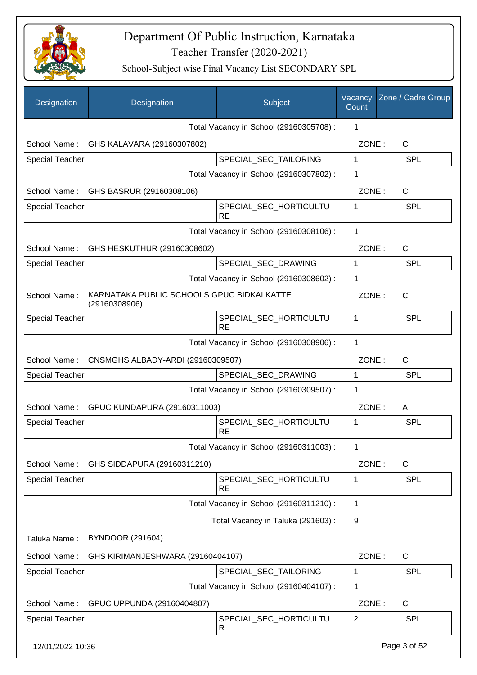

| Designation            | Designation                                                | Subject                                 | Vacancy<br>Count | Zone / Cadre Group |
|------------------------|------------------------------------------------------------|-----------------------------------------|------------------|--------------------|
|                        |                                                            | Total Vacancy in School (29160305708) : | 1                |                    |
|                        | School Name: GHS KALAVARA (29160307802)                    |                                         | ZONE:            | $\mathsf{C}$       |
| Special Teacher        |                                                            | SPECIAL_SEC_TAILORING                   | $\mathbf{1}$     | <b>SPL</b>         |
|                        |                                                            | Total Vacancy in School (29160307802) : | 1                |                    |
|                        | School Name: GHS BASRUR (29160308106)                      |                                         | ZONE:            | $\mathsf{C}$       |
| <b>Special Teacher</b> |                                                            | SPECIAL_SEC_HORTICULTU<br><b>RE</b>     | 1                | <b>SPL</b>         |
|                        |                                                            | Total Vacancy in School (29160308106) : | 1                |                    |
|                        | School Name: GHS HESKUTHUR (29160308602)                   |                                         | ZONE:            | $\mathsf{C}$       |
| <b>Special Teacher</b> |                                                            | SPECIAL_SEC_DRAWING                     | 1                | <b>SPL</b>         |
|                        |                                                            | Total Vacancy in School (29160308602) : | 1                |                    |
| School Name:           | KARNATAKA PUBLIC SCHOOLS GPUC BIDKALKATTE<br>(29160308906) |                                         | ZONE:            | C                  |
| <b>Special Teacher</b> |                                                            | SPECIAL_SEC_HORTICULTU<br><b>RE</b>     | 1                | <b>SPL</b>         |
|                        |                                                            | Total Vacancy in School (29160308906) : | 1                |                    |
| School Name:           | CNSMGHS ALBADY-ARDI (29160309507)                          |                                         | ZONE:            | $\mathsf{C}$       |
| <b>Special Teacher</b> |                                                            | SPECIAL_SEC_DRAWING                     | $\mathbf{1}$     | <b>SPL</b>         |
|                        |                                                            | Total Vacancy in School (29160309507) : | 1                |                    |
|                        | School Name: GPUC KUNDAPURA (29160311003)                  |                                         | ZONE:            | A                  |
| <b>Special Teacher</b> |                                                            | SPECIAL_SEC_HORTICULTU<br><b>RE</b>     | 1                | SPL                |
|                        |                                                            | Total Vacancy in School (29160311003) : | 1                |                    |
| School Name:           | GHS SIDDAPURA (29160311210)                                |                                         | ZONE:            | C                  |
| <b>Special Teacher</b> |                                                            | SPECIAL_SEC_HORTICULTU<br><b>RE</b>     | 1                | SPL                |
|                        |                                                            | Total Vacancy in School (29160311210) : | 1                |                    |
|                        |                                                            | Total Vacancy in Taluka (291603) :      | 9                |                    |
| Taluka Name:           | <b>BYNDOOR (291604)</b>                                    |                                         |                  |                    |
| School Name:           | GHS KIRIMANJESHWARA (29160404107)                          |                                         | ZONE:            | C                  |
| Special Teacher        |                                                            | SPECIAL_SEC_TAILORING                   | $\mathbf 1$      | <b>SPL</b>         |
|                        |                                                            | Total Vacancy in School (29160404107) : | 1                |                    |
| School Name:           | GPUC UPPUNDA (29160404807)                                 |                                         | ZONE:            | C                  |
| <b>Special Teacher</b> |                                                            | SPECIAL_SEC_HORTICULTU<br>R             | $\overline{2}$   | SPL                |
| 12/01/2022 10:36       |                                                            |                                         |                  | Page 3 of 52       |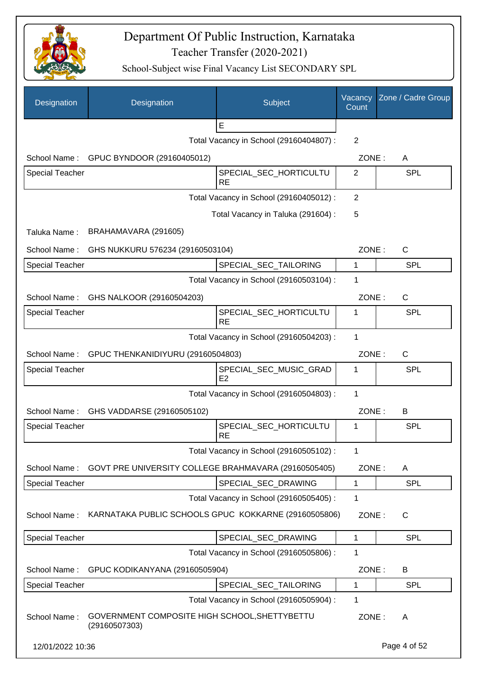

| Designation            | Designation                                                    | Subject                                  | Vacancy<br>Count | Zone / Cadre Group |
|------------------------|----------------------------------------------------------------|------------------------------------------|------------------|--------------------|
|                        |                                                                | E                                        |                  |                    |
|                        |                                                                | Total Vacancy in School (29160404807) :  | 2                |                    |
| School Name:           | GPUC BYNDOOR (29160405012)                                     |                                          | ZONE:            | A                  |
| <b>Special Teacher</b> |                                                                | SPECIAL_SEC_HORTICULTU<br><b>RE</b>      | 2                | <b>SPL</b>         |
|                        |                                                                | Total Vacancy in School (29160405012) :  | $\overline{2}$   |                    |
|                        |                                                                | Total Vacancy in Taluka (291604) :       | 5                |                    |
| Taluka Name:           | BRAHAMAVARA (291605)                                           |                                          |                  |                    |
| School Name:           | GHS NUKKURU 576234 (29160503104)                               |                                          | ZONE:            | $\mathsf{C}$       |
| <b>Special Teacher</b> |                                                                | SPECIAL_SEC_TAILORING                    | 1                | <b>SPL</b>         |
|                        |                                                                | Total Vacancy in School (29160503104) :  | 1                |                    |
|                        | School Name: GHS NALKOOR (29160504203)                         |                                          | ZONE:            | $\mathsf{C}$       |
| <b>Special Teacher</b> |                                                                | SPECIAL SEC HORTICULTU<br><b>RE</b>      | 1                | <b>SPL</b>         |
|                        |                                                                | Total Vacancy in School (29160504203) :  | 1                |                    |
|                        | School Name: GPUC THENKANIDIYURU (29160504803)                 |                                          | ZONE:            | C                  |
| <b>Special Teacher</b> |                                                                | SPECIAL_SEC_MUSIC_GRAD<br>E <sub>2</sub> | 1                | <b>SPL</b>         |
|                        |                                                                | Total Vacancy in School (29160504803) :  | 1                |                    |
| School Name:           | GHS VADDARSE (29160505102)                                     |                                          | ZONE:            | B                  |
| <b>Special Teacher</b> |                                                                | SPECIAL_SEC_HORTICULTU<br><b>RE</b>      | 1                | SPL                |
|                        |                                                                | Total Vacancy in School (29160505102) :  | 1                |                    |
| School Name:           | GOVT PRE UNIVERSITY COLLEGE BRAHMAVARA (29160505405)           |                                          | ZONE:            | A                  |
| Special Teacher        |                                                                | SPECIAL_SEC_DRAWING                      | 1                | <b>SPL</b>         |
|                        |                                                                | Total Vacancy in School (29160505405) :  | 1                |                    |
| School Name:           | KARNATAKA PUBLIC SCHOOLS GPUC KOKKARNE (29160505806)           |                                          | ZONE:            | $\mathsf{C}$       |
| <b>Special Teacher</b> |                                                                | SPECIAL_SEC_DRAWING                      | 1                | <b>SPL</b>         |
|                        |                                                                | Total Vacancy in School (29160505806) :  | 1                |                    |
| School Name:           | GPUC KODIKANYANA (29160505904)                                 |                                          | ZONE:            | B                  |
| <b>Special Teacher</b> |                                                                | SPECIAL_SEC_TAILORING                    | 1                | <b>SPL</b>         |
|                        |                                                                | Total Vacancy in School (29160505904) :  | 1                |                    |
| School Name:           | GOVERNMENT COMPOSITE HIGH SCHOOL, SHETTYBETTU<br>(29160507303) |                                          | ZONE:            | Α                  |
| 12/01/2022 10:36       |                                                                |                                          |                  | Page 4 of 52       |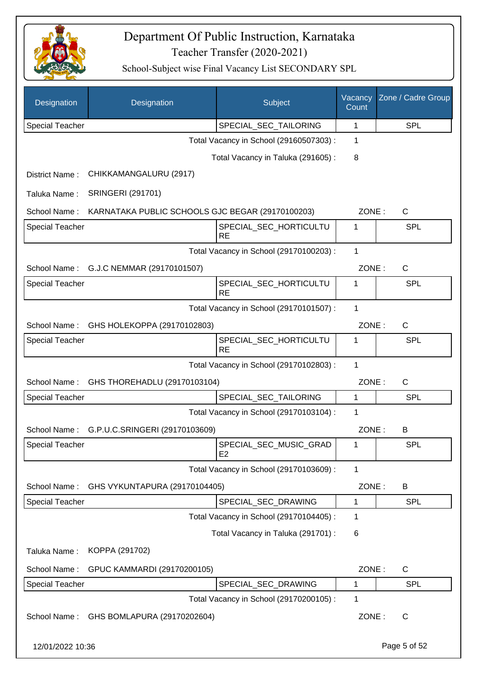

| Designation            | Designation                                      | Subject                                  | Vacancy<br>Count | Zone / Cadre Group |
|------------------------|--------------------------------------------------|------------------------------------------|------------------|--------------------|
| <b>Special Teacher</b> |                                                  | SPECIAL_SEC_TAILORING                    | 1                | <b>SPL</b>         |
|                        |                                                  | Total Vacancy in School (29160507303) :  | 1                |                    |
|                        |                                                  | Total Vacancy in Taluka (291605):        | 8                |                    |
| District Name:         | CHIKKAMANGALURU (2917)                           |                                          |                  |                    |
| Taluka Name:           | <b>SRINGERI (291701)</b>                         |                                          |                  |                    |
| School Name:           | KARNATAKA PUBLIC SCHOOLS GJC BEGAR (29170100203) |                                          | ZONE:            | C                  |
| <b>Special Teacher</b> |                                                  | SPECIAL_SEC_HORTICULTU<br><b>RE</b>      | 1                | <b>SPL</b>         |
|                        |                                                  | Total Vacancy in School (29170100203) :  | 1                |                    |
| School Name:           | G.J.C NEMMAR (29170101507)                       |                                          | ZONE:            | C                  |
| Special Teacher        |                                                  | SPECIAL_SEC_HORTICULTU<br><b>RE</b>      | 1                | <b>SPL</b>         |
|                        |                                                  | Total Vacancy in School (29170101507) :  | 1                |                    |
| School Name:           | GHS HOLEKOPPA (29170102803)                      |                                          | ZONE:            | $\mathsf{C}$       |
| <b>Special Teacher</b> |                                                  | SPECIAL_SEC_HORTICULTU<br><b>RE</b>      | 1                | <b>SPL</b>         |
|                        |                                                  | Total Vacancy in School (29170102803) :  | 1                |                    |
| School Name:           | GHS THOREHADLU (29170103104)                     |                                          | ZONE:            | $\mathsf{C}$       |
| <b>Special Teacher</b> |                                                  | SPECIAL_SEC_TAILORING                    | 1                | <b>SPL</b>         |
|                        |                                                  | Total Vacancy in School (29170103104) :  | 1                |                    |
|                        | School Name: G.P.U.C.SRINGERI (29170103609)      |                                          | ZONE:            | B                  |
| Special Teacher        |                                                  | SPECIAL_SEC_MUSIC_GRAD<br>E <sub>2</sub> | 1                | <b>SPL</b>         |
|                        |                                                  | Total Vacancy in School (29170103609) :  | $\mathbf{1}$     |                    |
| School Name:           | GHS VYKUNTAPURA (29170104405)                    |                                          | ZONE:            | B                  |
| Special Teacher        |                                                  | SPECIAL_SEC_DRAWING                      | $\mathbf 1$      | <b>SPL</b>         |
|                        |                                                  | Total Vacancy in School (29170104405) :  | 1                |                    |
|                        |                                                  | Total Vacancy in Taluka (291701) :       | 6                |                    |
| Taluka Name:           | KOPPA (291702)                                   |                                          |                  |                    |
| School Name:           | GPUC KAMMARDI (29170200105)                      |                                          | ZONE:            | $\mathsf{C}$       |
| <b>Special Teacher</b> |                                                  | SPECIAL_SEC_DRAWING                      | 1                | <b>SPL</b>         |
|                        |                                                  | Total Vacancy in School (29170200105) :  | 1                |                    |
| School Name:           | GHS BOMLAPURA (29170202604)                      |                                          | ZONE:            | C                  |
| 12/01/2022 10:36       |                                                  |                                          |                  | Page 5 of 52       |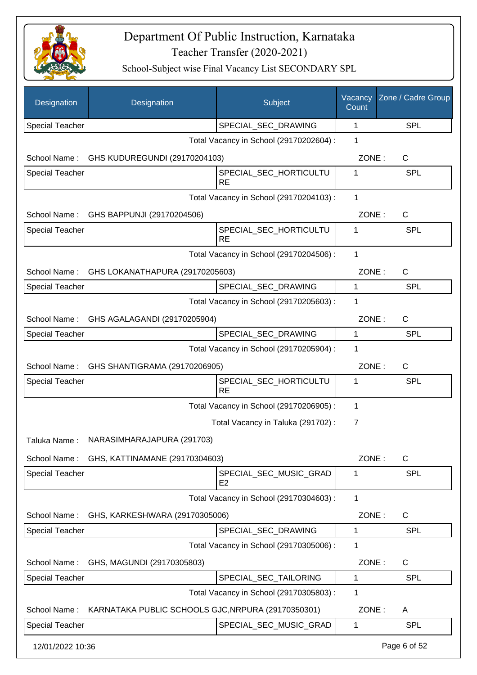

| Designation            | Designation                                        | Subject                                  | Vacancy<br>Count | Zone / Cadre Group |
|------------------------|----------------------------------------------------|------------------------------------------|------------------|--------------------|
| <b>Special Teacher</b> |                                                    | SPECIAL_SEC_DRAWING                      | 1                | <b>SPL</b>         |
|                        |                                                    | Total Vacancy in School (29170202604) :  | 1                |                    |
| School Name:           | GHS KUDUREGUNDI (29170204103)                      |                                          | ZONE:            | C                  |
| Special Teacher        |                                                    | SPECIAL SEC HORTICULTU<br><b>RE</b>      | 1                | <b>SPL</b>         |
|                        |                                                    | Total Vacancy in School (29170204103) :  | 1                |                    |
| School Name:           | GHS BAPPUNJI (29170204506)                         |                                          | ZONE:            | C                  |
| <b>Special Teacher</b> |                                                    | SPECIAL_SEC_HORTICULTU                   | 1                | <b>SPL</b>         |
|                        |                                                    | <b>RE</b>                                |                  |                    |
|                        |                                                    | Total Vacancy in School (29170204506) :  | 1                |                    |
| School Name:           | GHS LOKANATHAPURA (29170205603)                    |                                          | ZONE:            | $\mathsf{C}$       |
| <b>Special Teacher</b> |                                                    | SPECIAL SEC DRAWING                      | 1                | <b>SPL</b>         |
|                        |                                                    | Total Vacancy in School (29170205603) :  | 1                |                    |
| School Name:           | GHS AGALAGANDI (29170205904)                       |                                          | ZONE:            | C                  |
| <b>Special Teacher</b> |                                                    | SPECIAL_SEC_DRAWING                      | $\mathbf{1}$     | <b>SPL</b>         |
|                        |                                                    | Total Vacancy in School (29170205904) :  | 1                |                    |
| School Name:           | GHS SHANTIGRAMA (29170206905)                      |                                          | ZONE:            | $\mathsf{C}$       |
| <b>Special Teacher</b> |                                                    | SPECIAL_SEC_HORTICULTU<br><b>RE</b>      | 1                | <b>SPL</b>         |
|                        |                                                    | Total Vacancy in School (29170206905) :  | 1                |                    |
|                        |                                                    | Total Vacancy in Taluka (291702) :       | 7                |                    |
| Taluka Name:           | NARASIMHARAJAPURA (291703)                         |                                          |                  |                    |
| School Name:           | GHS, KATTINAMANE (29170304603)                     |                                          | ZONE:            | $\mathsf{C}$       |
| <b>Special Teacher</b> |                                                    | SPECIAL_SEC_MUSIC_GRAD<br>E <sub>2</sub> | 1                | <b>SPL</b>         |
|                        |                                                    | Total Vacancy in School (29170304603) :  | 1                |                    |
| School Name:           | GHS, KARKESHWARA (29170305006)                     |                                          | ZONE:            | C                  |
| <b>Special Teacher</b> |                                                    | SPECIAL SEC DRAWING                      | 1                | <b>SPL</b>         |
|                        |                                                    | Total Vacancy in School (29170305006) :  | 1                |                    |
| School Name:           | GHS, MAGUNDI (29170305803)                         |                                          | ZONE:            | C                  |
| <b>Special Teacher</b> |                                                    | SPECIAL_SEC_TAILORING                    | 1                | <b>SPL</b>         |
|                        |                                                    | Total Vacancy in School (29170305803) :  | 1                |                    |
| School Name:           | KARNATAKA PUBLIC SCHOOLS GJC, NRPURA (29170350301) |                                          | ZONE:            | A                  |
| Special Teacher        |                                                    | SPECIAL_SEC_MUSIC_GRAD                   | 1                | <b>SPL</b>         |
| 12/01/2022 10:36       |                                                    |                                          |                  | Page 6 of 52       |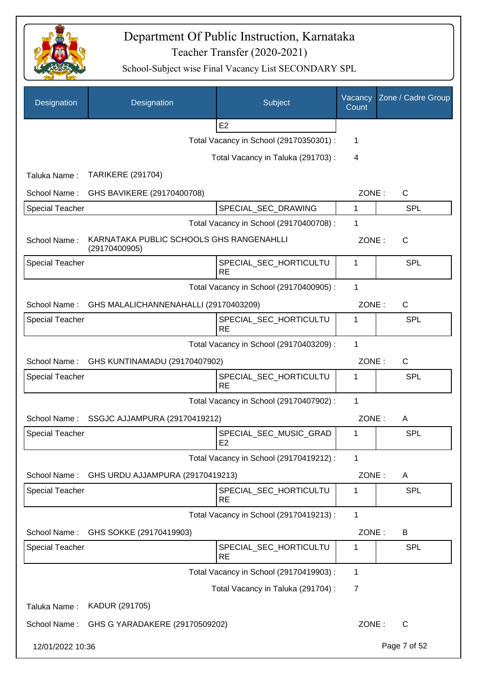

| Designation            | Designation                                               | Subject                                  | Vacancy<br>Count | Zone / Cadre Group |
|------------------------|-----------------------------------------------------------|------------------------------------------|------------------|--------------------|
|                        |                                                           | E <sub>2</sub>                           |                  |                    |
|                        |                                                           | Total Vacancy in School (29170350301) :  | 1                |                    |
|                        |                                                           | Total Vacancy in Taluka (291703):        | $\overline{4}$   |                    |
| Taluka Name:           | <b>TARIKERE (291704)</b>                                  |                                          |                  |                    |
| School Name:           | GHS BAVIKERE (29170400708)                                |                                          | ZONE:            | C                  |
| <b>Special Teacher</b> |                                                           | SPECIAL_SEC_DRAWING                      | 1                | <b>SPL</b>         |
|                        |                                                           | Total Vacancy in School (29170400708) :  | 1                |                    |
| School Name:           | KARNATAKA PUBLIC SCHOOLS GHS RANGENAHLLI<br>(29170400905) |                                          | ZONE:            | C                  |
| <b>Special Teacher</b> |                                                           | SPECIAL_SEC_HORTICULTU<br><b>RE</b>      | 1                | <b>SPL</b>         |
|                        |                                                           | Total Vacancy in School (29170400905) :  | 1                |                    |
| School Name:           | GHS MALALICHANNENAHALLI (29170403209)                     |                                          | ZONE:            | $\mathsf C$        |
| <b>Special Teacher</b> |                                                           | SPECIAL_SEC_HORTICULTU<br><b>RE</b>      | 1                | SPL                |
|                        |                                                           | Total Vacancy in School (29170403209) :  | 1                |                    |
| School Name:           | GHS KUNTINAMADU (29170407902)                             |                                          | ZONE:            | $\mathsf{C}$       |
| <b>Special Teacher</b> |                                                           | SPECIAL_SEC_HORTICULTU<br><b>RE</b>      | 1                | SPL                |
|                        |                                                           | Total Vacancy in School (29170407902) :  | 1                |                    |
| School Name:           | SSGJC AJJAMPURA (29170419212)                             |                                          | ZONE:            | A                  |
| <b>Special Teacher</b> |                                                           | SPECIAL_SEC_MUSIC_GRAD<br>E <sub>2</sub> | 1                | <b>SPL</b>         |
|                        |                                                           | Total Vacancy in School (29170419212) :  | 1                |                    |
| School Name:           | GHS URDU AJJAMPURA (29170419213)                          |                                          | ZONE:            | A                  |
| Special Teacher        |                                                           | SPECIAL_SEC_HORTICULTU<br><b>RE</b>      | 1                | <b>SPL</b>         |
|                        |                                                           | Total Vacancy in School (29170419213) :  | 1                |                    |
| School Name:           | GHS SOKKE (29170419903)                                   |                                          | ZONE:            | B                  |
| <b>Special Teacher</b> |                                                           | SPECIAL_SEC_HORTICULTU<br><b>RE</b>      | 1                | <b>SPL</b>         |
|                        |                                                           | Total Vacancy in School (29170419903) :  | 1                |                    |
|                        |                                                           | Total Vacancy in Taluka (291704) :       | 7                |                    |
| Taluka Name:           | KADUR (291705)                                            |                                          |                  |                    |
| School Name:           | GHS G YARADAKERE (29170509202)                            |                                          | ZONE:            | C                  |
| 12/01/2022 10:36       |                                                           |                                          |                  | Page 7 of 52       |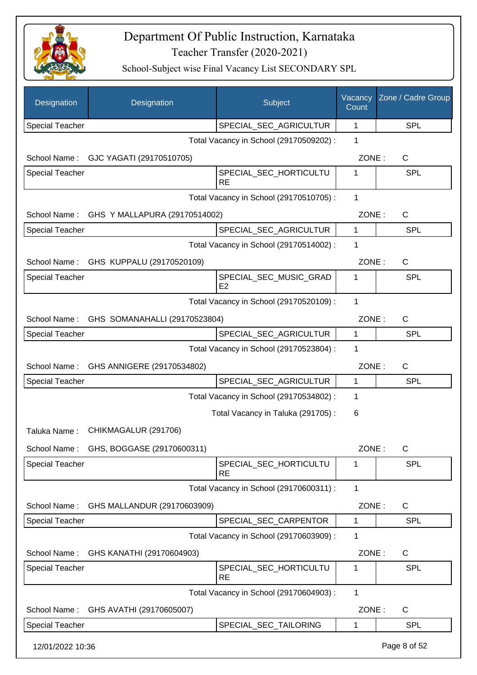

| Designation            | Designation                                | Subject                                 | Vacancy<br>Count | Zone / Cadre Group |
|------------------------|--------------------------------------------|-----------------------------------------|------------------|--------------------|
| <b>Special Teacher</b> |                                            | SPECIAL_SEC_AGRICULTUR                  | 1                | <b>SPL</b>         |
|                        |                                            | Total Vacancy in School (29170509202) : | 1                |                    |
|                        | School Name: GJC YAGATI (29170510705)      |                                         | ZONE:            | C                  |
| <b>Special Teacher</b> |                                            | SPECIAL_SEC_HORTICULTU<br><b>RE</b>     | 1                | SPL                |
|                        |                                            | Total Vacancy in School (29170510705) : | $\mathbf{1}$     |                    |
| School Name:           | GHS Y MALLAPURA (29170514002)              |                                         | ZONE:            | C                  |
| Special Teacher        |                                            | SPECIAL_SEC_AGRICULTUR                  | 1                | <b>SPL</b>         |
|                        |                                            | Total Vacancy in School (29170514002) : | 1                |                    |
|                        | School Name: GHS KUPPALU (29170520109)     |                                         | ZONE:            | C                  |
| <b>Special Teacher</b> |                                            | SPECIAL_SEC_MUSIC_GRAD<br>E2            | 1                | <b>SPL</b>         |
|                        |                                            | Total Vacancy in School (29170520109) : | 1                |                    |
|                        | School Name: GHS SOMANAHALLI (29170523804) |                                         | ZONE:            | $\mathsf{C}$       |
| <b>Special Teacher</b> |                                            | SPECIAL_SEC_AGRICULTUR                  | $\mathbf{1}$     | <b>SPL</b>         |
|                        |                                            | Total Vacancy in School (29170523804) : | 1                |                    |
|                        | School Name: GHS ANNIGERE (29170534802)    |                                         | ZONE:            | $\mathsf{C}$       |
| <b>Special Teacher</b> |                                            | SPECIAL_SEC_AGRICULTUR                  | $\mathbf{1}$     | <b>SPL</b>         |
|                        |                                            | Total Vacancy in School (29170534802) : | 1                |                    |
|                        |                                            | Total Vacancy in Taluka (291705):       | 6                |                    |
| Taluka Name:           | CHIKMAGALUR (291706)                       |                                         |                  |                    |
| School Name:           | GHS, BOGGASE (29170600311)                 |                                         | ZONE:            | $\mathsf C$        |
| <b>Special Teacher</b> |                                            | SPECIAL_SEC_HORTICULTU<br><b>RE</b>     | 1                | <b>SPL</b>         |
|                        |                                            | Total Vacancy in School (29170600311) : | $\mathbf{1}$     |                    |
| School Name:           | GHS MALLANDUR (29170603909)                |                                         | ZONE:            | $\mathsf{C}$       |
| <b>Special Teacher</b> |                                            | SPECIAL_SEC_CARPENTOR                   | 1                | <b>SPL</b>         |
|                        |                                            | Total Vacancy in School (29170603909) : | 1                |                    |
| School Name:           | GHS KANATHI (29170604903)                  |                                         | ZONE:            | $\mathsf{C}$       |
| Special Teacher        |                                            | SPECIAL_SEC_HORTICULTU<br><b>RE</b>     | 1                | <b>SPL</b>         |
|                        |                                            | Total Vacancy in School (29170604903) : | 1                |                    |
| School Name:           | GHS AVATHI (29170605007)                   |                                         | ZONE:            | C                  |
| <b>Special Teacher</b> |                                            | SPECIAL_SEC_TAILORING                   | 1                | SPL                |
| 12/01/2022 10:36       |                                            |                                         |                  | Page 8 of 52       |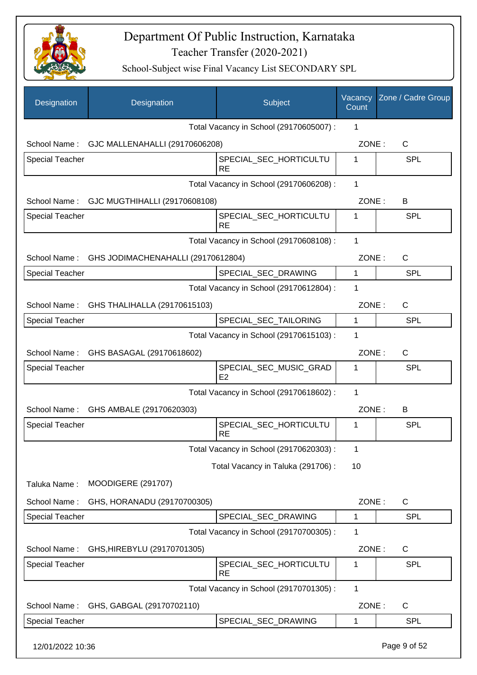

| Designation            | Designation                                     | Subject                                  | Vacancy<br>Count | Zone / Cadre Group |
|------------------------|-------------------------------------------------|------------------------------------------|------------------|--------------------|
|                        |                                                 | Total Vacancy in School (29170605007) :  | 1                |                    |
| School Name:           | GJC MALLENAHALLI (29170606208)                  |                                          | ZONE:            | $\mathsf{C}$       |
| Special Teacher        |                                                 | SPECIAL_SEC_HORTICULTU<br><b>RE</b>      | 1                | <b>SPL</b>         |
|                        |                                                 | Total Vacancy in School (29170606208) :  | 1                |                    |
|                        | School Name: GJC MUGTHIHALLI (29170608108)      |                                          | ZONE:            | B                  |
| <b>Special Teacher</b> |                                                 | SPECIAL_SEC_HORTICULTU<br><b>RE</b>      | 1                | <b>SPL</b>         |
|                        |                                                 | Total Vacancy in School (29170608108) :  | 1                |                    |
|                        | School Name: GHS JODIMACHENAHALLI (29170612804) |                                          | ZONE:            | $\mathsf{C}$       |
| <b>Special Teacher</b> |                                                 | SPECIAL_SEC_DRAWING                      | $\mathbf{1}$     | <b>SPL</b>         |
|                        |                                                 | Total Vacancy in School (29170612804) :  | 1                |                    |
|                        | School Name: GHS THALIHALLA (29170615103)       |                                          | ZONE:            | $\mathsf{C}$       |
| <b>Special Teacher</b> |                                                 | SPECIAL_SEC_TAILORING                    | $\mathbf{1}$     | <b>SPL</b>         |
|                        |                                                 | Total Vacancy in School (29170615103) :  | 1                |                    |
| School Name:           | GHS BASAGAL (29170618602)                       |                                          | ZONE:            | $\mathsf{C}$       |
| <b>Special Teacher</b> |                                                 | SPECIAL_SEC_MUSIC_GRAD<br>E <sub>2</sub> | 1                | <b>SPL</b>         |
|                        |                                                 | Total Vacancy in School (29170618602) :  | 1                |                    |
| School Name:           | GHS AMBALE (29170620303)                        |                                          | ZONE:            | В                  |
| <b>Special Teacher</b> |                                                 | SPECIAL_SEC_HORTICULTU<br><b>RE</b>      | 1                | SPL                |
|                        |                                                 | Total Vacancy in School (29170620303) :  | 1                |                    |
|                        |                                                 | Total Vacancy in Taluka (291706) :       | 10               |                    |
| Taluka Name:           | <b>MOODIGERE (291707)</b>                       |                                          |                  |                    |
| School Name:           | GHS, HORANADU (29170700305)                     |                                          | ZONE:            | C                  |
| <b>Special Teacher</b> |                                                 | SPECIAL SEC DRAWING                      | 1                | <b>SPL</b>         |
|                        |                                                 | Total Vacancy in School (29170700305) :  | 1                |                    |
| School Name:           | GHS, HIREBYLU (29170701305)                     |                                          | ZONE:            | C                  |
| <b>Special Teacher</b> |                                                 | SPECIAL_SEC_HORTICULTU<br><b>RE</b>      | 1                | SPL                |
|                        |                                                 | Total Vacancy in School (29170701305) :  | 1                |                    |
| School Name:           | GHS, GABGAL (29170702110)                       |                                          | ZONE:            | $\mathsf{C}$       |
| <b>Special Teacher</b> |                                                 | SPECIAL_SEC_DRAWING                      | $\mathbf 1$      | <b>SPL</b>         |
| 12/01/2022 10:36       |                                                 |                                          |                  | Page 9 of 52       |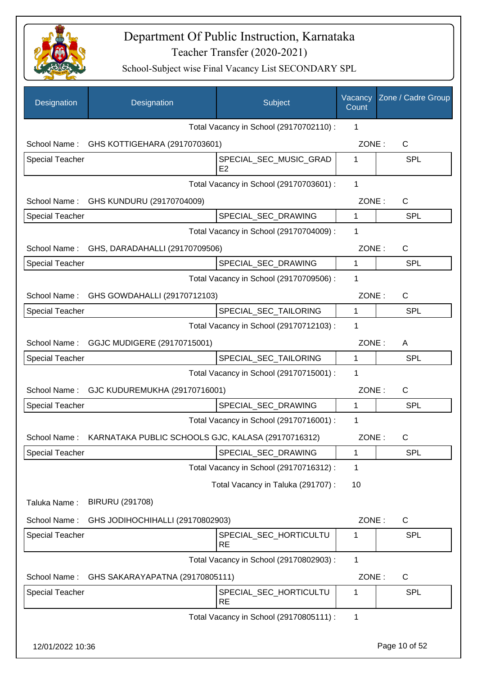

| Designation            | Designation                                        | Subject                                  | Vacancy<br>Count | Zone / Cadre Group |
|------------------------|----------------------------------------------------|------------------------------------------|------------------|--------------------|
|                        |                                                    | Total Vacancy in School (29170702110) :  | 1                |                    |
| School Name:           | GHS KOTTIGEHARA (29170703601)                      |                                          | ZONE:            | C                  |
| <b>Special Teacher</b> |                                                    | SPECIAL_SEC_MUSIC_GRAD<br>E <sub>2</sub> | 1                | <b>SPL</b>         |
|                        |                                                    | Total Vacancy in School (29170703601) :  | $\mathbf{1}$     |                    |
| School Name:           | GHS KUNDURU (29170704009)                          |                                          | ZONE:            | $\mathsf{C}$       |
| <b>Special Teacher</b> |                                                    | SPECIAL_SEC_DRAWING                      | $\mathbf{1}$     | <b>SPL</b>         |
|                        |                                                    | Total Vacancy in School (29170704009) :  | 1                |                    |
| School Name:           | GHS, DARADAHALLI (29170709506)                     |                                          | ZONE:            | C                  |
| <b>Special Teacher</b> |                                                    | SPECIAL_SEC_DRAWING                      | 1                | SPL                |
|                        |                                                    | Total Vacancy in School (29170709506) :  | 1                |                    |
| School Name:           | GHS GOWDAHALLI (29170712103)                       |                                          | ZONE:            | $\mathsf{C}$       |
| <b>Special Teacher</b> |                                                    | SPECIAL_SEC_TAILORING                    | 1                | SPL                |
|                        |                                                    | Total Vacancy in School (29170712103) :  | 1                |                    |
|                        | School Name: GGJC MUDIGERE (29170715001)           |                                          | ZONE:            | A                  |
| Special Teacher        |                                                    | SPECIAL_SEC_TAILORING                    | $\mathbf 1$      | SPL                |
|                        |                                                    | Total Vacancy in School (29170715001) :  | 1                |                    |
| School Name:           | GJC KUDUREMUKHA (29170716001)                      |                                          | ZONE:            | $\mathsf{C}$       |
| Special Teacher        |                                                    | SPECIAL_SEC_DRAWING                      | $\mathbf{1}$     | <b>SPL</b>         |
|                        |                                                    | Total Vacancy in School (29170716001) :  | 1                |                    |
| School Name:           | KARNATAKA PUBLIC SCHOOLS GJC, KALASA (29170716312) |                                          | ZONE:            | С                  |
| Special Teacher        |                                                    | SPECIAL_SEC_DRAWING                      | 1                | <b>SPL</b>         |
|                        |                                                    | Total Vacancy in School (29170716312) :  | 1                |                    |
|                        |                                                    | Total Vacancy in Taluka (291707) :       | 10               |                    |
| Taluka Name:           | <b>BIRURU (291708)</b>                             |                                          |                  |                    |
| School Name:           | GHS JODIHOCHIHALLI (29170802903)                   |                                          | ZONE:            | C                  |
| <b>Special Teacher</b> |                                                    | SPECIAL_SEC_HORTICULTU<br><b>RE</b>      | 1                | <b>SPL</b>         |
|                        |                                                    | Total Vacancy in School (29170802903) :  | 1                |                    |
| School Name:           | GHS SAKARAYAPATNA (29170805111)                    |                                          | ZONE:            | $\mathsf{C}$       |
| <b>Special Teacher</b> |                                                    | SPECIAL_SEC_HORTICULTU<br><b>RE</b>      | 1                | <b>SPL</b>         |
|                        |                                                    | Total Vacancy in School (29170805111) :  | 1                |                    |
| 12/01/2022 10:36       |                                                    |                                          |                  | Page 10 of 52      |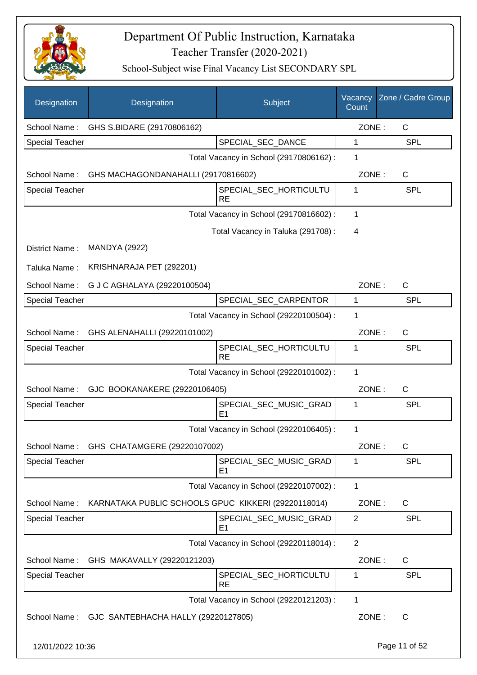

| Designation            | Designation                                         | Subject                                  | Vacancy<br>Count | Zone / Cadre Group |
|------------------------|-----------------------------------------------------|------------------------------------------|------------------|--------------------|
|                        | School Name: GHS S.BIDARE (29170806162)             |                                          | ZONE:            | C                  |
| <b>Special Teacher</b> |                                                     | SPECIAL_SEC_DANCE                        | 1                | <b>SPL</b>         |
|                        |                                                     | Total Vacancy in School (29170806162) :  | 1                |                    |
|                        | School Name: GHS MACHAGONDANAHALLI (29170816602)    |                                          | ZONE:            | C                  |
| <b>Special Teacher</b> |                                                     | SPECIAL_SEC_HORTICULTU<br><b>RE</b>      | 1                | SPL                |
|                        |                                                     | Total Vacancy in School (29170816602) :  | 1                |                    |
|                        |                                                     | Total Vacancy in Taluka (291708):        | 4                |                    |
| District Name:         | <b>MANDYA (2922)</b>                                |                                          |                  |                    |
| Taluka Name:           | KRISHNARAJA PET (292201)                            |                                          |                  |                    |
| School Name:           | G J C AGHALAYA (29220100504)                        |                                          | ZONE:            | C                  |
| <b>Special Teacher</b> |                                                     | SPECIAL_SEC_CARPENTOR                    | 1                | <b>SPL</b>         |
|                        |                                                     | Total Vacancy in School (29220100504) :  | 1                |                    |
| School Name:           | GHS ALENAHALLI (29220101002)                        |                                          | ZONE:            | $\mathsf{C}$       |
| <b>Special Teacher</b> |                                                     | SPECIAL_SEC_HORTICULTU<br><b>RE</b>      | 1                | <b>SPL</b>         |
|                        |                                                     | Total Vacancy in School (29220101002) :  | 1                |                    |
| School Name:           | GJC BOOKANAKERE (29220106405)                       |                                          | ZONE:            | $\mathsf{C}$       |
| <b>Special Teacher</b> |                                                     | SPECIAL_SEC_MUSIC_GRAD<br>E1             | 1                | <b>SPL</b>         |
|                        |                                                     | Total Vacancy in School (29220106405) :  | 1                |                    |
|                        | School Name: GHS CHATAMGERE (29220107002)           |                                          | ZONE:            | $\mathsf C$        |
| <b>Special Teacher</b> |                                                     | SPECIAL_SEC_MUSIC_GRAD<br>E <sub>1</sub> | 1                | <b>SPL</b>         |
|                        |                                                     | Total Vacancy in School (29220107002) :  | $\mathbf{1}$     |                    |
| School Name:           | KARNATAKA PUBLIC SCHOOLS GPUC KIKKERI (29220118014) |                                          | ZONE:            | C                  |
| Special Teacher        |                                                     | SPECIAL_SEC_MUSIC_GRAD<br>E <sub>1</sub> | 2                | <b>SPL</b>         |
|                        |                                                     | Total Vacancy in School (29220118014) :  | 2                |                    |
| School Name:           | GHS MAKAVALLY (29220121203)                         |                                          | ZONE:            | C                  |
| Special Teacher        |                                                     | SPECIAL_SEC_HORTICULTU<br><b>RE</b>      | $\mathbf 1$      | <b>SPL</b>         |
|                        |                                                     | Total Vacancy in School (29220121203) :  | 1                |                    |
|                        | School Name: GJC SANTEBHACHA HALLY (29220127805)    |                                          | ZONE:            | $\mathsf{C}$       |
| 12/01/2022 10:36       |                                                     |                                          |                  | Page 11 of 52      |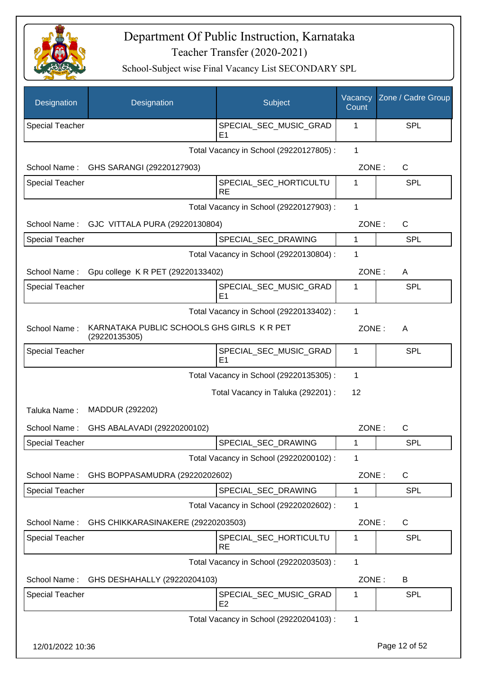

| Designation            | Designation                                                 | Subject                                  | Vacancy<br>Count | Zone / Cadre Group |
|------------------------|-------------------------------------------------------------|------------------------------------------|------------------|--------------------|
| <b>Special Teacher</b> |                                                             | SPECIAL_SEC_MUSIC_GRAD<br>E <sub>1</sub> | 1                | <b>SPL</b>         |
|                        |                                                             | Total Vacancy in School (29220127805) :  | 1                |                    |
|                        | School Name: GHS SARANGI (29220127903)                      |                                          | ZONE:            | C                  |
| <b>Special Teacher</b> |                                                             | SPECIAL_SEC_HORTICULTU<br><b>RE</b>      | 1                | SPL                |
|                        |                                                             | Total Vacancy in School (29220127903) :  | 1                |                    |
| School Name:           | GJC VITTALA PURA (29220130804)                              |                                          | ZONE:            | C                  |
| <b>Special Teacher</b> |                                                             | SPECIAL_SEC_DRAWING                      | 1                | <b>SPL</b>         |
|                        |                                                             | Total Vacancy in School (29220130804) :  | 1                |                    |
| School Name:           | Gpu college K R PET (29220133402)                           |                                          | ZONE:            | A                  |
| <b>Special Teacher</b> |                                                             | SPECIAL_SEC_MUSIC_GRAD<br>E1             | 1                | SPL                |
|                        |                                                             | Total Vacancy in School (29220133402) :  | 1                |                    |
| School Name:           | KARNATAKA PUBLIC SCHOOLS GHS GIRLS K R PET<br>(29220135305) |                                          | ZONE:            | A                  |
| Special Teacher        |                                                             | SPECIAL_SEC_MUSIC_GRAD<br>E <sub>1</sub> | 1                | <b>SPL</b>         |
|                        |                                                             | Total Vacancy in School (29220135305) :  | 1                |                    |
|                        |                                                             | Total Vacancy in Taluka (292201) :       | 12               |                    |
| Taluka Name:           | MADDUR (292202)                                             |                                          |                  |                    |
| School Name:           | GHS ABALAVADI (29220200102)                                 |                                          | ZONE:            | C                  |
| <b>Special Teacher</b> |                                                             | SPECIAL_SEC_DRAWING                      | 1                | <b>SPL</b>         |
|                        |                                                             | Total Vacancy in School (29220200102) :  | 1                |                    |
| School Name:           | GHS BOPPASAMUDRA (29220202602)                              |                                          | ZONE:            | C                  |
| Special Teacher        |                                                             | SPECIAL_SEC_DRAWING                      | 1                | <b>SPL</b>         |
|                        |                                                             | Total Vacancy in School (29220202602) :  | 1                |                    |
| School Name:           | GHS CHIKKARASINAKERE (29220203503)                          |                                          | ZONE:            | C                  |
| Special Teacher        |                                                             | SPECIAL_SEC_HORTICULTU<br><b>RE</b>      | 1                | <b>SPL</b>         |
|                        |                                                             | Total Vacancy in School (29220203503) :  | 1                |                    |
| School Name:           | GHS DESHAHALLY (29220204103)                                |                                          | ZONE:            | B                  |
| Special Teacher        |                                                             | SPECIAL_SEC_MUSIC_GRAD<br>E <sub>2</sub> | 1                | <b>SPL</b>         |
|                        |                                                             | Total Vacancy in School (29220204103) :  | 1                |                    |
| 12/01/2022 10:36       |                                                             |                                          |                  | Page 12 of 52      |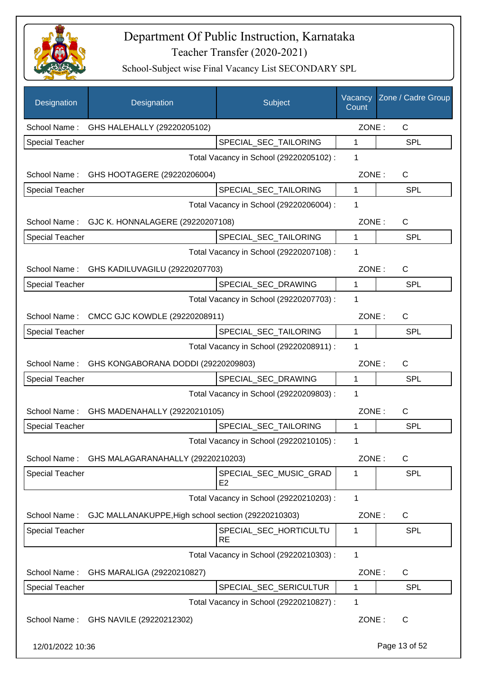

| Designation            | Designation                                         | Subject                                  | Vacancy<br>Count | Zone / Cadre Group |
|------------------------|-----------------------------------------------------|------------------------------------------|------------------|--------------------|
| School Name:           | GHS HALEHALLY (29220205102)                         |                                          | ZONE:            | C                  |
| <b>Special Teacher</b> |                                                     | SPECIAL_SEC_TAILORING                    | 1                | <b>SPL</b>         |
|                        |                                                     | Total Vacancy in School (29220205102) :  | 1                |                    |
| School Name:           | GHS HOOTAGERE (29220206004)                         |                                          | ZONE:            | C                  |
| <b>Special Teacher</b> |                                                     | SPECIAL_SEC_TAILORING                    | $\mathbf{1}$     | <b>SPL</b>         |
|                        |                                                     | Total Vacancy in School (29220206004) :  | 1                |                    |
| School Name:           | GJC K. HONNALAGERE (29220207108)                    |                                          | ZONE:            | C                  |
| <b>Special Teacher</b> |                                                     | SPECIAL_SEC_TAILORING                    | 1                | <b>SPL</b>         |
|                        |                                                     | Total Vacancy in School (29220207108) :  | 1                |                    |
|                        | School Name: GHS KADILUVAGILU (29220207703)         |                                          | ZONE:            | C                  |
| <b>Special Teacher</b> |                                                     | SPECIAL_SEC_DRAWING                      | $\mathbf{1}$     | <b>SPL</b>         |
|                        |                                                     | Total Vacancy in School (29220207703) :  | 1                |                    |
| School Name:           | CMCC GJC KOWDLE (29220208911)                       |                                          | ZONE:            | C                  |
| <b>Special Teacher</b> |                                                     | SPECIAL_SEC_TAILORING                    | 1                | SPL                |
|                        |                                                     | Total Vacancy in School (29220208911) :  | 1                |                    |
| School Name:           | GHS KONGABORANA DODDI (29220209803)                 |                                          | ZONE:            | $\mathsf{C}$       |
| Special Teacher        |                                                     | SPECIAL_SEC_DRAWING                      | 1                | SPL                |
|                        |                                                     | Total Vacancy in School (29220209803) :  | 1                |                    |
| School Name:           | GHS MADENAHALLY (29220210105)                       |                                          | ZONE:            | C                  |
| <b>Special Teacher</b> |                                                     | SPECIAL_SEC_TAILORING                    | 1                | <b>SPL</b>         |
|                        |                                                     | Total Vacancy in School (29220210105) :  | 1                |                    |
|                        | School Name: GHS MALAGARANAHALLY (29220210203)      |                                          | ZONE:            | C                  |
| <b>Special Teacher</b> |                                                     | SPECIAL_SEC_MUSIC_GRAD<br>E <sub>2</sub> | 1                | <b>SPL</b>         |
|                        |                                                     | Total Vacancy in School (29220210203) :  | 1                |                    |
| School Name:           | GJC MALLANAKUPPE, High school section (29220210303) |                                          | ZONE:            | C                  |
| <b>Special Teacher</b> |                                                     | SPECIAL_SEC_HORTICULTU<br>RE             | 1                | <b>SPL</b>         |
|                        |                                                     | Total Vacancy in School (29220210303) :  | 1                |                    |
| School Name:           | GHS MARALIGA (29220210827)                          |                                          | ZONE:            | C                  |
| Special Teacher        |                                                     | SPECIAL_SEC_SERICULTUR                   | $\mathbf{1}$     | <b>SPL</b>         |
|                        |                                                     | Total Vacancy in School (29220210827) :  | 1                |                    |
| School Name:           | GHS NAVILE (29220212302)                            |                                          | ZONE:            | $\mathsf{C}$       |
| 12/01/2022 10:36       |                                                     |                                          |                  | Page 13 of 52      |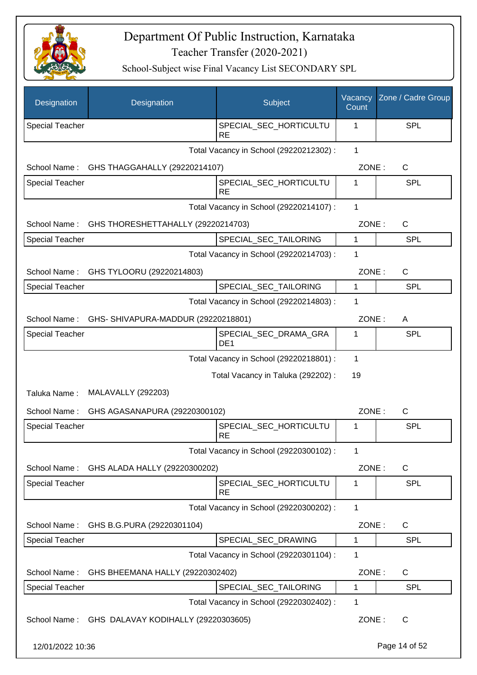

| Designation            | Designation                                     | Subject                                  | Vacancy<br>Count | Zone / Cadre Group |
|------------------------|-------------------------------------------------|------------------------------------------|------------------|--------------------|
| <b>Special Teacher</b> |                                                 | SPECIAL_SEC_HORTICULTU<br><b>RE</b>      | 1                | <b>SPL</b>         |
|                        |                                                 | Total Vacancy in School (29220212302) :  | $\mathbf 1$      |                    |
| School Name:           | GHS THAGGAHALLY (29220214107)                   |                                          | ZONE:            | C                  |
| <b>Special Teacher</b> |                                                 | SPECIAL_SEC_HORTICULTU<br><b>RE</b>      | 1                | <b>SPL</b>         |
|                        |                                                 | Total Vacancy in School (29220214107) :  | $\mathbf 1$      |                    |
| School Name:           | GHS THORESHETTAHALLY (29220214703)              |                                          | ZONE:            | C                  |
| <b>Special Teacher</b> |                                                 | SPECIAL_SEC_TAILORING                    | 1                | <b>SPL</b>         |
|                        |                                                 | Total Vacancy in School (29220214703) :  | 1                |                    |
| School Name:           | GHS TYLOORU (29220214803)                       |                                          | ZONE:            | $\mathsf{C}$       |
| <b>Special Teacher</b> |                                                 | SPECIAL_SEC_TAILORING                    | 1                | <b>SPL</b>         |
|                        |                                                 | Total Vacancy in School (29220214803) :  | 1                |                    |
|                        | School Name: GHS-SHIVAPURA-MADDUR (29220218801) |                                          | ZONE:            | A                  |
| <b>Special Teacher</b> |                                                 | SPECIAL_SEC_DRAMA_GRA<br>DE <sub>1</sub> | 1                | <b>SPL</b>         |
|                        |                                                 | Total Vacancy in School (29220218801) :  | 1                |                    |
|                        |                                                 | Total Vacancy in Taluka (292202) :       | 19               |                    |
| Taluka Name:           | <b>MALAVALLY (292203)</b>                       |                                          |                  |                    |
| School Name:           | GHS AGASANAPURA (29220300102)                   |                                          | ZONE:            | $\mathsf{C}$       |
| <b>Special Teacher</b> |                                                 | SPECIAL_SEC_HORTICULTU<br><b>RE</b>      | 1                | <b>SPL</b>         |
|                        |                                                 | Total Vacancy in School (29220300102) :  | 1                |                    |
| School Name:           | GHS ALADA HALLY (29220300202)                   |                                          | ZONE:            | C                  |
| Special Teacher        |                                                 | SPECIAL_SEC_HORTICULTU<br><b>RE</b>      | 1                | <b>SPL</b>         |
|                        |                                                 | Total Vacancy in School (29220300202) :  | 1                |                    |
| School Name:           | GHS B.G.PURA (29220301104)                      |                                          | ZONE:            | C                  |
| <b>Special Teacher</b> |                                                 | SPECIAL_SEC_DRAWING                      | 1                | <b>SPL</b>         |
|                        |                                                 | Total Vacancy in School (29220301104) :  | 1                |                    |
| School Name:           | GHS BHEEMANA HALLY (29220302402)                |                                          | ZONE:            | C                  |
| <b>Special Teacher</b> |                                                 | SPECIAL_SEC_TAILORING                    | 1                | <b>SPL</b>         |
|                        |                                                 | Total Vacancy in School (29220302402) :  | 1                |                    |
| School Name:           | GHS DALAVAY KODIHALLY (29220303605)             |                                          | ZONE:            | C                  |
| 12/01/2022 10:36       |                                                 |                                          |                  | Page 14 of 52      |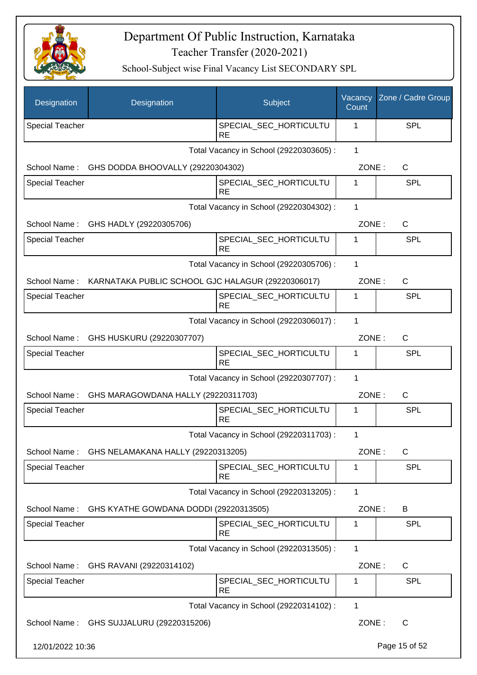

| Designation            | Designation                                       | Subject                                 | Vacancy<br>Count | Zone / Cadre Group |
|------------------------|---------------------------------------------------|-----------------------------------------|------------------|--------------------|
| <b>Special Teacher</b> |                                                   | SPECIAL_SEC_HORTICULTU<br><b>RE</b>     | 1                | <b>SPL</b>         |
|                        |                                                   | Total Vacancy in School (29220303605) : | $\mathbf 1$      |                    |
| School Name:           | GHS DODDA BHOOVALLY (29220304302)                 |                                         | ZONE:            | C                  |
| <b>Special Teacher</b> |                                                   | SPECIAL_SEC_HORTICULTU<br><b>RE</b>     | 1                | <b>SPL</b>         |
|                        |                                                   | Total Vacancy in School (29220304302) : | $\mathbf 1$      |                    |
| School Name:           | GHS HADLY (29220305706)                           |                                         | ZONE:            | C                  |
| <b>Special Teacher</b> |                                                   | SPECIAL_SEC_HORTICULTU<br><b>RE</b>     | 1                | <b>SPL</b>         |
|                        |                                                   | Total Vacancy in School (29220305706) : | 1                |                    |
| School Name:           | KARNATAKA PUBLIC SCHOOL GJC HALAGUR (29220306017) |                                         | ZONE:            | C                  |
| <b>Special Teacher</b> |                                                   | SPECIAL_SEC_HORTICULTU<br><b>RE</b>     | 1                | <b>SPL</b>         |
|                        |                                                   | Total Vacancy in School (29220306017) : | 1                |                    |
| School Name:           | GHS HUSKURU (29220307707)                         |                                         | ZONE:            | $\mathsf{C}$       |
| <b>Special Teacher</b> |                                                   | SPECIAL_SEC_HORTICULTU<br><b>RE</b>     | 1                | <b>SPL</b>         |
|                        |                                                   | Total Vacancy in School (29220307707) : | 1                |                    |
| School Name:           | GHS MARAGOWDANA HALLY (29220311703)               |                                         | ZONE:            | $\mathsf{C}$       |
| <b>Special Teacher</b> |                                                   | SPECIAL_SEC_HORTICULTU<br><b>RE</b>     | 1                | <b>SPL</b>         |
|                        |                                                   | Total Vacancy in School (29220311703) : | 1                |                    |
| School Name:           | GHS NELAMAKANA HALLY (29220313205)                |                                         | ZONE:            | C                  |
| Special Teacher        |                                                   | SPECIAL_SEC_HORTICULTU<br><b>RE</b>     | 1                | <b>SPL</b>         |
|                        |                                                   | Total Vacancy in School (29220313205) : | $\mathbf{1}$     |                    |
| School Name:           | GHS KYATHE GOWDANA DODDI (29220313505)            |                                         | ZONE:            | B                  |
| <b>Special Teacher</b> |                                                   | SPECIAL_SEC_HORTICULTU<br><b>RE</b>     | 1                | <b>SPL</b>         |
|                        |                                                   | Total Vacancy in School (29220313505) : | $\mathbf{1}$     |                    |
| School Name:           | GHS RAVANI (29220314102)                          |                                         | ZONE:            | C                  |
| <b>Special Teacher</b> |                                                   | SPECIAL_SEC_HORTICULTU<br><b>RE</b>     | 1                | <b>SPL</b>         |
|                        |                                                   | Total Vacancy in School (29220314102) : | 1                |                    |
| School Name:           | GHS SUJJALURU (29220315206)                       |                                         | ZONE:            | C                  |
| 12/01/2022 10:36       |                                                   |                                         |                  | Page 15 of 52      |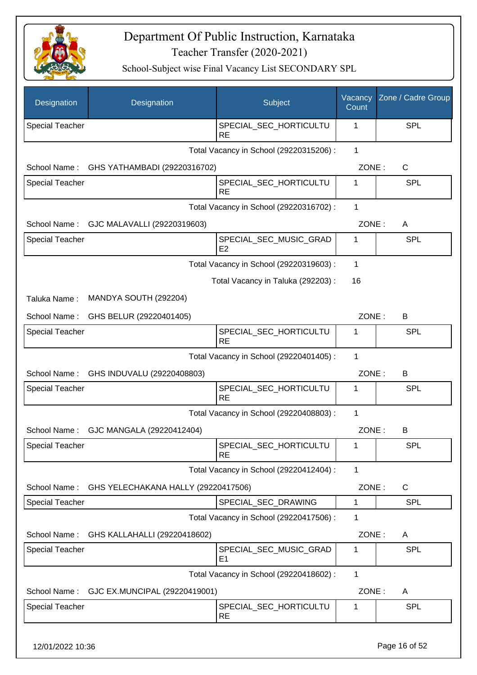

| Designation            | Designation                         | Subject                                 | Vacancy<br>Count | Zone / Cadre Group |
|------------------------|-------------------------------------|-----------------------------------------|------------------|--------------------|
| <b>Special Teacher</b> |                                     | SPECIAL_SEC_HORTICULTU<br><b>RE</b>     | 1                | <b>SPL</b>         |
|                        |                                     | Total Vacancy in School (29220315206) : | $\mathbf{1}$     |                    |
| School Name:           | GHS YATHAMBADI (29220316702)        |                                         | ZONE:            | C                  |
| <b>Special Teacher</b> |                                     | SPECIAL SEC HORTICULTU<br><b>RE</b>     | 1                | SPL                |
|                        |                                     | Total Vacancy in School (29220316702) : | $\mathbf{1}$     |                    |
| School Name:           | GJC MALAVALLI (29220319603)         |                                         | ZONE:            | A                  |
| <b>Special Teacher</b> |                                     | SPECIAL_SEC_MUSIC_GRAD<br>E2            | 1                | SPL                |
|                        |                                     | Total Vacancy in School (29220319603) : | 1                |                    |
|                        |                                     | Total Vacancy in Taluka (292203):       | 16               |                    |
| Taluka Name:           | MANDYA SOUTH (292204)               |                                         |                  |                    |
| School Name:           | GHS BELUR (29220401405)             |                                         | ZONE:            | B                  |
| <b>Special Teacher</b> |                                     | SPECIAL_SEC_HORTICULTU<br><b>RE</b>     | 1                | SPL                |
|                        |                                     | Total Vacancy in School (29220401405) : | 1                |                    |
| School Name:           | GHS INDUVALU (29220408803)          |                                         | ZONE:            | B                  |
| <b>Special Teacher</b> |                                     | SPECIAL_SEC_HORTICULTU<br><b>RE</b>     | 1                | SPL                |
|                        |                                     | Total Vacancy in School (29220408803) : | 1                |                    |
| School Name:           | GJC MANGALA (29220412404)           |                                         | ZONE:            | B                  |
| Special Teacher        |                                     | SPECIAL_SEC_HORTICULTU<br><b>RE</b>     | 1                | <b>SPL</b>         |
|                        |                                     | Total Vacancy in School (29220412404) : | 1                |                    |
| School Name:           | GHS YELECHAKANA HALLY (29220417506) |                                         | ZONE:            | C                  |
| <b>Special Teacher</b> |                                     | SPECIAL SEC DRAWING                     | 1                | <b>SPL</b>         |
|                        |                                     | Total Vacancy in School (29220417506) : | 1                |                    |
| School Name:           | GHS KALLAHALLI (29220418602)        |                                         | ZONE:            | A                  |
| <b>Special Teacher</b> |                                     | SPECIAL_SEC_MUSIC_GRAD<br>E1            | 1                | <b>SPL</b>         |
|                        |                                     | Total Vacancy in School (29220418602) : | 1                |                    |
| School Name:           | GJC EX.MUNCIPAL (29220419001)       |                                         | ZONE:            | A                  |
| <b>Special Teacher</b> |                                     | SPECIAL_SEC_HORTICULTU<br><b>RE</b>     | 1                | <b>SPL</b>         |
|                        |                                     |                                         |                  |                    |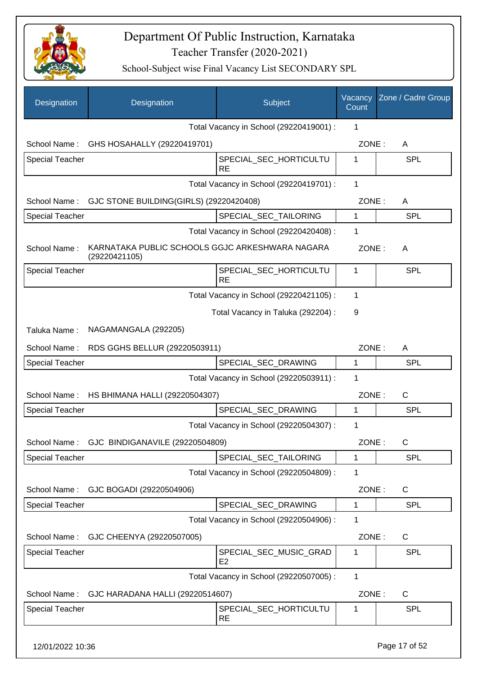

| Designation            | Designation                                                      | Subject                                  | Vacancy<br>Count | Zone / Cadre Group |
|------------------------|------------------------------------------------------------------|------------------------------------------|------------------|--------------------|
|                        |                                                                  | Total Vacancy in School (29220419001) :  | 1                |                    |
| School Name:           | GHS HOSAHALLY (29220419701)                                      |                                          | ZONE:            | A                  |
| <b>Special Teacher</b> |                                                                  | SPECIAL_SEC_HORTICULTU<br><b>RE</b>      | 1                | <b>SPL</b>         |
|                        |                                                                  | Total Vacancy in School (29220419701) :  | 1                |                    |
| School Name:           | GJC STONE BUILDING(GIRLS) (29220420408)                          |                                          | ZONE:            | A                  |
| <b>Special Teacher</b> |                                                                  | SPECIAL_SEC_TAILORING                    | 1                | <b>SPL</b>         |
|                        |                                                                  | Total Vacancy in School (29220420408) :  | 1                |                    |
| School Name:           | KARNATAKA PUBLIC SCHOOLS GGJC ARKESHWARA NAGARA<br>(29220421105) |                                          | ZONE:            | A                  |
| <b>Special Teacher</b> |                                                                  | SPECIAL_SEC_HORTICULTU<br><b>RE</b>      | 1                | <b>SPL</b>         |
|                        |                                                                  | Total Vacancy in School (29220421105) :  | 1                |                    |
|                        |                                                                  | Total Vacancy in Taluka (292204) :       | 9                |                    |
| Taluka Name:           | NAGAMANGALA (292205)                                             |                                          |                  |                    |
| School Name:           | RDS GGHS BELLUR (29220503911)                                    |                                          | ZONE:            | A                  |
| <b>Special Teacher</b> |                                                                  | SPECIAL_SEC_DRAWING                      | 1                | <b>SPL</b>         |
|                        |                                                                  | Total Vacancy in School (29220503911) :  | 1                |                    |
| School Name:           | HS BHIMANA HALLI (29220504307)                                   |                                          | ZONE:            | $\mathsf{C}$       |
| <b>Special Teacher</b> |                                                                  | SPECIAL SEC DRAWING                      | 1                | <b>SPL</b>         |
|                        |                                                                  | Total Vacancy in School (29220504307) :  | 1                |                    |
|                        | School Name: GJC BINDIGANAVILE (29220504809)                     |                                          | ZONE:            | C                  |
| <b>Special Teacher</b> |                                                                  | SPECIAL_SEC_TAILORING                    | 1                | <b>SPL</b>         |
|                        |                                                                  | Total Vacancy in School (29220504809) :  | 1                |                    |
| School Name:           | GJC BOGADI (29220504906)                                         |                                          | ZONE:            | $\mathsf{C}$       |
| <b>Special Teacher</b> |                                                                  | SPECIAL_SEC_DRAWING                      | 1                | <b>SPL</b>         |
|                        |                                                                  | Total Vacancy in School (29220504906) :  | 1                |                    |
| School Name:           | GJC CHEENYA (29220507005)                                        |                                          | ZONE:            | $\mathsf{C}$       |
| <b>Special Teacher</b> |                                                                  | SPECIAL_SEC_MUSIC_GRAD<br>E <sub>2</sub> | 1                | <b>SPL</b>         |
|                        |                                                                  | Total Vacancy in School (29220507005) :  | 1                |                    |
| School Name:           | GJC HARADANA HALLI (29220514607)                                 |                                          | ZONE:            | C                  |
| <b>Special Teacher</b> |                                                                  | SPECIAL_SEC_HORTICULTU<br><b>RE</b>      | 1                | <b>SPL</b>         |
| 12/01/2022 10:36       |                                                                  |                                          |                  | Page 17 of 52      |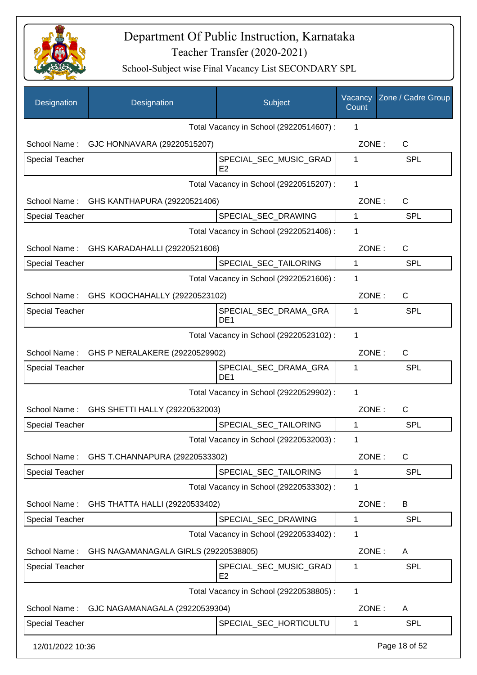

| Designation            | Designation                          | Subject                                  | Vacancy<br>Count | Zone / Cadre Group |
|------------------------|--------------------------------------|------------------------------------------|------------------|--------------------|
|                        |                                      | Total Vacancy in School (29220514607) :  | 1                |                    |
| School Name:           | GJC HONNAVARA (29220515207)          |                                          | ZONE:            | C                  |
| <b>Special Teacher</b> |                                      | SPECIAL_SEC_MUSIC_GRAD<br>E <sub>2</sub> | 1                | <b>SPL</b>         |
|                        |                                      | Total Vacancy in School (29220515207) :  | 1                |                    |
| School Name:           | GHS KANTHAPURA (29220521406)         |                                          | ZONE:            | C                  |
| <b>Special Teacher</b> |                                      | SPECIAL_SEC_DRAWING                      | $\mathbf{1}$     | <b>SPL</b>         |
|                        |                                      | Total Vacancy in School (29220521406) :  | 1                |                    |
| School Name:           | GHS KARADAHALLI (29220521606)        |                                          | ZONE:            | C                  |
| <b>Special Teacher</b> |                                      | SPECIAL_SEC_TAILORING                    | 1                | <b>SPL</b>         |
|                        |                                      | Total Vacancy in School (29220521606) :  | 1                |                    |
| School Name:           | GHS KOOCHAHALLY (29220523102)        |                                          | ZONE:            | C                  |
| <b>Special Teacher</b> |                                      | SPECIAL_SEC_DRAMA_GRA<br>DE <sub>1</sub> | 1                | <b>SPL</b>         |
|                        |                                      | Total Vacancy in School (29220523102) :  | 1                |                    |
| School Name:           | GHS P NERALAKERE (29220529902)       |                                          | ZONE:            | $\mathsf{C}$       |
| Special Teacher        |                                      | SPECIAL_SEC_DRAMA_GRA<br>DE <sub>1</sub> | 1                | <b>SPL</b>         |
|                        |                                      | Total Vacancy in School (29220529902) :  | 1                |                    |
| School Name:           | GHS SHETTI HALLY (29220532003)       |                                          | ZONE:            | $\mathsf{C}$       |
| <b>Special Teacher</b> |                                      | SPECIAL_SEC_TAILORING                    | 1                | <b>SPL</b>         |
|                        |                                      | Total Vacancy in School (29220532003) :  | 1                |                    |
| School Name:           | GHS T.CHANNAPURA (29220533302)       |                                          | ZONE:            | C                  |
| <b>Special Teacher</b> |                                      | SPECIAL SEC TAILORING                    | 1                | <b>SPL</b>         |
|                        |                                      | Total Vacancy in School (29220533302) :  | 1                |                    |
| School Name:           | GHS THATTA HALLI (29220533402)       |                                          | ZONE:            | B                  |
| <b>Special Teacher</b> |                                      | SPECIAL_SEC_DRAWING                      | 1                | <b>SPL</b>         |
|                        |                                      | Total Vacancy in School (29220533402) :  | 1                |                    |
| School Name:           | GHS NAGAMANAGALA GIRLS (29220538805) |                                          | ZONE:            | A                  |
| <b>Special Teacher</b> |                                      | SPECIAL_SEC_MUSIC_GRAD<br>E <sub>2</sub> | 1                | <b>SPL</b>         |
|                        |                                      | Total Vacancy in School (29220538805) :  | 1                |                    |
| School Name:           | GJC NAGAMANAGALA (29220539304)       |                                          | ZONE:            | A                  |
| <b>Special Teacher</b> |                                      | SPECIAL_SEC_HORTICULTU                   | 1                | <b>SPL</b>         |
| 12/01/2022 10:36       |                                      |                                          |                  | Page 18 of 52      |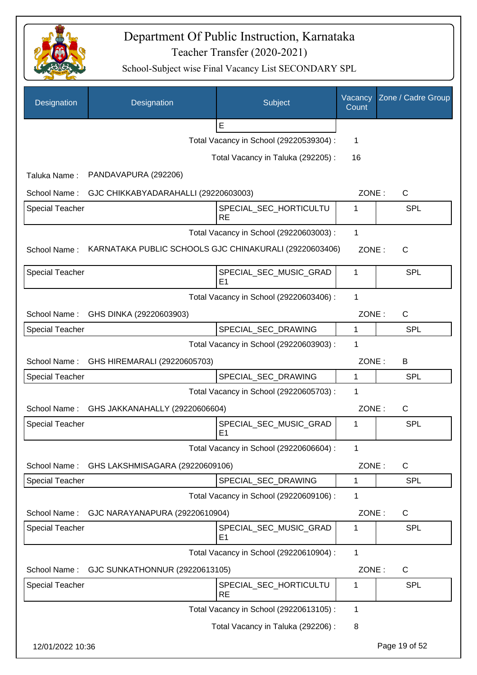

| Designation            | Designation                          | Subject                                                | Vacancy<br>Count | Zone / Cadre Group |
|------------------------|--------------------------------------|--------------------------------------------------------|------------------|--------------------|
|                        |                                      | E                                                      |                  |                    |
|                        |                                      | Total Vacancy in School (29220539304) :                | 1                |                    |
|                        |                                      | Total Vacancy in Taluka (292205):                      | 16               |                    |
| Taluka Name:           | PANDAVAPURA (292206)                 |                                                        |                  |                    |
| School Name:           | GJC CHIKKABYADARAHALLI (29220603003) |                                                        | ZONE:            | C                  |
| <b>Special Teacher</b> |                                      | SPECIAL_SEC_HORTICULTU<br><b>RE</b>                    | 1                | <b>SPL</b>         |
|                        |                                      | Total Vacancy in School (29220603003) :                | 1                |                    |
| School Name:           |                                      | KARNATAKA PUBLIC SCHOOLS GJC CHINAKURALI (29220603406) | ZONE:            | C                  |
| <b>Special Teacher</b> |                                      | SPECIAL_SEC_MUSIC_GRAD<br>E <sub>1</sub>               | 1                | <b>SPL</b>         |
|                        |                                      | Total Vacancy in School (29220603406) :                | 1                |                    |
| School Name:           | GHS DINKA (29220603903)              |                                                        | ZONE:            | $\mathsf{C}$       |
| <b>Special Teacher</b> |                                      | SPECIAL_SEC_DRAWING                                    | 1                | <b>SPL</b>         |
|                        |                                      | Total Vacancy in School (29220603903) :                | 1                |                    |
| School Name:           | GHS HIREMARALI (29220605703)         |                                                        | ZONE:            | B                  |
| <b>Special Teacher</b> |                                      | SPECIAL_SEC_DRAWING                                    | $\mathbf{1}$     | <b>SPL</b>         |
|                        |                                      | Total Vacancy in School (29220605703) :                | 1                |                    |
| School Name:           | GHS JAKKANAHALLY (29220606604)       |                                                        | ZONE:            | $\mathsf{C}$       |
| <b>Special Teacher</b> |                                      | SPECIAL_SEC_MUSIC_GRAD<br>E <sub>1</sub>               | 1                | SPL                |
|                        |                                      | Total Vacancy in School (29220606604) :                | 1                |                    |
| School Name:           | GHS LAKSHMISAGARA (29220609106)      |                                                        | ZONE:            | $\mathsf C$        |
| <b>Special Teacher</b> |                                      | SPECIAL_SEC_DRAWING                                    | 1                | <b>SPL</b>         |
|                        |                                      | Total Vacancy in School (29220609106) :                | 1                |                    |
| School Name:           | GJC NARAYANAPURA (29220610904)       |                                                        | ZONE:            | C                  |
| <b>Special Teacher</b> |                                      | SPECIAL_SEC_MUSIC_GRAD<br>E1                           | 1                | <b>SPL</b>         |
|                        |                                      | Total Vacancy in School (29220610904) :                | 1                |                    |
| School Name:           | GJC SUNKATHONNUR (29220613105)       |                                                        | ZONE:            | C                  |
| Special Teacher        |                                      | SPECIAL_SEC_HORTICULTU<br><b>RE</b>                    | 1                | <b>SPL</b>         |
|                        |                                      | Total Vacancy in School (29220613105) :                | 1                |                    |
|                        |                                      | Total Vacancy in Taluka (292206) :                     | 8                |                    |
| 12/01/2022 10:36       |                                      |                                                        |                  | Page 19 of 52      |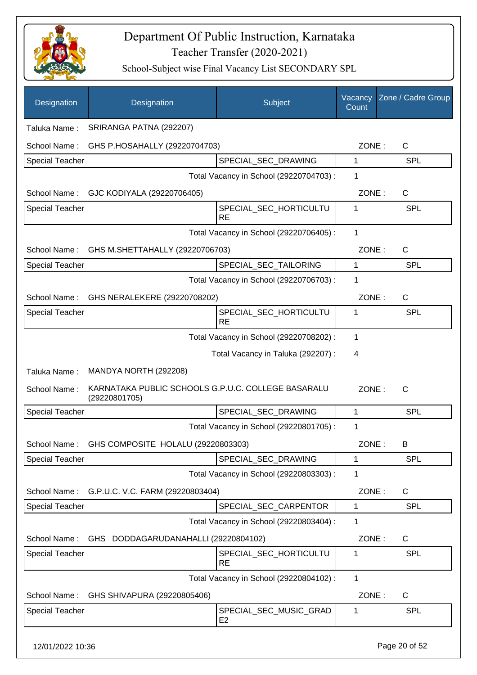

| Designation            | Designation                                                         | Subject                                  | Vacancy<br>Count | Zone / Cadre Group |
|------------------------|---------------------------------------------------------------------|------------------------------------------|------------------|--------------------|
| Taluka Name:           | SRIRANGA PATNA (292207)                                             |                                          |                  |                    |
| School Name:           | GHS P.HOSAHALLY (29220704703)                                       |                                          | ZONE:            | C                  |
| <b>Special Teacher</b> |                                                                     | SPECIAL_SEC_DRAWING                      | 1                | <b>SPL</b>         |
|                        |                                                                     | Total Vacancy in School (29220704703) :  | 1                |                    |
| School Name:           | GJC KODIYALA (29220706405)                                          |                                          | ZONE:            | C                  |
| <b>Special Teacher</b> |                                                                     | SPECIAL_SEC_HORTICULTU<br><b>RE</b>      | 1                | <b>SPL</b>         |
|                        |                                                                     | Total Vacancy in School (29220706405) :  | 1                |                    |
| School Name:           | GHS M.SHETTAHALLY (29220706703)                                     |                                          | ZONE:            | C                  |
| <b>Special Teacher</b> |                                                                     | SPECIAL_SEC_TAILORING                    | 1                | <b>SPL</b>         |
|                        |                                                                     | Total Vacancy in School (29220706703) :  | 1                |                    |
| School Name:           | GHS NERALEKERE (29220708202)                                        |                                          | ZONE:            | C                  |
| <b>Special Teacher</b> |                                                                     | SPECIAL_SEC_HORTICULTU<br><b>RE</b>      | 1                | <b>SPL</b>         |
|                        |                                                                     | Total Vacancy in School (29220708202) :  | 1                |                    |
|                        |                                                                     | Total Vacancy in Taluka (292207) :       | 4                |                    |
| Taluka Name:           | MANDYA NORTH (292208)                                               |                                          |                  |                    |
| School Name:           | KARNATAKA PUBLIC SCHOOLS G.P.U.C. COLLEGE BASARALU<br>(29220801705) |                                          | ZONE:            | $\mathsf{C}$       |
| <b>Special Teacher</b> |                                                                     | SPECIAL_SEC_DRAWING                      | 1                | SPL                |
|                        |                                                                     | Total Vacancy in School (29220801705) :  | 1                |                    |
|                        | School Name: GHS COMPOSITE HOLALU (29220803303)                     |                                          | ZONE:            | В                  |
| <b>Special Teacher</b> |                                                                     | SPECIAL SEC DRAWING                      | 1                | <b>SPL</b>         |
|                        |                                                                     | Total Vacancy in School (29220803303) :  | 1                |                    |
| School Name:           | G.P.U.C. V.C. FARM (29220803404)                                    |                                          | ZONE:            | $\mathsf{C}$       |
| <b>Special Teacher</b> |                                                                     | SPECIAL_SEC_CARPENTOR                    | 1                | <b>SPL</b>         |
|                        |                                                                     | Total Vacancy in School (29220803404) :  | 1                |                    |
| School Name:           | GHS DODDAGARUDANAHALLI (29220804102)                                |                                          | ZONE:            | C                  |
| <b>Special Teacher</b> |                                                                     | SPECIAL_SEC_HORTICULTU<br><b>RE</b>      | 1                | <b>SPL</b>         |
|                        |                                                                     | Total Vacancy in School (29220804102) :  | $\mathbf{1}$     |                    |
| School Name:           | GHS SHIVAPURA (29220805406)                                         |                                          | ZONE:            | C                  |
| <b>Special Teacher</b> |                                                                     | SPECIAL_SEC_MUSIC_GRAD<br>E <sub>2</sub> | 1                | <b>SPL</b>         |
| 12/01/2022 10:36       |                                                                     |                                          |                  | Page 20 of 52      |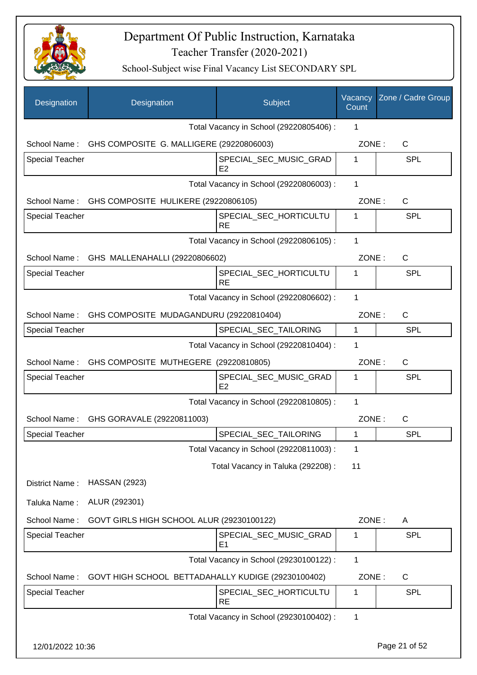

| Designation            | Designation                                           | Subject                                  | Vacancy<br>Count | Zone / Cadre Group |
|------------------------|-------------------------------------------------------|------------------------------------------|------------------|--------------------|
|                        |                                                       | Total Vacancy in School (29220805406) :  | 1                |                    |
|                        | School Name: GHS COMPOSITE G. MALLIGERE (29220806003) |                                          | ZONE:            | C                  |
| Special Teacher        |                                                       | SPECIAL_SEC_MUSIC_GRAD<br>E <sub>2</sub> | 1                | <b>SPL</b>         |
|                        |                                                       | Total Vacancy in School (29220806003) :  | 1                |                    |
|                        | School Name: GHS COMPOSITE HULIKERE (29220806105)     |                                          | ZONE:            | $\mathsf{C}$       |
| <b>Special Teacher</b> |                                                       | SPECIAL_SEC_HORTICULTU<br><b>RE</b>      | 1                | <b>SPL</b>         |
|                        |                                                       | Total Vacancy in School (29220806105) :  | 1                |                    |
|                        | School Name: GHS MALLENAHALLI (29220806602)           |                                          | ZONE:            | $\mathsf{C}$       |
| <b>Special Teacher</b> |                                                       | SPECIAL_SEC_HORTICULTU<br><b>RE</b>      | 1                | <b>SPL</b>         |
|                        |                                                       | Total Vacancy in School (29220806602) :  | 1                |                    |
|                        | School Name: GHS COMPOSITE MUDAGANDURU (29220810404)  |                                          | ZONE:            | $\mathsf{C}$       |
| Special Teacher        |                                                       | SPECIAL_SEC_TAILORING                    | $\mathbf{1}$     | <b>SPL</b>         |
|                        |                                                       | Total Vacancy in School (29220810404) :  | 1                |                    |
|                        | School Name: GHS COMPOSITE MUTHEGERE (29220810805)    |                                          | ZONE:            | C                  |
| Special Teacher        |                                                       | SPECIAL_SEC_MUSIC_GRAD<br>E <sub>2</sub> | 1                | <b>SPL</b>         |
|                        |                                                       | Total Vacancy in School (29220810805) :  | 1                |                    |
| School Name:           | GHS GORAVALE (29220811003)                            |                                          | ZONE:            | $\mathsf{C}$       |
| <b>Special Teacher</b> |                                                       | SPECIAL_SEC_TAILORING                    | 1                | <b>SPL</b>         |
|                        |                                                       | Total Vacancy in School (29220811003) :  | 1                |                    |
|                        |                                                       | Total Vacancy in Taluka (292208) :       | 11               |                    |
| District Name:         | <b>HASSAN (2923)</b>                                  |                                          |                  |                    |
| Taluka Name:           | ALUR (292301)                                         |                                          |                  |                    |
| School Name:           | GOVT GIRLS HIGH SCHOOL ALUR (29230100122)             |                                          | ZONE:            | A                  |
| Special Teacher        |                                                       | SPECIAL_SEC_MUSIC_GRAD<br>E <sub>1</sub> | 1                | <b>SPL</b>         |
|                        |                                                       | Total Vacancy in School (29230100122) :  | 1                |                    |
| School Name:           | GOVT HIGH SCHOOL BETTADAHALLY KUDIGE (29230100402)    |                                          | ZONE:            | C                  |
| Special Teacher        |                                                       | SPECIAL_SEC_HORTICULTU<br><b>RE</b>      | 1                | <b>SPL</b>         |
|                        |                                                       | Total Vacancy in School (29230100402) :  | 1                |                    |
| 12/01/2022 10:36       |                                                       |                                          |                  | Page 21 of 52      |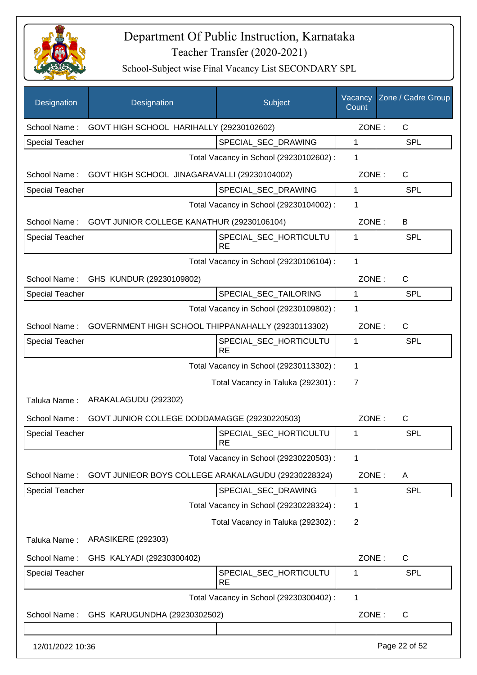

| Designation            | Designation                                             | Subject                                 | Vacancy<br>Count | Zone / Cadre Group |
|------------------------|---------------------------------------------------------|-----------------------------------------|------------------|--------------------|
| School Name:           | GOVT HIGH SCHOOL HARIHALLY (29230102602)                |                                         | ZONE:            | $\mathsf{C}$       |
| <b>Special Teacher</b> |                                                         | SPECIAL SEC DRAWING                     | 1                | <b>SPL</b>         |
|                        |                                                         | Total Vacancy in School (29230102602) : | 1                |                    |
| School Name:           | GOVT HIGH SCHOOL JINAGARAVALLI (29230104002)            |                                         | ZONE:            | C                  |
| <b>Special Teacher</b> |                                                         | SPECIAL_SEC_DRAWING                     | 1                | <b>SPL</b>         |
|                        |                                                         | Total Vacancy in School (29230104002) : | 1                |                    |
|                        | School Name: GOVT JUNIOR COLLEGE KANATHUR (29230106104) |                                         | ZONE:            | B                  |
| <b>Special Teacher</b> |                                                         | SPECIAL_SEC_HORTICULTU<br><b>RE</b>     | 1                | <b>SPL</b>         |
|                        |                                                         | Total Vacancy in School (29230106104) : | 1                |                    |
| School Name:           | GHS KUNDUR (29230109802)                                |                                         | ZONE:            | $\mathsf{C}$       |
| <b>Special Teacher</b> |                                                         | SPECIAL_SEC_TAILORING                   | $\mathbf{1}$     | <b>SPL</b>         |
|                        |                                                         | Total Vacancy in School (29230109802) : | 1                |                    |
| School Name:           | GOVERNMENT HIGH SCHOOL THIPPANAHALLY (29230113302)      |                                         | ZONE:            | C                  |
| <b>Special Teacher</b> |                                                         | SPECIAL_SEC_HORTICULTU<br>RE            | 1                | <b>SPL</b>         |
|                        |                                                         | Total Vacancy in School (29230113302) : | $\mathbf{1}$     |                    |
|                        |                                                         | Total Vacancy in Taluka (292301) :      | $\overline{7}$   |                    |
| Taluka Name:           | ARAKALAGUDU (292302)                                    |                                         |                  |                    |
| School Name:           | GOVT JUNIOR COLLEGE DODDAMAGGE (29230220503)            |                                         | ZONE:            | $\mathsf{C}$       |
| <b>Special Teacher</b> |                                                         | SPECIAL_SEC_HORTICULTU                  | 1                | <b>SPL</b>         |
|                        |                                                         | <b>RE</b>                               |                  |                    |
|                        |                                                         | Total Vacancy in School (29230220503) : | 1                |                    |
| School Name:           | GOVT JUNIEOR BOYS COLLEGE ARAKALAGUDU (29230228324)     |                                         | ZONE:            | A                  |
| <b>Special Teacher</b> |                                                         | SPECIAL_SEC_DRAWING                     | 1                | <b>SPL</b>         |
|                        |                                                         | Total Vacancy in School (29230228324) : | 1                |                    |
|                        |                                                         | Total Vacancy in Taluka (292302):       | $\overline{2}$   |                    |
| Taluka Name:           | <b>ARASIKERE (292303)</b>                               |                                         |                  |                    |
| School Name:           | GHS KALYADI (29230300402)                               |                                         | ZONE:            | $\mathsf{C}$       |
| <b>Special Teacher</b> |                                                         | SPECIAL_SEC_HORTICULTU<br><b>RE</b>     | 1                | <b>SPL</b>         |
|                        |                                                         | Total Vacancy in School (29230300402) : | 1                |                    |
| School Name:           | GHS KARUGUNDHA (29230302502)                            |                                         | ZONE:            | $\mathsf{C}$       |
|                        |                                                         |                                         |                  |                    |
| 12/01/2022 10:36       |                                                         |                                         |                  | Page 22 of 52      |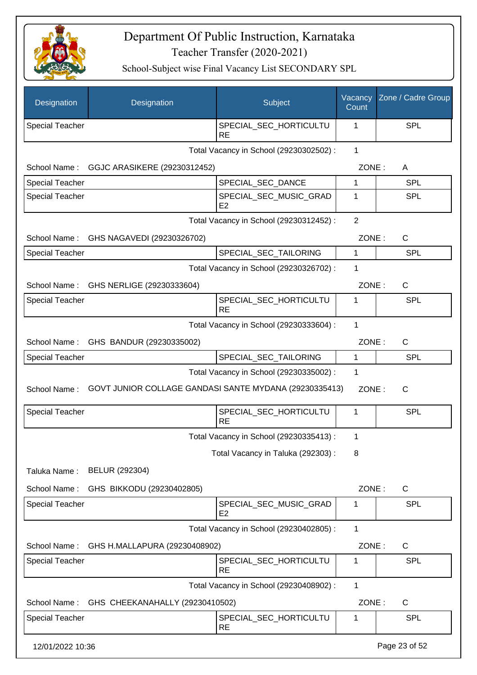

| Designation            | Designation                                            | Subject                                  | Vacancy<br>Count | Zone / Cadre Group |
|------------------------|--------------------------------------------------------|------------------------------------------|------------------|--------------------|
| <b>Special Teacher</b> |                                                        | SPECIAL_SEC_HORTICULTU<br><b>RE</b>      | 1                | <b>SPL</b>         |
|                        |                                                        | Total Vacancy in School (29230302502) :  | 1                |                    |
| School Name:           | GGJC ARASIKERE (29230312452)                           |                                          | ZONE:            | A                  |
| <b>Special Teacher</b> |                                                        | SPECIAL_SEC_DANCE                        | 1                | <b>SPL</b>         |
| <b>Special Teacher</b> |                                                        | SPECIAL_SEC_MUSIC_GRAD<br>E <sub>2</sub> | 1                | <b>SPL</b>         |
|                        |                                                        | Total Vacancy in School (29230312452) :  | $\overline{2}$   |                    |
| School Name:           | GHS NAGAVEDI (29230326702)                             |                                          | ZONE:            | $\mathsf{C}$       |
| <b>Special Teacher</b> |                                                        | SPECIAL_SEC_TAILORING                    | 1                | <b>SPL</b>         |
|                        |                                                        | Total Vacancy in School (29230326702) :  | 1                |                    |
|                        | School Name: GHS NERLIGE (29230333604)                 |                                          | ZONE:            | $\mathsf{C}$       |
| <b>Special Teacher</b> |                                                        | SPECIAL_SEC_HORTICULTU<br><b>RE</b>      | 1                | SPL                |
|                        |                                                        | Total Vacancy in School (29230333604) :  | $\mathbf{1}$     |                    |
| School Name:           | GHS BANDUR (29230335002)                               |                                          | ZONE:            | $\mathsf{C}$       |
| <b>Special Teacher</b> |                                                        | SPECIAL_SEC_TAILORING                    | $\mathbf{1}$     | <b>SPL</b>         |
|                        |                                                        | Total Vacancy in School (29230335002) :  | 1                |                    |
| School Name:           | GOVT JUNIOR COLLAGE GANDASI SANTE MYDANA (29230335413) |                                          | ZONE:            | $\mathsf{C}$       |
| <b>Special Teacher</b> |                                                        | SPECIAL_SEC_HORTICULTU<br><b>RE</b>      | 1                | <b>SPL</b>         |
|                        |                                                        | Total Vacancy in School (29230335413) :  | 1                |                    |
|                        |                                                        | Total Vacancy in Taluka (292303):        | 8                |                    |
| Taluka Name:           | BELUR (292304)                                         |                                          |                  |                    |
| School Name:           | GHS BIKKODU (29230402805)                              |                                          | ZONE:            | $\mathsf{C}$       |
| <b>Special Teacher</b> |                                                        | SPECIAL_SEC_MUSIC_GRAD<br>E <sub>2</sub> | 1                | <b>SPL</b>         |
|                        |                                                        | Total Vacancy in School (29230402805) :  | 1                |                    |
| School Name:           | GHS H.MALLAPURA (29230408902)                          |                                          | ZONE:            | $\mathsf{C}$       |
| Special Teacher        |                                                        | SPECIAL_SEC_HORTICULTU<br><b>RE</b>      | 1                | <b>SPL</b>         |
|                        |                                                        | Total Vacancy in School (29230408902) :  | 1                |                    |
| School Name:           | GHS CHEEKANAHALLY (29230410502)                        |                                          | ZONE:            | C                  |
| Special Teacher        |                                                        | SPECIAL_SEC_HORTICULTU<br><b>RE</b>      | 1                | <b>SPL</b>         |
| 12/01/2022 10:36       |                                                        |                                          |                  | Page 23 of 52      |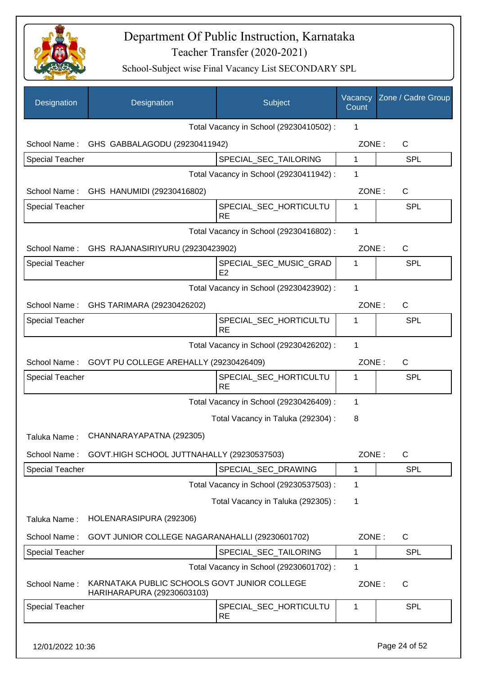

School-Subject wise Final Vacancy List SECONDARY SPL

| Designation            | Designation                                                                | Subject                                  | Vacancy<br>Count | Zone / Cadre Group |
|------------------------|----------------------------------------------------------------------------|------------------------------------------|------------------|--------------------|
|                        |                                                                            | Total Vacancy in School (29230410502) :  | 1                |                    |
|                        | School Name: GHS GABBALAGODU (29230411942)                                 |                                          | ZONE:            | $\mathsf C$        |
| <b>Special Teacher</b> |                                                                            | SPECIAL_SEC_TAILORING                    | $\mathbf{1}$     | <b>SPL</b>         |
|                        |                                                                            | Total Vacancy in School (29230411942) :  | 1                |                    |
|                        | School Name: GHS HANUMIDI (29230416802)                                    |                                          | ZONE:            | C                  |
| <b>Special Teacher</b> |                                                                            | SPECIAL_SEC_HORTICULTU<br><b>RE</b>      | 1                | SPL                |
|                        |                                                                            | Total Vacancy in School (29230416802) :  | 1                |                    |
|                        | School Name: GHS RAJANASIRIYURU (29230423902)                              |                                          | ZONE:            | $\mathsf C$        |
| <b>Special Teacher</b> |                                                                            | SPECIAL_SEC_MUSIC_GRAD<br>E <sub>2</sub> | 1                | SPL                |
|                        |                                                                            | Total Vacancy in School (29230423902) :  | 1                |                    |
| School Name:           | GHS TARIMARA (29230426202)                                                 |                                          | ZONE:            | C                  |
| <b>Special Teacher</b> |                                                                            | SPECIAL_SEC_HORTICULTU<br><b>RE</b>      | 1                | SPL                |
|                        |                                                                            | Total Vacancy in School (29230426202) :  | $\mathbf{1}$     |                    |
|                        | School Name: GOVT PU COLLEGE AREHALLY (29230426409)                        |                                          | ZONE:            | C                  |
| <b>Special Teacher</b> |                                                                            | SPECIAL_SEC_HORTICULTU<br><b>RE</b>      | 1                | SPL                |
|                        |                                                                            | Total Vacancy in School (29230426409) :  | 1                |                    |
|                        |                                                                            | Total Vacancy in Taluka (292304) :       | 8                |                    |
| Taluka Name:           | CHANNARAYAPATNA (292305)                                                   |                                          |                  |                    |
| School Name:           | GOVT.HIGH SCHOOL JUTTNAHALLY (29230537503)                                 |                                          | ZONE:            | C                  |
| <b>Special Teacher</b> |                                                                            | SPECIAL SEC DRAWING                      | 1                | <b>SPL</b>         |
|                        |                                                                            | Total Vacancy in School (29230537503) :  | 1                |                    |
|                        |                                                                            | Total Vacancy in Taluka (292305):        | 1                |                    |
| Taluka Name:           | HOLENARASIPURA (292306)                                                    |                                          |                  |                    |
| School Name:           | GOVT JUNIOR COLLEGE NAGARANAHALLI (29230601702)                            |                                          | ZONE:            | C                  |
| <b>Special Teacher</b> |                                                                            | SPECIAL_SEC_TAILORING                    | $\mathbf{1}$     | <b>SPL</b>         |
|                        |                                                                            | Total Vacancy in School (29230601702) :  | 1                |                    |
| School Name:           | KARNATAKA PUBLIC SCHOOLS GOVT JUNIOR COLLEGE<br>HARIHARAPURA (29230603103) |                                          | ZONE:            | C                  |
| <b>Special Teacher</b> |                                                                            | SPECIAL_SEC_HORTICULTU<br><b>RE</b>      | 1                | <b>SPL</b>         |
|                        |                                                                            |                                          |                  |                    |

12/01/2022 10:36 Page 24 of 52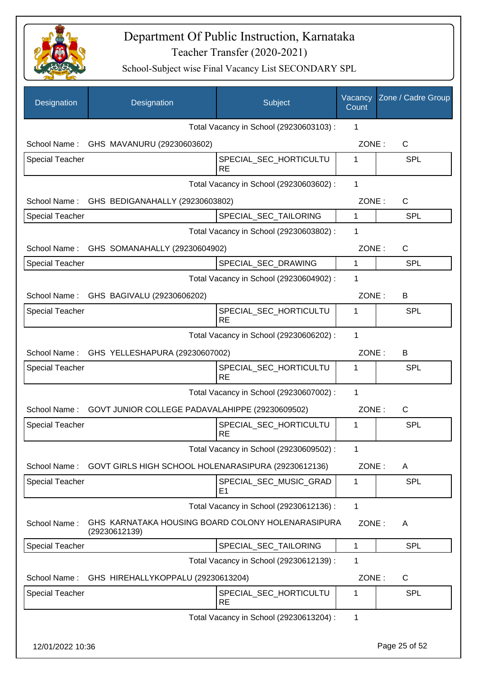

| Designation            | Designation                                                        | Subject                                 | Vacancy<br>Count | Zone / Cadre Group |
|------------------------|--------------------------------------------------------------------|-----------------------------------------|------------------|--------------------|
|                        |                                                                    | Total Vacancy in School (29230603103) : | 1                |                    |
|                        | School Name: GHS MAVANURU (29230603602)                            |                                         | ZONE:            | C                  |
| <b>Special Teacher</b> |                                                                    | SPECIAL_SEC_HORTICULTU<br><b>RE</b>     | 1                | <b>SPL</b>         |
|                        |                                                                    | Total Vacancy in School (29230603602) : | 1                |                    |
|                        | School Name: GHS BEDIGANAHALLY (29230603802)                       |                                         | ZONE:            | $\mathsf{C}$       |
| <b>Special Teacher</b> |                                                                    | SPECIAL_SEC_TAILORING                   | $\mathbf{1}$     | <b>SPL</b>         |
|                        |                                                                    | Total Vacancy in School (29230603802) : | 1                |                    |
|                        | School Name: GHS SOMANAHALLY (29230604902)                         |                                         | ZONE:            | $\mathsf{C}$       |
| <b>Special Teacher</b> |                                                                    | SPECIAL_SEC_DRAWING                     | $\mathbf{1}$     | <b>SPL</b>         |
|                        |                                                                    | Total Vacancy in School (29230604902) : | 1                |                    |
|                        | School Name: GHS BAGIVALU (29230606202)                            |                                         | ZONE:            | B                  |
| <b>Special Teacher</b> |                                                                    | SPECIAL_SEC_HORTICULTU<br><b>RE</b>     | 1                | <b>SPL</b>         |
|                        |                                                                    | Total Vacancy in School (29230606202) : | 1                |                    |
|                        | School Name: GHS YELLESHAPURA (29230607002)                        |                                         | ZONE:            | В                  |
| <b>Special Teacher</b> |                                                                    | SPECIAL_SEC_HORTICULTU<br><b>RE</b>     | 1                | <b>SPL</b>         |
|                        |                                                                    | Total Vacancy in School (29230607002) : | 1                |                    |
| School Name:           | GOVT JUNIOR COLLEGE PADAVALAHIPPE (29230609502)                    |                                         | ZONE:            | $\mathsf{C}$       |
| Special Teacher        |                                                                    | SPECIAL_SEC_HORTICULTU<br><b>RE</b>     | 1                | <b>SPL</b>         |
|                        |                                                                    | Total Vacancy in School (29230609502) : | 1                |                    |
| School Name:           | GOVT GIRLS HIGH SCHOOL HOLENARASIPURA (29230612136)                |                                         | ZONE:            | A                  |
| <b>Special Teacher</b> |                                                                    | SPECIAL_SEC_MUSIC_GRAD<br>E1            | 1                | <b>SPL</b>         |
|                        |                                                                    | Total Vacancy in School (29230612136) : | 1                |                    |
| School Name:           | GHS KARNATAKA HOUSING BOARD COLONY HOLENARASIPURA<br>(29230612139) |                                         | ZONE:            | A                  |
| <b>Special Teacher</b> |                                                                    | SPECIAL_SEC_TAILORING                   | 1                | <b>SPL</b>         |
|                        |                                                                    | Total Vacancy in School (29230612139) : | 1                |                    |
| School Name:           | GHS HIREHALLYKOPPALU (29230613204)                                 |                                         | ZONE:            | C                  |
| <b>Special Teacher</b> |                                                                    | SPECIAL_SEC_HORTICULTU<br><b>RE</b>     | 1                | <b>SPL</b>         |
|                        |                                                                    | Total Vacancy in School (29230613204) : | 1                |                    |
| 12/01/2022 10:36       |                                                                    |                                         |                  | Page 25 of 52      |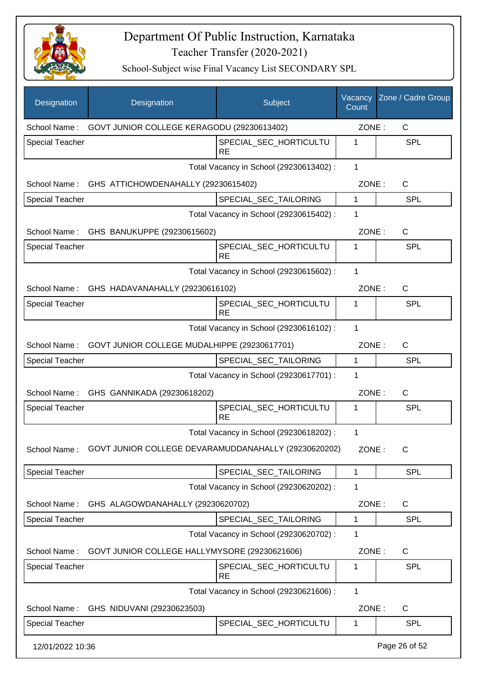

| Designation            | Designation                                               | Subject                                 | Vacancy<br>Count | Zone / Cadre Group |
|------------------------|-----------------------------------------------------------|-----------------------------------------|------------------|--------------------|
|                        | School Name: GOVT JUNIOR COLLEGE KERAGODU (29230613402)   |                                         | ZONE:            | C                  |
| <b>Special Teacher</b> |                                                           | SPECIAL_SEC_HORTICULTU<br><b>RE</b>     | 1                | <b>SPL</b>         |
|                        |                                                           | Total Vacancy in School (29230613402) : | $\mathbf{1}$     |                    |
|                        | School Name: GHS ATTICHOWDENAHALLY (29230615402)          |                                         | ZONE:            | C                  |
| <b>Special Teacher</b> |                                                           | SPECIAL_SEC_TAILORING                   | 1                | <b>SPL</b>         |
|                        |                                                           | Total Vacancy in School (29230615402) : | 1                |                    |
|                        | School Name: GHS BANUKUPPE (29230615602)                  |                                         | ZONE:            | C                  |
| <b>Special Teacher</b> |                                                           | SPECIAL_SEC_HORTICULTU<br><b>RE</b>     | 1                | <b>SPL</b>         |
|                        |                                                           | Total Vacancy in School (29230615602) : | 1                |                    |
|                        | School Name: GHS HADAVANAHALLY (29230616102)              |                                         | ZONE:            | $\mathsf{C}$       |
| <b>Special Teacher</b> |                                                           | SPECIAL_SEC_HORTICULTU<br><b>RE</b>     | 1                | <b>SPL</b>         |
|                        |                                                           | Total Vacancy in School (29230616102) : | 1                |                    |
|                        | School Name: GOVT JUNIOR COLLEGE MUDALHIPPE (29230617701) |                                         | ZONE:            | $\mathsf{C}$       |
| <b>Special Teacher</b> |                                                           | SPECIAL_SEC_TAILORING                   | $\mathbf{1}$     | <b>SPL</b>         |
|                        |                                                           | Total Vacancy in School (29230617701) : | 1                |                    |
|                        | School Name: GHS GANNIKADA (29230618202)                  |                                         | ZONE:            | C                  |
| Special Teacher        |                                                           | SPECIAL_SEC_HORTICULTU<br><b>RE</b>     | 1                | SPL                |
|                        |                                                           | Total Vacancy in School (29230618202) : | 1                |                    |
| School Name:           | GOVT JUNIOR COLLEGE DEVARAMUDDANAHALLY (29230620202)      |                                         | ZONE:            | С                  |
| <b>Special Teacher</b> |                                                           | SPECIAL_SEC_TAILORING                   | 1                | <b>SPL</b>         |
|                        |                                                           | Total Vacancy in School (29230620202) : | 1                |                    |
| School Name:           | GHS ALAGOWDANAHALLY (29230620702)                         |                                         | ZONE:            | C                  |
| <b>Special Teacher</b> |                                                           | SPECIAL_SEC_TAILORING                   | 1                | <b>SPL</b>         |
|                        |                                                           | Total Vacancy in School (29230620702) : | 1                |                    |
| School Name:           | GOVT JUNIOR COLLEGE HALLYMYSORE (29230621606)             |                                         | ZONE:            | C                  |
| <b>Special Teacher</b> |                                                           | SPECIAL_SEC_HORTICULTU<br>RE            | 1                | <b>SPL</b>         |
|                        |                                                           | Total Vacancy in School (29230621606) : | 1                |                    |
| School Name:           | GHS NIDUVANI (29230623503)                                |                                         | ZONE:            | C                  |
| <b>Special Teacher</b> |                                                           | SPECIAL_SEC_HORTICULTU                  | 1                | <b>SPL</b>         |
| 12/01/2022 10:36       |                                                           |                                         |                  | Page 26 of 52      |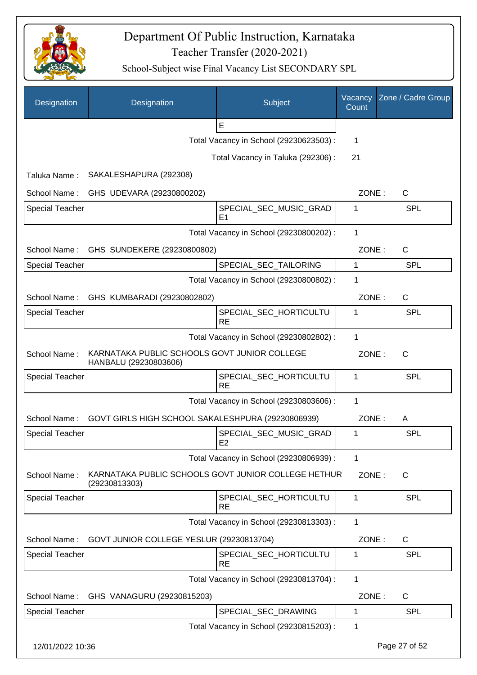

| Designation            | Designation                                                           | Subject                                  | Vacancy<br>Count | Zone / Cadre Group |
|------------------------|-----------------------------------------------------------------------|------------------------------------------|------------------|--------------------|
|                        |                                                                       | $\mathsf E$                              |                  |                    |
|                        |                                                                       | Total Vacancy in School (29230623503) :  | 1                |                    |
|                        |                                                                       | Total Vacancy in Taluka (292306) :       | 21               |                    |
| Taluka Name:           | SAKALESHAPURA (292308)                                                |                                          |                  |                    |
| School Name:           | GHS UDEVARA (29230800202)                                             |                                          | ZONE:            | $\mathsf{C}$       |
| <b>Special Teacher</b> |                                                                       | SPECIAL_SEC_MUSIC_GRAD<br>E <sub>1</sub> | 1                | <b>SPL</b>         |
|                        |                                                                       | Total Vacancy in School (29230800202) :  | 1                |                    |
| School Name:           | GHS SUNDEKERE (29230800802)                                           |                                          | ZONE:            | C                  |
| <b>Special Teacher</b> |                                                                       | SPECIAL_SEC_TAILORING                    | $\mathbf{1}$     | <b>SPL</b>         |
|                        |                                                                       | Total Vacancy in School (29230800802) :  | 1                |                    |
| School Name:           | GHS KUMBARADI (29230802802)                                           |                                          | ZONE:            | $\mathsf{C}$       |
| <b>Special Teacher</b> |                                                                       | SPECIAL_SEC_HORTICULTU<br><b>RE</b>      | 1                | <b>SPL</b>         |
|                        |                                                                       | Total Vacancy in School (29230802802) :  | 1                |                    |
| School Name:           | KARNATAKA PUBLIC SCHOOLS GOVT JUNIOR COLLEGE<br>HANBALU (29230803606) |                                          | ZONE:            | $\mathsf{C}$       |
| <b>Special Teacher</b> |                                                                       | SPECIAL_SEC_HORTICULTU<br><b>RE</b>      | 1                | <b>SPL</b>         |
|                        |                                                                       | Total Vacancy in School (29230803606) :  | 1                |                    |
| School Name:           | GOVT GIRLS HIGH SCHOOL SAKALESHPURA (29230806939)                     |                                          | ZONE:            | A                  |
| <b>Special Teacher</b> |                                                                       | SPECIAL_SEC_MUSIC_GRAD<br>E <sub>2</sub> | 1                | <b>SPL</b>         |
|                        |                                                                       | Total Vacancy in School (29230806939) :  | 1                |                    |
| School Name:           | KARNATAKA PUBLIC SCHOOLS GOVT JUNIOR COLLEGE HETHUR<br>(29230813303)  |                                          | ZONE:            | C                  |
| <b>Special Teacher</b> |                                                                       | SPECIAL SEC HORTICULTU<br><b>RE</b>      | 1                | <b>SPL</b>         |
|                        |                                                                       | Total Vacancy in School (29230813303) :  | 1                |                    |
| School Name:           | GOVT JUNIOR COLLEGE YESLUR (29230813704)                              |                                          | ZONE:            | $\mathsf{C}$       |
| <b>Special Teacher</b> |                                                                       | SPECIAL_SEC_HORTICULTU<br><b>RE</b>      | 1                | <b>SPL</b>         |
|                        |                                                                       | Total Vacancy in School (29230813704) :  | 1                |                    |
| School Name:           | GHS VANAGURU (29230815203)                                            |                                          | ZONE:            | C                  |
| <b>Special Teacher</b> |                                                                       | SPECIAL_SEC_DRAWING                      | 1                | <b>SPL</b>         |
|                        |                                                                       | Total Vacancy in School (29230815203) :  | 1                |                    |
| 12/01/2022 10:36       |                                                                       |                                          |                  | Page 27 of 52      |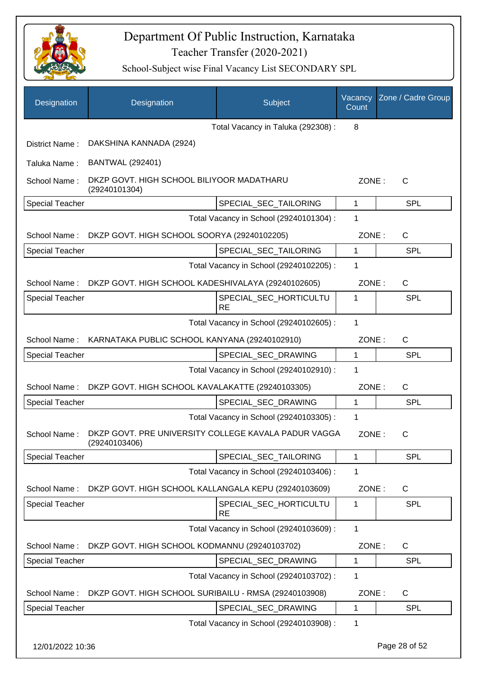

| Designation            | Designation                                                           | Subject                                 | Vacancy<br>Count | Zone / Cadre Group |
|------------------------|-----------------------------------------------------------------------|-----------------------------------------|------------------|--------------------|
|                        |                                                                       | Total Vacancy in Taluka (292308) :      | 8                |                    |
| District Name:         | DAKSHINA KANNADA (2924)                                               |                                         |                  |                    |
| Taluka Name:           | <b>BANTWAL (292401)</b>                                               |                                         |                  |                    |
| School Name:           | DKZP GOVT. HIGH SCHOOL BILIYOOR MADATHARU<br>(29240101304)            |                                         | ZONE:            | $\mathsf{C}$       |
| <b>Special Teacher</b> |                                                                       | SPECIAL_SEC_TAILORING                   | 1                | <b>SPL</b>         |
|                        |                                                                       | Total Vacancy in School (29240101304) : | 1                |                    |
| School Name:           | DKZP GOVT. HIGH SCHOOL SOORYA (29240102205)                           |                                         | ZONE:            | C                  |
| <b>Special Teacher</b> |                                                                       | SPECIAL_SEC_TAILORING                   | 1                | SPL                |
|                        |                                                                       | Total Vacancy in School (29240102205) : | 1                |                    |
| School Name:           | DKZP GOVT. HIGH SCHOOL KADESHIVALAYA (29240102605)                    |                                         | ZONE:            | C                  |
| <b>Special Teacher</b> |                                                                       | SPECIAL_SEC_HORTICULTU<br><b>RE</b>     | 1                | SPL                |
|                        |                                                                       | Total Vacancy in School (29240102605) : | 1                |                    |
| School Name:           | KARNATAKA PUBLIC SCHOOL KANYANA (29240102910)                         |                                         | ZONE:            | C                  |
| <b>Special Teacher</b> |                                                                       | SPECIAL_SEC_DRAWING                     | 1                | <b>SPL</b>         |
|                        |                                                                       | Total Vacancy in School (29240102910) : | 1                |                    |
| School Name:           | DKZP GOVT. HIGH SCHOOL KAVALAKATTE (29240103305)                      |                                         | ZONE:            | C                  |
| <b>Special Teacher</b> |                                                                       | SPECIAL SEC DRAWING                     | 1                | <b>SPL</b>         |
|                        |                                                                       | Total Vacancy in School (29240103305) : | 1                |                    |
| School Name:           | DKZP GOVT. PRE UNIVERSITY COLLEGE KAVALA PADUR VAGGA<br>(29240103406) |                                         | ZONE:            | С                  |
| <b>Special Teacher</b> |                                                                       | SPECIAL_SEC_TAILORING                   | 1                | <b>SPL</b>         |
|                        |                                                                       | Total Vacancy in School (29240103406) : | 1                |                    |
| School Name:           | DKZP GOVT. HIGH SCHOOL KALLANGALA KEPU (29240103609)                  |                                         | ZONE:            | C                  |
| Special Teacher        |                                                                       | SPECIAL_SEC_HORTICULTU<br><b>RE</b>     | 1                | SPL                |
|                        |                                                                       | Total Vacancy in School (29240103609) : | 1                |                    |
| School Name:           | DKZP GOVT. HIGH SCHOOL KODMANNU (29240103702)                         |                                         | ZONE:            | C                  |
| <b>Special Teacher</b> |                                                                       | SPECIAL_SEC_DRAWING                     | 1                | <b>SPL</b>         |
|                        |                                                                       | Total Vacancy in School (29240103702) : | 1                |                    |
| School Name:           | DKZP GOVT. HIGH SCHOOL SURIBAILU - RMSA (29240103908)                 |                                         | ZONE:            | C                  |
| <b>Special Teacher</b> |                                                                       | SPECIAL_SEC_DRAWING                     | 1                | <b>SPL</b>         |
|                        |                                                                       | Total Vacancy in School (29240103908) : | 1                |                    |
| 12/01/2022 10:36       |                                                                       |                                         |                  | Page 28 of 52      |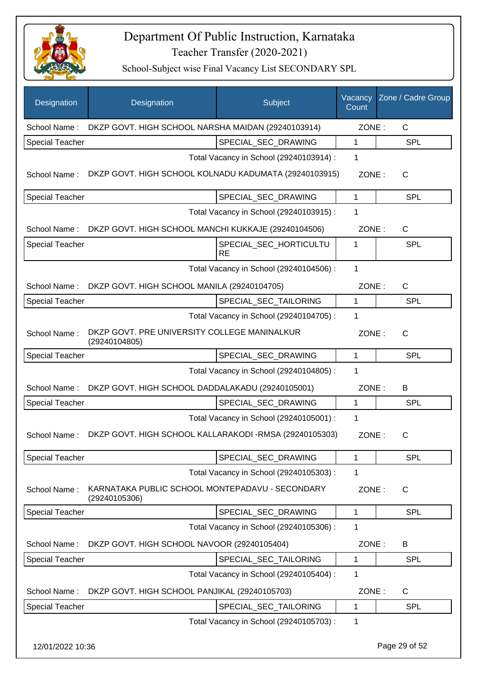

| Designation            | Designation                                                      | Subject                                 | Vacancy<br>Count | Zone / Cadre Group |
|------------------------|------------------------------------------------------------------|-----------------------------------------|------------------|--------------------|
| School Name:           | DKZP GOVT. HIGH SCHOOL NARSHA MAIDAN (29240103914)               |                                         | ZONE:            | $\mathsf{C}$       |
| <b>Special Teacher</b> |                                                                  | SPECIAL_SEC_DRAWING                     | 1                | <b>SPL</b>         |
|                        |                                                                  | Total Vacancy in School (29240103914) : | 1                |                    |
| School Name:           | DKZP GOVT. HIGH SCHOOL KOLNADU KADUMATA (29240103915)            |                                         | ZONE:            | $\mathsf{C}$       |
| <b>Special Teacher</b> |                                                                  | SPECIAL_SEC_DRAWING                     | 1                | <b>SPL</b>         |
|                        |                                                                  | Total Vacancy in School (29240103915) : | 1                |                    |
| School Name:           | DKZP GOVT. HIGH SCHOOL MANCHI KUKKAJE (29240104506)              |                                         | ZONE:            | $\mathsf{C}$       |
| <b>Special Teacher</b> |                                                                  | SPECIAL_SEC_HORTICULTU<br><b>RE</b>     | 1                | <b>SPL</b>         |
|                        |                                                                  | Total Vacancy in School (29240104506) : | 1                |                    |
| School Name:           | DKZP GOVT. HIGH SCHOOL MANILA (29240104705)                      |                                         | ZONE:            | $\mathsf{C}$       |
| <b>Special Teacher</b> |                                                                  | SPECIAL_SEC_TAILORING                   | 1                | <b>SPL</b>         |
|                        |                                                                  | Total Vacancy in School (29240104705) : | 1                |                    |
| School Name:           | DKZP GOVT. PRE UNIVERSITY COLLEGE MANINALKUR<br>(29240104805)    |                                         | ZONE:            | $\mathsf{C}$       |
| <b>Special Teacher</b> |                                                                  | SPECIAL_SEC_DRAWING                     | 1                | <b>SPL</b>         |
|                        |                                                                  | Total Vacancy in School (29240104805) : | 1                |                    |
| School Name:           | DKZP GOVT. HIGH SCHOOL DADDALAKADU (29240105001)                 |                                         | ZONE:            | B                  |
| <b>Special Teacher</b> |                                                                  | SPECIAL SEC DRAWING                     | 1                | <b>SPL</b>         |
|                        |                                                                  | Total Vacancy in School (29240105001) : | 1                |                    |
| School Name:           | DKZP GOVT. HIGH SCHOOL KALLARAKODI -RMSA (29240105303)           |                                         | ZONE:            | C                  |
| <b>Special Teacher</b> |                                                                  | SPECIAL_SEC_DRAWING                     | 1                | <b>SPL</b>         |
|                        |                                                                  | Total Vacancy in School (29240105303) : | 1                |                    |
| School Name:           | KARNATAKA PUBLIC SCHOOL MONTEPADAVU - SECONDARY<br>(29240105306) |                                         | ZONE:            | C                  |
| <b>Special Teacher</b> |                                                                  | SPECIAL_SEC_DRAWING                     | 1                | <b>SPL</b>         |
|                        |                                                                  | Total Vacancy in School (29240105306) : | 1                |                    |
| School Name:           | DKZP GOVT. HIGH SCHOOL NAVOOR (29240105404)                      |                                         | ZONE:            | B                  |
| <b>Special Teacher</b> |                                                                  | SPECIAL_SEC_TAILORING                   | 1                | <b>SPL</b>         |
|                        |                                                                  | Total Vacancy in School (29240105404) : | 1                |                    |
| School Name:           | DKZP GOVT. HIGH SCHOOL PANJIKAL (29240105703)                    |                                         | ZONE:            | $\mathsf{C}$       |
| <b>Special Teacher</b> |                                                                  | SPECIAL_SEC_TAILORING                   | 1                | <b>SPL</b>         |
|                        |                                                                  | Total Vacancy in School (29240105703) : | 1                |                    |
| 12/01/2022 10:36       |                                                                  |                                         |                  | Page 29 of 52      |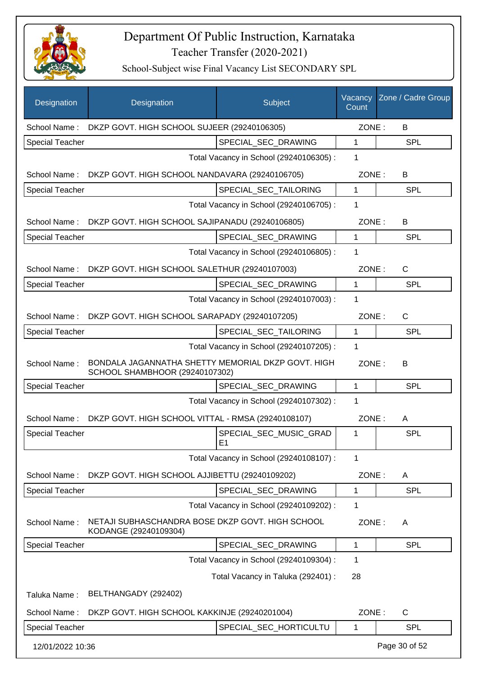

| Designation            | Designation                                                                          | Subject                                  | Vacancy<br>Count | Zone / Cadre Group |
|------------------------|--------------------------------------------------------------------------------------|------------------------------------------|------------------|--------------------|
| School Name:           | DKZP GOVT. HIGH SCHOOL SUJEER (29240106305)                                          |                                          | ZONE:            | B                  |
| <b>Special Teacher</b> |                                                                                      | SPECIAL SEC DRAWING                      | 1                | <b>SPL</b>         |
|                        |                                                                                      | Total Vacancy in School (29240106305) :  | 1                |                    |
|                        | School Name: DKZP GOVT. HIGH SCHOOL NANDAVARA (29240106705)                          |                                          | ZONE:            | B                  |
| <b>Special Teacher</b> |                                                                                      | SPECIAL SEC TAILORING                    | 1                | <b>SPL</b>         |
|                        |                                                                                      | Total Vacancy in School (29240106705) :  | 1                |                    |
|                        | School Name: DKZP GOVT. HIGH SCHOOL SAJIPANADU (29240106805)                         |                                          | ZONE:            | B                  |
| Special Teacher        |                                                                                      | SPECIAL_SEC_DRAWING                      | 1                | <b>SPL</b>         |
|                        |                                                                                      | Total Vacancy in School (29240106805) :  | 1                |                    |
|                        | School Name: DKZP GOVT. HIGH SCHOOL SALETHUR (29240107003)                           |                                          | ZONE:            | $\mathsf{C}$       |
| <b>Special Teacher</b> |                                                                                      | SPECIAL_SEC_DRAWING                      | $\mathbf{1}$     | SPL                |
|                        |                                                                                      | Total Vacancy in School (29240107003) :  | 1                |                    |
| School Name:           | DKZP GOVT. HIGH SCHOOL SARAPADY (29240107205)                                        |                                          | ZONE:            | $\mathsf{C}$       |
| <b>Special Teacher</b> |                                                                                      | SPECIAL_SEC_TAILORING                    | 1                | <b>SPL</b>         |
|                        |                                                                                      | Total Vacancy in School (29240107205) :  | 1                |                    |
| School Name:           | BONDALA JAGANNATHA SHETTY MEMORIAL DKZP GOVT. HIGH<br>SCHOOL SHAMBHOOR (29240107302) |                                          | ZONE:            | B                  |
| <b>Special Teacher</b> |                                                                                      | SPECIAL_SEC_DRAWING                      | 1                | <b>SPL</b>         |
|                        |                                                                                      | Total Vacancy in School (29240107302) :  | 1                |                    |
| School Name:           | DKZP GOVT. HIGH SCHOOL VITTAL - RMSA (29240108107)                                   |                                          | ZONE:            | A                  |
| <b>Special Teacher</b> |                                                                                      | SPECIAL_SEC_MUSIC_GRAD<br>E <sub>1</sub> | 1                | SPL                |
|                        |                                                                                      | Total Vacancy in School (29240108107) :  | 1                |                    |
| School Name:           | DKZP GOVT. HIGH SCHOOL AJJIBETTU (29240109202)                                       |                                          | ZONE:            | A                  |
| Special Teacher        |                                                                                      | SPECIAL SEC DRAWING                      | 1                | <b>SPL</b>         |
|                        |                                                                                      | Total Vacancy in School (29240109202) :  | 1                |                    |
| School Name:           | NETAJI SUBHASCHANDRA BOSE DKZP GOVT. HIGH SCHOOL<br>KODANGE (29240109304)            |                                          | ZONE:            | A                  |
| Special Teacher        |                                                                                      | SPECIAL_SEC_DRAWING                      | 1                | <b>SPL</b>         |
|                        |                                                                                      | Total Vacancy in School (29240109304) :  | 1                |                    |
|                        |                                                                                      | Total Vacancy in Taluka (292401) :       | 28               |                    |
| Taluka Name:           | BELTHANGADY (292402)                                                                 |                                          |                  |                    |
| School Name:           | DKZP GOVT. HIGH SCHOOL KAKKINJE (29240201004)                                        |                                          | ZONE:            | C                  |
| <b>Special Teacher</b> |                                                                                      | SPECIAL_SEC_HORTICULTU                   | 1                | <b>SPL</b>         |
| 12/01/2022 10:36       |                                                                                      |                                          |                  | Page 30 of 52      |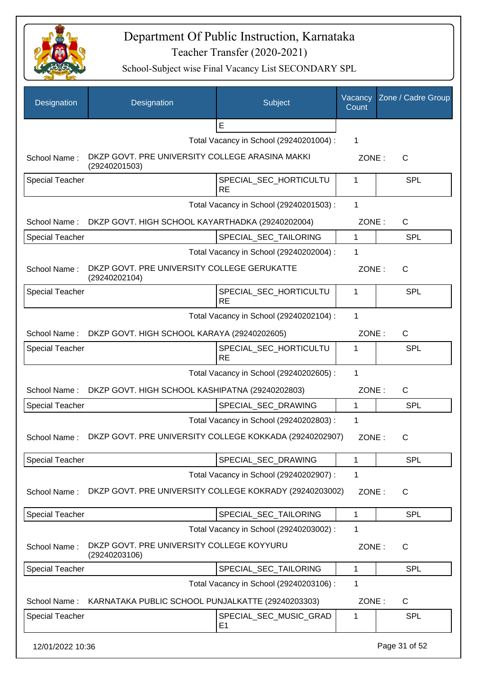

| Designation            | Designation                                                      | Subject                                  | Vacancy<br>Count | Zone / Cadre Group |
|------------------------|------------------------------------------------------------------|------------------------------------------|------------------|--------------------|
|                        |                                                                  | E                                        |                  |                    |
|                        |                                                                  | Total Vacancy in School (29240201004) :  | 1                |                    |
| School Name:           | DKZP GOVT. PRE UNIVERSITY COLLEGE ARASINA MAKKI<br>(29240201503) |                                          | ZONE:            | $\mathsf{C}$       |
| <b>Special Teacher</b> |                                                                  | SPECIAL_SEC_HORTICULTU<br><b>RE</b>      | 1                | <b>SPL</b>         |
|                        |                                                                  | Total Vacancy in School (29240201503) :  | 1                |                    |
| School Name:           | DKZP GOVT. HIGH SCHOOL KAYARTHADKA (29240202004)                 |                                          | ZONE:            | C                  |
| <b>Special Teacher</b> |                                                                  | SPECIAL_SEC_TAILORING                    | 1                | <b>SPL</b>         |
|                        |                                                                  | Total Vacancy in School (29240202004) :  | 1                |                    |
| School Name:           | DKZP GOVT. PRE UNIVERSITY COLLEGE GERUKATTE<br>(29240202104)     |                                          | ZONE:            | $\mathsf{C}$       |
| <b>Special Teacher</b> |                                                                  | SPECIAL_SEC_HORTICULTU<br><b>RE</b>      | 1                | SPL                |
|                        |                                                                  | Total Vacancy in School (29240202104) :  | $\mathbf{1}$     |                    |
| School Name:           | DKZP GOVT. HIGH SCHOOL KARAYA (29240202605)                      |                                          | ZONE:            | $\mathsf{C}$       |
| <b>Special Teacher</b> |                                                                  | SPECIAL_SEC_HORTICULTU<br><b>RE</b>      | 1                | <b>SPL</b>         |
|                        |                                                                  | Total Vacancy in School (29240202605) :  | 1                |                    |
| School Name:           | DKZP GOVT. HIGH SCHOOL KASHIPATNA (29240202803)                  |                                          | ZONE:            | C                  |
| <b>Special Teacher</b> |                                                                  | SPECIAL_SEC_DRAWING                      | 1                | <b>SPL</b>         |
|                        |                                                                  | Total Vacancy in School (29240202803) :  | 1                |                    |
| School Name:           | DKZP GOVT. PRE UNIVERSITY COLLEGE KOKKADA (29240202907)          |                                          | ZONE:            | C                  |
| <b>Special Teacher</b> |                                                                  | SPECIAL SEC DRAWING                      | 1                | SPL                |
|                        |                                                                  | Total Vacancy in School (29240202907) :  | 1                |                    |
| School Name:           | DKZP GOVT. PRE UNIVERSITY COLLEGE KOKRADY (29240203002)          |                                          | ZONE:            | C                  |
| <b>Special Teacher</b> |                                                                  | SPECIAL_SEC_TAILORING                    | 1                | <b>SPL</b>         |
|                        |                                                                  | Total Vacancy in School (29240203002) :  | 1                |                    |
| School Name:           | DKZP GOVT. PRE UNIVERSITY COLLEGE KOYYURU<br>(29240203106)       |                                          | ZONE:            | C                  |
| <b>Special Teacher</b> |                                                                  | SPECIAL_SEC_TAILORING                    | 1                | <b>SPL</b>         |
|                        |                                                                  | Total Vacancy in School (29240203106) :  | 1                |                    |
| School Name:           | KARNATAKA PUBLIC SCHOOL PUNJALKATTE (29240203303)                |                                          | ZONE:            | $\mathsf{C}$       |
| Special Teacher        |                                                                  | SPECIAL_SEC_MUSIC_GRAD<br>E <sub>1</sub> | 1                | <b>SPL</b>         |
| 12/01/2022 10:36       |                                                                  |                                          |                  | Page 31 of 52      |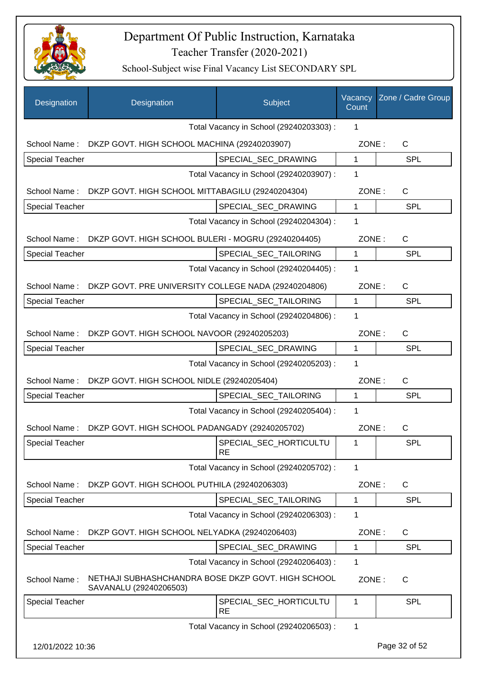

| Designation            | Designation                                                                  | Subject                                 | Vacancy<br>Count | Zone / Cadre Group |
|------------------------|------------------------------------------------------------------------------|-----------------------------------------|------------------|--------------------|
|                        |                                                                              | Total Vacancy in School (29240203303) : | 1                |                    |
| School Name:           | DKZP GOVT. HIGH SCHOOL MACHINA (29240203907)                                 |                                         | ZONE:            | $\mathsf C$        |
| <b>Special Teacher</b> |                                                                              | SPECIAL_SEC_DRAWING                     | $\mathbf{1}$     | <b>SPL</b>         |
|                        |                                                                              | Total Vacancy in School (29240203907) : | 1                |                    |
| School Name:           | DKZP GOVT. HIGH SCHOOL MITTABAGILU (29240204304)                             |                                         | ZONE:            | C                  |
| Special Teacher        |                                                                              | SPECIAL_SEC_DRAWING                     | $\mathbf{1}$     | <b>SPL</b>         |
|                        |                                                                              | Total Vacancy in School (29240204304) : | 1                |                    |
| School Name:           | DKZP GOVT. HIGH SCHOOL BULERI - MOGRU (29240204405)                          |                                         | ZONE:            | $\mathsf C$        |
| <b>Special Teacher</b> |                                                                              | SPECIAL_SEC_TAILORING                   | 1                | <b>SPL</b>         |
|                        |                                                                              | Total Vacancy in School (29240204405) : | 1                |                    |
| School Name:           | DKZP GOVT. PRE UNIVERSITY COLLEGE NADA (29240204806)                         |                                         | ZONE:            | $\mathsf{C}$       |
| <b>Special Teacher</b> |                                                                              | SPECIAL_SEC_TAILORING                   | 1                | <b>SPL</b>         |
|                        |                                                                              | Total Vacancy in School (29240204806) : | 1                |                    |
| School Name:           | DKZP GOVT. HIGH SCHOOL NAVOOR (29240205203)                                  |                                         | ZONE:            | $\mathsf{C}$       |
| <b>Special Teacher</b> |                                                                              | SPECIAL_SEC_DRAWING                     | 1                | <b>SPL</b>         |
|                        |                                                                              | Total Vacancy in School (29240205203) : | 1                |                    |
| School Name:           | DKZP GOVT. HIGH SCHOOL NIDLE (29240205404)                                   |                                         | ZONE:            | $\mathsf{C}$       |
| <b>Special Teacher</b> |                                                                              | SPECIAL_SEC_TAILORING                   | 1                | <b>SPL</b>         |
|                        |                                                                              | Total Vacancy in School (29240205404) : | 1                |                    |
| School Name:           | DKZP GOVT. HIGH SCHOOL PADANGADY (29240205702)                               |                                         | ZONE:            | C                  |
| Special Teacher        |                                                                              | SPECIAL_SEC_HORTICULTU<br><b>RE</b>     | $\mathbf{1}$     | <b>SPL</b>         |
|                        |                                                                              | Total Vacancy in School (29240205702) : | 1                |                    |
| School Name:           | DKZP GOVT. HIGH SCHOOL PUTHILA (29240206303)                                 |                                         | ZONE:            | C                  |
| <b>Special Teacher</b> |                                                                              | SPECIAL_SEC_TAILORING                   | 1                | <b>SPL</b>         |
|                        |                                                                              | Total Vacancy in School (29240206303) : | 1                |                    |
| School Name:           | DKZP GOVT. HIGH SCHOOL NELYADKA (29240206403)                                |                                         | ZONE:            | C                  |
| <b>Special Teacher</b> |                                                                              | SPECIAL SEC DRAWING                     | 1                | <b>SPL</b>         |
|                        |                                                                              | Total Vacancy in School (29240206403) : | 1                |                    |
| School Name:           | NETHAJI SUBHASHCHANDRA BOSE DKZP GOVT. HIGH SCHOOL<br>SAVANALU (29240206503) |                                         | ZONE:            | $\mathsf{C}$       |
| Special Teacher        |                                                                              | SPECIAL_SEC_HORTICULTU<br><b>RE</b>     | 1                | <b>SPL</b>         |
|                        |                                                                              | Total Vacancy in School (29240206503) : | $\mathbf 1$      |                    |
| 12/01/2022 10:36       |                                                                              |                                         |                  | Page 32 of 52      |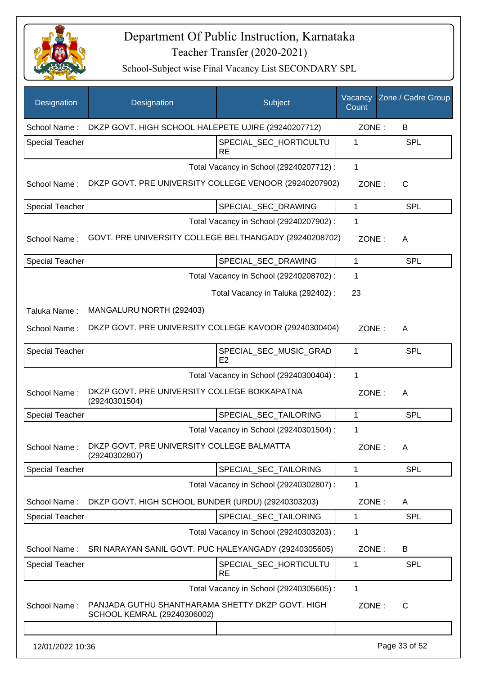

| Designation            | Designation                                                                     | Subject                                  | Vacancy<br>Count | Zone / Cadre Group |
|------------------------|---------------------------------------------------------------------------------|------------------------------------------|------------------|--------------------|
| School Name:           | DKZP GOVT. HIGH SCHOOL HALEPETE UJIRE (29240207712)                             |                                          | ZONE:            | B                  |
| <b>Special Teacher</b> |                                                                                 | SPECIAL_SEC_HORTICULTU<br><b>RE</b>      | 1                | <b>SPL</b>         |
|                        |                                                                                 | Total Vacancy in School (29240207712) :  | 1                |                    |
| School Name:           | DKZP GOVT. PRE UNIVERSITY COLLEGE VENOOR (29240207902)                          |                                          | ZONE:            | C                  |
| <b>Special Teacher</b> |                                                                                 | SPECIAL_SEC_DRAWING                      | $\mathbf{1}$     | <b>SPL</b>         |
|                        |                                                                                 | Total Vacancy in School (29240207902) :  | 1                |                    |
| School Name:           | GOVT. PRE UNIVERSITY COLLEGE BELTHANGADY (29240208702)                          |                                          | ZONE:            | A                  |
| <b>Special Teacher</b> |                                                                                 | SPECIAL_SEC_DRAWING                      | $\mathbf{1}$     | <b>SPL</b>         |
|                        |                                                                                 | Total Vacancy in School (29240208702) :  | 1                |                    |
|                        |                                                                                 | Total Vacancy in Taluka (292402) :       | 23               |                    |
| Taluka Name:           | MANGALURU NORTH (292403)                                                        |                                          |                  |                    |
| School Name:           | DKZP GOVT. PRE UNIVERSITY COLLEGE KAVOOR (29240300404)                          |                                          | ZONE:            | A                  |
| <b>Special Teacher</b> |                                                                                 | SPECIAL_SEC_MUSIC_GRAD<br>E <sub>2</sub> | 1                | SPL                |
|                        |                                                                                 | Total Vacancy in School (29240300404) :  | 1                |                    |
| School Name:           | DKZP GOVT. PRE UNIVERSITY COLLEGE BOKKAPATNA<br>(29240301504)                   |                                          | ZONE:            | A                  |
| <b>Special Teacher</b> |                                                                                 | SPECIAL_SEC_TAILORING                    | 1                | <b>SPL</b>         |
|                        |                                                                                 | Total Vacancy in School (29240301504) :  | 1                |                    |
| School Name:           | DKZP GOVT. PRE UNIVERSITY COLLEGE BALMATTA<br>(29240302807)                     |                                          | ZONE:            | A                  |
| <b>Special Teacher</b> |                                                                                 | SPECIAL SEC TAILORING                    | 1                | <b>SPL</b>         |
|                        |                                                                                 | Total Vacancy in School (29240302807) :  | 1                |                    |
| School Name:           | DKZP GOVT. HIGH SCHOOL BUNDER (URDU) (29240303203)                              |                                          | ZONE:            | A                  |
| <b>Special Teacher</b> |                                                                                 | SPECIAL SEC TAILORING                    | 1                | <b>SPL</b>         |
|                        |                                                                                 | Total Vacancy in School (29240303203) :  | 1                |                    |
| School Name:           | SRI NARAYAN SANIL GOVT. PUC HALEYANGADY (29240305605)                           |                                          | ZONE:            | B                  |
| <b>Special Teacher</b> |                                                                                 | SPECIAL_SEC_HORTICULTU<br><b>RE</b>      | 1                | <b>SPL</b>         |
|                        |                                                                                 | Total Vacancy in School (29240305605) :  | 1                |                    |
| School Name:           | PANJADA GUTHU SHANTHARAMA SHETTY DKZP GOVT. HIGH<br>SCHOOL KEMRAL (29240306002) |                                          | ZONE:            | $\mathsf{C}$       |
|                        |                                                                                 |                                          |                  |                    |
| 12/01/2022 10:36       |                                                                                 |                                          |                  | Page 33 of 52      |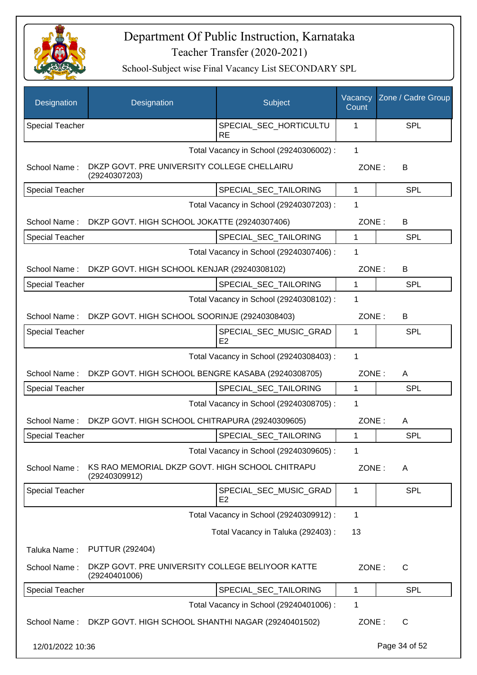

| Designation            | Designation                                                       | Subject                                  | Vacancy<br>Count | Zone / Cadre Group |
|------------------------|-------------------------------------------------------------------|------------------------------------------|------------------|--------------------|
| <b>Special Teacher</b> |                                                                   | SPECIAL_SEC_HORTICULTU<br>RE             | 1                | SPL                |
|                        |                                                                   | Total Vacancy in School (29240306002) :  | $\mathbf{1}$     |                    |
| School Name:           | DKZP GOVT. PRE UNIVERSITY COLLEGE CHELLAIRU<br>(29240307203)      |                                          | ZONE:            | B                  |
| <b>Special Teacher</b> |                                                                   | SPECIAL SEC TAILORING                    | 1                | SPL                |
|                        |                                                                   | Total Vacancy in School (29240307203) :  | 1                |                    |
|                        | School Name: DKZP GOVT. HIGH SCHOOL JOKATTE (29240307406)         |                                          | ZONE:            | B                  |
| <b>Special Teacher</b> |                                                                   | SPECIAL_SEC_TAILORING                    | 1                | SPL                |
|                        |                                                                   | Total Vacancy in School (29240307406) :  | 1                |                    |
| School Name:           | DKZP GOVT. HIGH SCHOOL KENJAR (29240308102)                       |                                          | ZONE:            | B                  |
| Special Teacher        |                                                                   | SPECIAL_SEC_TAILORING                    | $\mathbf{1}$     | <b>SPL</b>         |
|                        |                                                                   | Total Vacancy in School (29240308102) :  | 1                |                    |
| School Name:           | DKZP GOVT. HIGH SCHOOL SOORINJE (29240308403)                     |                                          | ZONE:            | B                  |
| Special Teacher        |                                                                   | SPECIAL_SEC_MUSIC_GRAD<br>E <sub>2</sub> | 1                | SPL                |
|                        |                                                                   | Total Vacancy in School (29240308403) :  | 1                |                    |
| School Name:           | DKZP GOVT. HIGH SCHOOL BENGRE KASABA (29240308705)                |                                          | ZONE:            | A                  |
| <b>Special Teacher</b> |                                                                   | SPECIAL_SEC_TAILORING                    | 1                | <b>SPL</b>         |
|                        |                                                                   | Total Vacancy in School (29240308705) :  | 1                |                    |
| School Name:           | DKZP GOVT. HIGH SCHOOL CHITRAPURA (29240309605)                   |                                          | ZONE:            | A                  |
| <b>Special Teacher</b> |                                                                   | SPECIAL_SEC_TAILORING                    | 1                | <b>SPL</b>         |
|                        |                                                                   | Total Vacancy in School (29240309605) :  | 1                |                    |
| School Name:           | KS RAO MEMORIAL DKZP GOVT. HIGH SCHOOL CHITRAPU<br>(29240309912)  |                                          | ZONE:            | A                  |
| <b>Special Teacher</b> |                                                                   | SPECIAL_SEC_MUSIC_GRAD<br>E <sub>2</sub> | $\mathbf 1$      | SPL                |
|                        |                                                                   | Total Vacancy in School (29240309912) :  | 1                |                    |
|                        |                                                                   | Total Vacancy in Taluka (292403) :       | 13               |                    |
| Taluka Name:           | <b>PUTTUR (292404)</b>                                            |                                          |                  |                    |
| School Name:           | DKZP GOVT. PRE UNIVERSITY COLLEGE BELIYOOR KATTE<br>(29240401006) |                                          | ZONE:            | $\mathsf{C}$       |
| Special Teacher        |                                                                   | SPECIAL_SEC_TAILORING                    | 1                | <b>SPL</b>         |
|                        |                                                                   | Total Vacancy in School (29240401006) :  | 1                |                    |
| School Name:           | DKZP GOVT. HIGH SCHOOL SHANTHI NAGAR (29240401502)                |                                          | ZONE:            | $\mathsf{C}$       |
| 12/01/2022 10:36       |                                                                   |                                          |                  | Page 34 of 52      |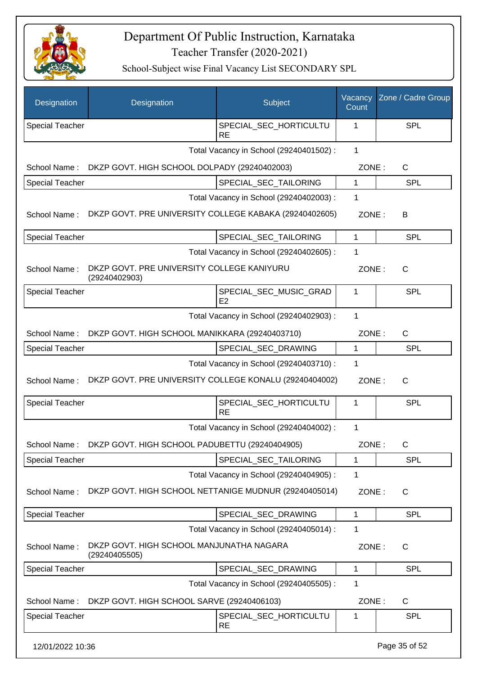

| Designation            | Designation                                                 | Subject                                  | Vacancy<br>Count | Zone / Cadre Group |
|------------------------|-------------------------------------------------------------|------------------------------------------|------------------|--------------------|
| <b>Special Teacher</b> |                                                             | SPECIAL_SEC_HORTICULTU<br><b>RE</b>      | 1                | <b>SPL</b>         |
|                        |                                                             | Total Vacancy in School (29240401502) :  | 1                |                    |
| School Name:           | DKZP GOVT. HIGH SCHOOL DOLPADY (29240402003)                |                                          | ZONE:            | C                  |
| Special Teacher        |                                                             | SPECIAL_SEC_TAILORING                    | 1                | <b>SPL</b>         |
|                        |                                                             | Total Vacancy in School (29240402003) :  | 1                |                    |
| School Name:           | DKZP GOVT. PRE UNIVERSITY COLLEGE KABAKA (29240402605)      |                                          | ZONE:            | B                  |
| <b>Special Teacher</b> |                                                             | SPECIAL_SEC_TAILORING                    | $\mathbf{1}$     | SPL                |
|                        |                                                             | Total Vacancy in School (29240402605) :  | 1                |                    |
| School Name:           | DKZP GOVT. PRE UNIVERSITY COLLEGE KANIYURU<br>(29240402903) |                                          | ZONE:            | $\mathsf{C}$       |
| <b>Special Teacher</b> |                                                             | SPECIAL_SEC_MUSIC_GRAD<br>E <sub>2</sub> | 1                | SPL                |
|                        |                                                             | Total Vacancy in School (29240402903) :  | $\mathbf{1}$     |                    |
| School Name:           | DKZP GOVT. HIGH SCHOOL MANIKKARA (29240403710)              |                                          | ZONE:            | $\mathsf{C}$       |
| <b>Special Teacher</b> |                                                             | SPECIAL_SEC_DRAWING                      | 1                | SPL                |
|                        |                                                             | Total Vacancy in School (29240403710) :  | 1                |                    |
| School Name:           | DKZP GOVT. PRE UNIVERSITY COLLEGE KONALU (29240404002)      |                                          | ZONE:            | $\mathsf{C}$       |
| Special Teacher        |                                                             | SPECIAL_SEC_HORTICULTU<br><b>RE</b>      | 1                | <b>SPL</b>         |
|                        |                                                             | Total Vacancy in School (29240404002) :  | 1                |                    |
|                        | School Name: DKZP GOVT. HIGH SCHOOL PADUBETTU (29240404905) |                                          | ZONE:            | C                  |
| <b>Special Teacher</b> |                                                             | SPECIAL_SEC_TAILORING                    | 1                | <b>SPL</b>         |
|                        |                                                             | Total Vacancy in School (29240404905) :  | 1                |                    |
| School Name:           | DKZP GOVT. HIGH SCHOOL NETTANIGE MUDNUR (29240405014)       |                                          | ZONE:            | $\mathsf{C}$       |
| <b>Special Teacher</b> |                                                             | SPECIAL_SEC_DRAWING                      | 1                | <b>SPL</b>         |
|                        |                                                             | Total Vacancy in School (29240405014) :  | 1                |                    |
| School Name:           | DKZP GOVT. HIGH SCHOOL MANJUNATHA NAGARA<br>(29240405505)   |                                          | ZONE:            | C                  |
| Special Teacher        |                                                             | SPECIAL_SEC_DRAWING                      | $\mathbf{1}$     | <b>SPL</b>         |
|                        |                                                             | Total Vacancy in School (29240405505) :  | 1                |                    |
| School Name:           | DKZP GOVT. HIGH SCHOOL SARVE (29240406103)                  |                                          | ZONE:            | $\mathsf{C}$       |
| <b>Special Teacher</b> |                                                             | SPECIAL_SEC_HORTICULTU<br><b>RE</b>      | 1                | <b>SPL</b>         |
| 12/01/2022 10:36       |                                                             |                                          |                  | Page 35 of 52      |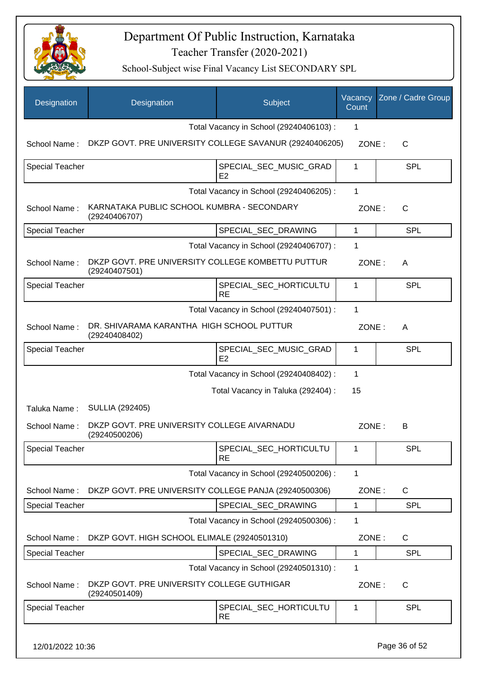

School-Subject wise Final Vacancy List SECONDARY SPL

| Designation            | Designation                                                        | Subject                                  | Vacancy<br>Count | Zone / Cadre Group |
|------------------------|--------------------------------------------------------------------|------------------------------------------|------------------|--------------------|
|                        |                                                                    | Total Vacancy in School (29240406103) :  | 1                |                    |
| School Name:           | DKZP GOVT. PRE UNIVERSITY COLLEGE SAVANUR (29240406205)            |                                          | ZONE:            | $\mathsf{C}$       |
| Special Teacher        |                                                                    | SPECIAL SEC MUSIC GRAD<br>E2             | 1                | <b>SPL</b>         |
|                        |                                                                    | Total Vacancy in School (29240406205) :  | 1                |                    |
| School Name:           | KARNATAKA PUBLIC SCHOOL KUMBRA - SECONDARY<br>(29240406707)        |                                          | ZONE:            | $\mathsf{C}$       |
| <b>Special Teacher</b> |                                                                    | SPECIAL_SEC_DRAWING                      | $\mathbf{1}$     | <b>SPL</b>         |
|                        |                                                                    | Total Vacancy in School (29240406707) :  | 1                |                    |
| School Name:           | DKZP GOVT. PRE UNIVERSITY COLLEGE KOMBETTU PUTTUR<br>(29240407501) |                                          | ZONE:            | A                  |
| Special Teacher        |                                                                    | SPECIAL_SEC_HORTICULTU<br><b>RE</b>      | 1                | <b>SPL</b>         |
|                        |                                                                    | Total Vacancy in School (29240407501) :  | 1                |                    |
| School Name:           | DR. SHIVARAMA KARANTHA HIGH SCHOOL PUTTUR<br>(29240408402)         |                                          | ZONE:            | A                  |
| Special Teacher        |                                                                    | SPECIAL_SEC_MUSIC_GRAD<br>E <sub>2</sub> | 1                | <b>SPL</b>         |
|                        |                                                                    | Total Vacancy in School (29240408402) :  | 1                |                    |
|                        |                                                                    | Total Vacancy in Taluka (292404) :       | 15               |                    |
| Taluka Name:           | <b>SULLIA (292405)</b>                                             |                                          |                  |                    |
| School Name:           | DKZP GOVT. PRE UNIVERSITY COLLEGE AIVARNADU<br>(29240500206)       |                                          | ZONE:            | В                  |
| <b>Special Teacher</b> |                                                                    | SPECIAL_SEC_HORTICULTU<br><b>RE</b>      | 1                | SPL                |
|                        |                                                                    | Total Vacancy in School (29240500206) :  | 1                |                    |
| School Name:           | DKZP GOVT. PRE UNIVERSITY COLLEGE PANJA (29240500306)              |                                          | ZONE:            | C                  |
| Special Teacher        |                                                                    | SPECIAL_SEC_DRAWING                      | 1                | <b>SPL</b>         |
|                        |                                                                    | Total Vacancy in School (29240500306) :  | 1                |                    |
| School Name:           | DKZP GOVT. HIGH SCHOOL ELIMALE (29240501310)                       |                                          | ZONE:            | C                  |
| Special Teacher        |                                                                    | SPECIAL_SEC_DRAWING                      | 1                | <b>SPL</b>         |
|                        |                                                                    | Total Vacancy in School (29240501310) :  | 1                |                    |
| School Name:           | DKZP GOVT. PRE UNIVERSITY COLLEGE GUTHIGAR<br>(29240501409)        |                                          | ZONE:            | C                  |
| <b>Special Teacher</b> |                                                                    | SPECIAL_SEC_HORTICULTU<br><b>RE</b>      | 1                | <b>SPL</b>         |
|                        |                                                                    |                                          |                  |                    |

12/01/2022 10:36 Page 36 of 52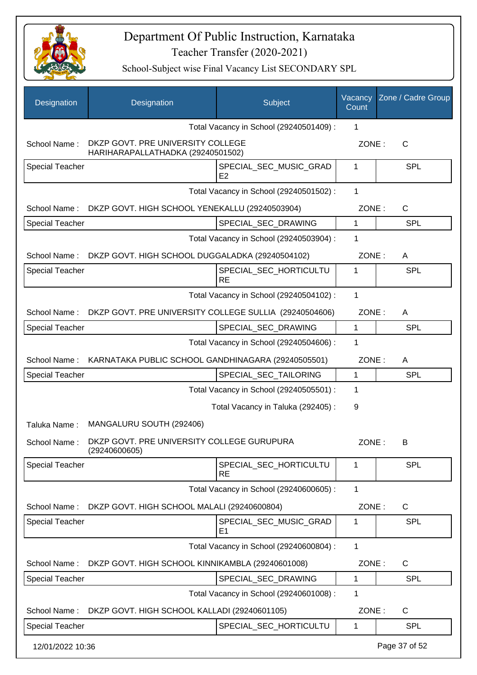

| Designation            | Designation                                                            | Subject                                  | Vacancy<br>Count | Zone / Cadre Group |
|------------------------|------------------------------------------------------------------------|------------------------------------------|------------------|--------------------|
|                        |                                                                        | Total Vacancy in School (29240501409) :  | 1                |                    |
| School Name:           | DKZP GOVT. PRE UNIVERSITY COLLEGE<br>HARIHARAPALLATHADKA (29240501502) |                                          | ZONE:            | $\mathsf{C}$       |
| <b>Special Teacher</b> |                                                                        | SPECIAL_SEC_MUSIC_GRAD<br>E <sub>2</sub> | 1                | <b>SPL</b>         |
|                        |                                                                        | Total Vacancy in School (29240501502) :  | $\mathbf{1}$     |                    |
|                        | School Name: DKZP GOVT. HIGH SCHOOL YENEKALLU (29240503904)            |                                          | ZONE:            | C                  |
| <b>Special Teacher</b> |                                                                        | SPECIAL_SEC_DRAWING                      | $\mathbf{1}$     | <b>SPL</b>         |
|                        |                                                                        | Total Vacancy in School (29240503904) :  | 1                |                    |
| School Name:           | DKZP GOVT. HIGH SCHOOL DUGGALADKA (29240504102)                        |                                          | ZONE:            | A                  |
| <b>Special Teacher</b> |                                                                        | SPECIAL_SEC_HORTICULTU<br><b>RE</b>      | 1                | SPL                |
|                        |                                                                        | Total Vacancy in School (29240504102) :  | 1                |                    |
| School Name:           | DKZP GOVT. PRE UNIVERSITY COLLEGE SULLIA (29240504606)                 |                                          | ZONE:            | A                  |
| <b>Special Teacher</b> |                                                                        | SPECIAL_SEC_DRAWING                      | $\mathbf{1}$     | <b>SPL</b>         |
|                        |                                                                        | Total Vacancy in School (29240504606) :  | 1                |                    |
| School Name:           | KARNATAKA PUBLIC SCHOOL GANDHINAGARA (29240505501)                     |                                          | ZONE:            | A                  |
| <b>Special Teacher</b> |                                                                        | SPECIAL_SEC_TAILORING                    | 1                | <b>SPL</b>         |
|                        |                                                                        | Total Vacancy in School (29240505501) :  | 1                |                    |
|                        |                                                                        | Total Vacancy in Taluka (292405) :       | 9                |                    |
| Taluka Name:           | MANGALURU SOUTH (292406)                                               |                                          |                  |                    |
| School Name:           | DKZP GOVT. PRE UNIVERSITY COLLEGE GURUPURA<br>(29240600605)            |                                          | ZONE :           | B                  |
| <b>Special Teacher</b> |                                                                        | SPECIAL_SEC_HORTICULTU<br><b>RE</b>      | 1                | <b>SPL</b>         |
|                        |                                                                        | Total Vacancy in School (29240600605) :  | $\mathbf{1}$     |                    |
| School Name:           | DKZP GOVT. HIGH SCHOOL MALALI (29240600804)                            |                                          | ZONE:            | C                  |
| <b>Special Teacher</b> |                                                                        | SPECIAL_SEC_MUSIC_GRAD<br>E <sub>1</sub> | 1                | <b>SPL</b>         |
|                        |                                                                        | Total Vacancy in School (29240600804) :  | 1                |                    |
| School Name:           | DKZP GOVT. HIGH SCHOOL KINNIKAMBLA (29240601008)                       |                                          | ZONE:            | $\mathsf{C}$       |
| <b>Special Teacher</b> |                                                                        | SPECIAL_SEC_DRAWING                      | 1                | <b>SPL</b>         |
|                        |                                                                        | Total Vacancy in School (29240601008) :  | 1                |                    |
| School Name:           | DKZP GOVT. HIGH SCHOOL KALLADI (29240601105)                           |                                          | ZONE:            | C                  |
| <b>Special Teacher</b> |                                                                        | SPECIAL_SEC_HORTICULTU                   | 1                | <b>SPL</b>         |
| 12/01/2022 10:36       |                                                                        |                                          |                  | Page 37 of 52      |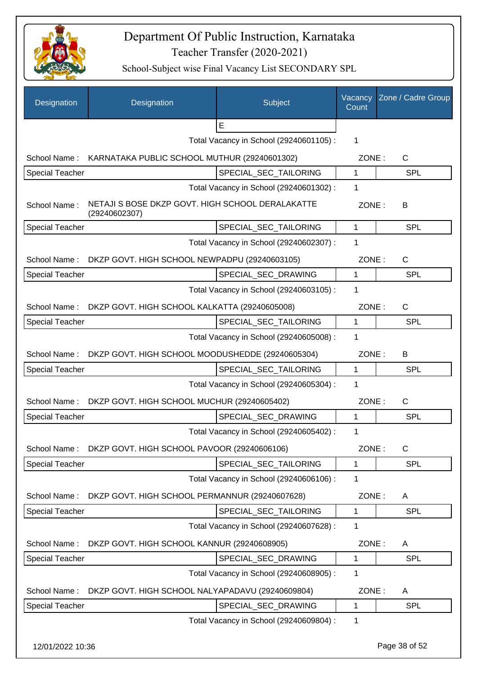

| Designation            | Designation                                                       | Subject                                 | Vacancy<br>Count | Zone / Cadre Group |
|------------------------|-------------------------------------------------------------------|-----------------------------------------|------------------|--------------------|
|                        |                                                                   | E                                       |                  |                    |
|                        |                                                                   | Total Vacancy in School (29240601105) : | 1                |                    |
|                        | School Name: KARNATAKA PUBLIC SCHOOL MUTHUR (29240601302)         |                                         | ZONE:            | C                  |
| <b>Special Teacher</b> |                                                                   | SPECIAL SEC TAILORING                   | 1                | <b>SPL</b>         |
|                        |                                                                   | Total Vacancy in School (29240601302) : | 1                |                    |
| School Name:           | NETAJI S BOSE DKZP GOVT. HIGH SCHOOL DERALAKATTE<br>(29240602307) |                                         | ZONE:            | В                  |
| Special Teacher        |                                                                   | SPECIAL_SEC_TAILORING                   | $\mathbf{1}$     | <b>SPL</b>         |
|                        |                                                                   | Total Vacancy in School (29240602307) : | 1                |                    |
|                        | School Name: DKZP GOVT. HIGH SCHOOL NEWPADPU (29240603105)        |                                         | ZONE:            | $\mathsf{C}$       |
| <b>Special Teacher</b> |                                                                   | SPECIAL_SEC_DRAWING                     | $\mathbf{1}$     | <b>SPL</b>         |
|                        |                                                                   | Total Vacancy in School (29240603105) : | 1                |                    |
|                        | School Name: DKZP GOVT. HIGH SCHOOL KALKATTA (29240605008)        |                                         | ZONE:            | C                  |
| Special Teacher        |                                                                   | SPECIAL_SEC_TAILORING                   | 1                | SPL                |
|                        |                                                                   | Total Vacancy in School (29240605008) : | 1                |                    |
| School Name:           | DKZP GOVT. HIGH SCHOOL MOODUSHEDDE (29240605304)                  |                                         | ZONE:            | B                  |
| <b>Special Teacher</b> |                                                                   | SPECIAL_SEC_TAILORING                   | $\mathbf 1$      | <b>SPL</b>         |
|                        |                                                                   | Total Vacancy in School (29240605304) : | 1                |                    |
| School Name:           | DKZP GOVT. HIGH SCHOOL MUCHUR (29240605402)                       |                                         | ZONE:            | $\mathsf{C}$       |
| <b>Special Teacher</b> |                                                                   | SPECIAL_SEC_DRAWING                     | 1                | <b>SPL</b>         |
|                        |                                                                   | Total Vacancy in School (29240605402) : | 1                |                    |
| School Name:           | DKZP GOVT. HIGH SCHOOL PAVOOR (29240606106)                       |                                         | ZONE:            | C                  |
| <b>Special Teacher</b> |                                                                   | SPECIAL_SEC_TAILORING                   | 1                | <b>SPL</b>         |
|                        |                                                                   | Total Vacancy in School (29240606106) : | 1                |                    |
| School Name:           | DKZP GOVT. HIGH SCHOOL PERMANNUR (29240607628)                    |                                         | ZONE:            | A                  |
| <b>Special Teacher</b> |                                                                   | SPECIAL SEC TAILORING                   | 1                | <b>SPL</b>         |
|                        |                                                                   | Total Vacancy in School (29240607628) : | $\mathbf{1}$     |                    |
| School Name:           | DKZP GOVT. HIGH SCHOOL KANNUR (29240608905)                       |                                         | ZONE:            | A                  |
| <b>Special Teacher</b> |                                                                   | SPECIAL_SEC_DRAWING                     | 1                | SPL                |
|                        |                                                                   | Total Vacancy in School (29240608905) : | 1                |                    |
| School Name:           | DKZP GOVT. HIGH SCHOOL NALYAPADAVU (29240609804)                  |                                         | ZONE:            | A                  |
| <b>Special Teacher</b> |                                                                   | SPECIAL_SEC_DRAWING                     | $\mathbf 1$      | SPL                |
|                        |                                                                   | Total Vacancy in School (29240609804) : | 1                |                    |
| 12/01/2022 10:36       |                                                                   |                                         |                  | Page 38 of 52      |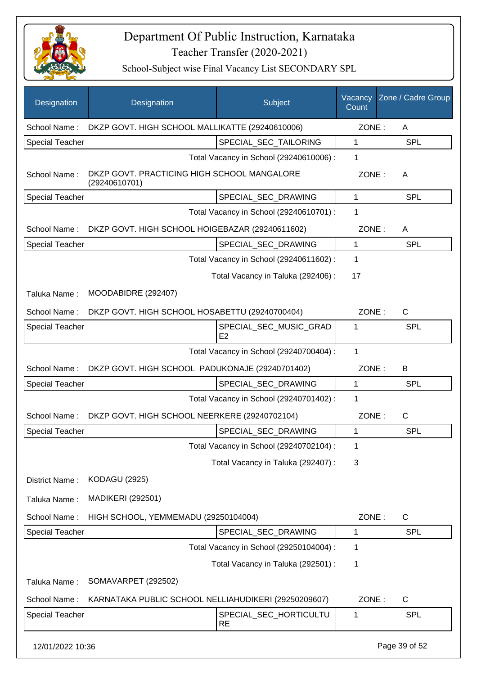

| Designation            | Designation                                                  | Subject                                 | Vacancy<br>Count | Zone / Cadre Group |
|------------------------|--------------------------------------------------------------|-----------------------------------------|------------------|--------------------|
| School Name:           | DKZP GOVT. HIGH SCHOOL MALLIKATTE (29240610006)              |                                         | ZONE:            | A                  |
| <b>Special Teacher</b> |                                                              | SPECIAL_SEC_TAILORING                   | 1                | <b>SPL</b>         |
|                        |                                                              | Total Vacancy in School (29240610006) : | 1                |                    |
| School Name:           | DKZP GOVT. PRACTICING HIGH SCHOOL MANGALORE<br>(29240610701) |                                         | ZONE:            | A                  |
| <b>Special Teacher</b> |                                                              | SPECIAL_SEC_DRAWING                     | $\mathbf 1$      | <b>SPL</b>         |
|                        |                                                              | Total Vacancy in School (29240610701) : | 1                |                    |
| School Name:           | DKZP GOVT. HIGH SCHOOL HOIGEBAZAR (29240611602)              |                                         | ZONE:            | A                  |
| <b>Special Teacher</b> |                                                              | SPECIAL_SEC_DRAWING                     | 1                | <b>SPL</b>         |
|                        |                                                              | Total Vacancy in School (29240611602) : | $\mathbf 1$      |                    |
|                        |                                                              | Total Vacancy in Taluka (292406) :      | 17               |                    |
| Taluka Name:           | MOODABIDRE (292407)                                          |                                         |                  |                    |
| School Name:           | DKZP GOVT. HIGH SCHOOL HOSABETTU (29240700404)               |                                         | ZONE:            | $\mathsf{C}$       |
| <b>Special Teacher</b> |                                                              | SPECIAL_SEC_MUSIC_GRAD<br>E2            | 1                | SPL                |
|                        |                                                              | Total Vacancy in School (29240700404) : | $\mathbf 1$      |                    |
| School Name:           | DKZP GOVT. HIGH SCHOOL PADUKONAJE (29240701402)              |                                         | ZONE:            | B                  |
| <b>Special Teacher</b> |                                                              | SPECIAL_SEC_DRAWING                     | $\mathbf{1}$     | <b>SPL</b>         |
|                        |                                                              | Total Vacancy in School (29240701402) : | 1                |                    |
| School Name:           | DKZP GOVT. HIGH SCHOOL NEERKERE (29240702104)                |                                         | ZONE:            | C                  |
| <b>Special Teacher</b> |                                                              | SPECIAL_SEC_DRAWING                     | 1                | SPL                |
|                        |                                                              | Total Vacancy in School (29240702104) : | 1                |                    |
|                        |                                                              | Total Vacancy in Taluka (292407) :      | 3                |                    |
| District Name:         | <b>KODAGU (2925)</b>                                         |                                         |                  |                    |
| Taluka Name:           | <b>MADIKERI (292501)</b>                                     |                                         |                  |                    |
| School Name:           | HIGH SCHOOL, YEMMEMADU (29250104004)                         |                                         | ZONE:            | C                  |
| <b>Special Teacher</b> |                                                              | SPECIAL_SEC_DRAWING                     | 1                | <b>SPL</b>         |
|                        |                                                              | Total Vacancy in School (29250104004) : | 1                |                    |
|                        |                                                              | Total Vacancy in Taluka (292501) :      | 1                |                    |
| Taluka Name:           | SOMAVARPET (292502)                                          |                                         |                  |                    |
| School Name:           | KARNATAKA PUBLIC SCHOOL NELLIAHUDIKERI (29250209607)         |                                         | ZONE:            | $\mathsf{C}$       |
| <b>Special Teacher</b> |                                                              | SPECIAL_SEC_HORTICULTU<br><b>RE</b>     | 1                | <b>SPL</b>         |
| 12/01/2022 10:36       |                                                              |                                         |                  | Page 39 of 52      |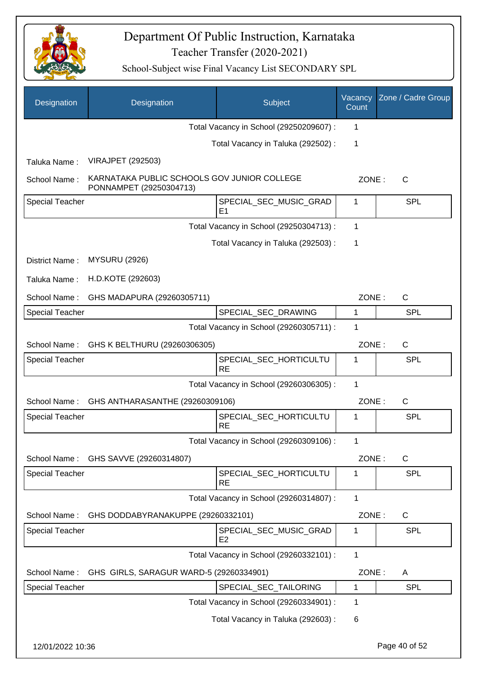

| Designation            | Designation                                                            | Subject                                  | Vacancy<br>Count | Zone / Cadre Group |
|------------------------|------------------------------------------------------------------------|------------------------------------------|------------------|--------------------|
|                        |                                                                        | Total Vacancy in School (29250209607) :  | 1                |                    |
|                        |                                                                        | Total Vacancy in Taluka (292502) :       | 1                |                    |
| Taluka Name:           | <b>VIRAJPET (292503)</b>                                               |                                          |                  |                    |
| School Name:           | KARNATAKA PUBLIC SCHOOLS GOV JUNIOR COLLEGE<br>PONNAMPET (29250304713) |                                          | ZONE:            | $\mathsf{C}$       |
| <b>Special Teacher</b> |                                                                        | SPECIAL_SEC_MUSIC_GRAD<br>E <sub>1</sub> | 1                | <b>SPL</b>         |
|                        |                                                                        | Total Vacancy in School (29250304713) :  | 1                |                    |
|                        |                                                                        | Total Vacancy in Taluka (292503) :       | 1                |                    |
| District Name:         | <b>MYSURU (2926)</b>                                                   |                                          |                  |                    |
| Taluka Name:           | H.D.KOTE (292603)                                                      |                                          |                  |                    |
| School Name:           | GHS MADAPURA (29260305711)                                             |                                          | ZONE:            | $\mathsf{C}$       |
| <b>Special Teacher</b> |                                                                        | SPECIAL_SEC_DRAWING                      | $\mathbf 1$      | <b>SPL</b>         |
|                        |                                                                        | Total Vacancy in School (29260305711) :  | 1                |                    |
| School Name:           | GHS K BELTHURU (29260306305)                                           |                                          | ZONE:            | $\mathsf{C}$       |
| Special Teacher        |                                                                        | SPECIAL_SEC_HORTICULTU<br><b>RE</b>      | 1                | SPL                |
|                        |                                                                        | Total Vacancy in School (29260306305) :  | 1                |                    |
| School Name:           | GHS ANTHARASANTHE (29260309106)                                        |                                          | ZONE:            | $\mathsf{C}$       |
| Special Teacher        |                                                                        | SPECIAL_SEC_HORTICULTU<br><b>RE</b>      | 1                | <b>SPL</b>         |
|                        |                                                                        | Total Vacancy in School (29260309106) :  | 1                |                    |
| School Name:           | GHS SAVVE (29260314807)                                                |                                          | ZONE:            | C                  |
| <b>Special Teacher</b> |                                                                        | SPECIAL SEC HORTICULTU<br><b>RE</b>      | 1                | <b>SPL</b>         |
|                        |                                                                        | Total Vacancy in School (29260314807) :  | $\mathbf{1}$     |                    |
| School Name:           | GHS DODDABYRANAKUPPE (29260332101)                                     |                                          | ZONE:            | $\mathsf{C}$       |
| <b>Special Teacher</b> |                                                                        | SPECIAL_SEC_MUSIC_GRAD<br>E <sub>2</sub> | 1                | <b>SPL</b>         |
|                        |                                                                        | Total Vacancy in School (29260332101) :  | $\mathbf{1}$     |                    |
| School Name:           | GHS GIRLS, SARAGUR WARD-5 (29260334901)                                |                                          | ZONE:            | A                  |
| <b>Special Teacher</b> |                                                                        | SPECIAL_SEC_TAILORING                    | 1                | <b>SPL</b>         |
|                        |                                                                        | Total Vacancy in School (29260334901) :  | 1                |                    |
|                        |                                                                        | Total Vacancy in Taluka (292603):        | 6                |                    |
| 12/01/2022 10:36       |                                                                        |                                          |                  | Page 40 of 52      |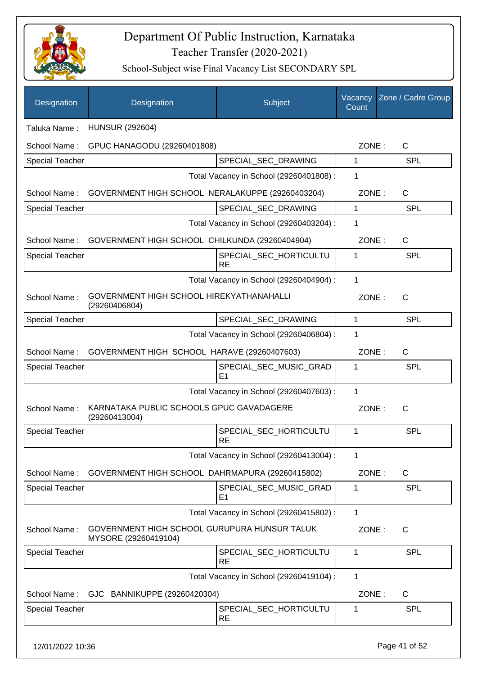

| Designation            | Designation                                                          | Subject                                  | Vacancy<br>Count | Zone / Cadre Group |
|------------------------|----------------------------------------------------------------------|------------------------------------------|------------------|--------------------|
| Taluka Name:           | <b>HUNSUR (292604)</b>                                               |                                          |                  |                    |
| School Name:           | GPUC HANAGODU (29260401808)                                          |                                          | ZONE:            | $\mathsf{C}$       |
| <b>Special Teacher</b> |                                                                      | SPECIAL_SEC_DRAWING                      | $\mathbf 1$      | <b>SPL</b>         |
|                        |                                                                      | Total Vacancy in School (29260401808) :  | 1                |                    |
|                        | School Name: GOVERNMENT HIGH SCHOOL NERALAKUPPE (29260403204)        |                                          | ZONE:            | $\mathsf{C}$       |
| <b>Special Teacher</b> |                                                                      | SPECIAL_SEC_DRAWING                      | 1                | <b>SPL</b>         |
|                        |                                                                      | Total Vacancy in School (29260403204) :  | 1                |                    |
| School Name:           | GOVERNMENT HIGH SCHOOL CHILKUNDA (29260404904)                       |                                          | ZONE:            | C                  |
| <b>Special Teacher</b> |                                                                      | SPECIAL SEC HORTICULTU<br><b>RE</b>      | 1                | <b>SPL</b>         |
|                        |                                                                      | Total Vacancy in School (29260404904) :  | 1                |                    |
| School Name:           | GOVERNMENT HIGH SCHOOL HIREKYATHANAHALLI<br>(29260406804)            |                                          | ZONE:            | $\mathsf{C}$       |
| <b>Special Teacher</b> |                                                                      | SPECIAL_SEC_DRAWING                      | $\mathbf{1}$     | <b>SPL</b>         |
|                        |                                                                      | Total Vacancy in School (29260406804) :  | 1                |                    |
| School Name:           | GOVERNMENT HIGH SCHOOL HARAVE (29260407603)                          |                                          | ZONE:            | C                  |
| <b>Special Teacher</b> |                                                                      | SPECIAL_SEC_MUSIC_GRAD<br>E1             | 1                | <b>SPL</b>         |
|                        |                                                                      | Total Vacancy in School (29260407603) :  | 1                |                    |
| School Name:           | KARNATAKA PUBLIC SCHOOLS GPUC GAVADAGERE<br>(29260413004)            |                                          | ZONE:            | $\mathsf{C}$       |
| <b>Special Teacher</b> |                                                                      | SPECIAL_SEC_HORTICULTU<br><b>RE</b>      | 1                | SPL                |
|                        |                                                                      | Total Vacancy in School (29260413004) :  | 1                |                    |
| School Name:           | GOVERNMENT HIGH SCHOOL DAHRMAPURA (29260415802)                      |                                          | ZONE:            | $\mathsf{C}$       |
| <b>Special Teacher</b> |                                                                      | SPECIAL_SEC_MUSIC_GRAD<br>E <sub>1</sub> | 1                | <b>SPL</b>         |
|                        |                                                                      | Total Vacancy in School (29260415802) :  | $\mathbf{1}$     |                    |
| School Name:           | GOVERNMENT HIGH SCHOOL GURUPURA HUNSUR TALUK<br>MYSORE (29260419104) |                                          | ZONE:            | C                  |
| <b>Special Teacher</b> |                                                                      | SPECIAL_SEC_HORTICULTU<br><b>RE</b>      | 1                | <b>SPL</b>         |
|                        |                                                                      | Total Vacancy in School (29260419104) :  | 1                |                    |
| School Name:           | GJC BANNIKUPPE (29260420304)                                         |                                          | ZONE:            | C                  |
| <b>Special Teacher</b> |                                                                      | SPECIAL_SEC_HORTICULTU<br><b>RE</b>      | 1                | <b>SPL</b>         |
| 12/01/2022 10:36       |                                                                      |                                          |                  | Page 41 of 52      |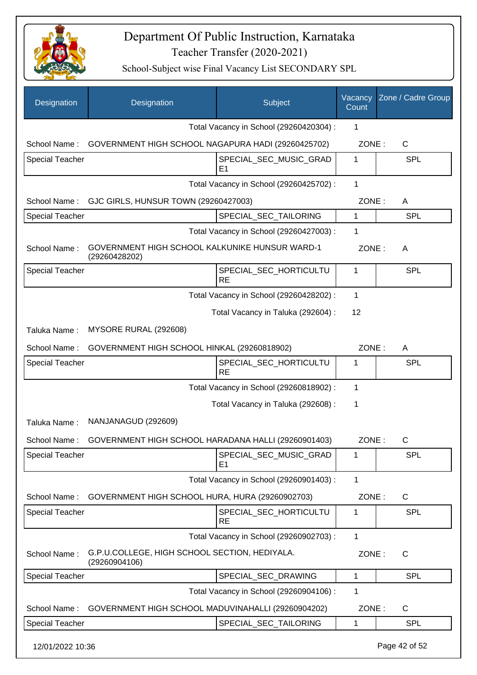

| Designation            | Designation                                                     | Subject                                  | Vacancy<br>Count | Zone / Cadre Group |
|------------------------|-----------------------------------------------------------------|------------------------------------------|------------------|--------------------|
|                        |                                                                 | Total Vacancy in School (29260420304) :  | 1                |                    |
| School Name:           | GOVERNMENT HIGH SCHOOL NAGAPURA HADI (29260425702)              |                                          | ZONE:            | $\mathsf{C}$       |
| <b>Special Teacher</b> |                                                                 | SPECIAL_SEC_MUSIC_GRAD<br>E1             | 1                | SPL                |
|                        |                                                                 | Total Vacancy in School (29260425702) :  | $\mathbf{1}$     |                    |
| School Name:           | GJC GIRLS, HUNSUR TOWN (29260427003)                            |                                          | ZONE:            | A                  |
| <b>Special Teacher</b> |                                                                 | SPECIAL_SEC_TAILORING                    | 1                | <b>SPL</b>         |
|                        |                                                                 | Total Vacancy in School (29260427003) :  | 1                |                    |
| School Name:           | GOVERNMENT HIGH SCHOOL KALKUNIKE HUNSUR WARD-1<br>(29260428202) |                                          | ZONE:            | Α                  |
| <b>Special Teacher</b> |                                                                 | SPECIAL_SEC_HORTICULTU<br><b>RE</b>      | 1                | SPL                |
|                        |                                                                 | Total Vacancy in School (29260428202) :  | 1                |                    |
|                        |                                                                 | Total Vacancy in Taluka (292604) :       | 12               |                    |
| Taluka Name:           | MYSORE RURAL (292608)                                           |                                          |                  |                    |
| School Name:           | GOVERNMENT HIGH SCHOOL HINKAL (29260818902)                     |                                          | ZONE:            | A                  |
| <b>Special Teacher</b> |                                                                 | SPECIAL_SEC_HORTICULTU<br><b>RE</b>      | 1                | SPL                |
|                        |                                                                 | Total Vacancy in School (29260818902) :  | 1                |                    |
|                        |                                                                 | Total Vacancy in Taluka (292608) :       | 1                |                    |
| Taluka Name:           | NANJANAGUD (292609)                                             |                                          |                  |                    |
| School Name : .        | GOVERNMENT HIGH SCHOOL HARADANA HALLI (29260901403)             |                                          | ZONE:            | C.                 |
| <b>Special Teacher</b> |                                                                 | SPECIAL_SEC_MUSIC_GRAD<br>E <sub>1</sub> | 1                | SPL                |
|                        |                                                                 | Total Vacancy in School (29260901403) :  | $\mathbf{1}$     |                    |
| School Name:           | GOVERNMENT HIGH SCHOOL HURA, HURA (29260902703)                 |                                          | ZONE:            | $\mathsf C$        |
| <b>Special Teacher</b> |                                                                 | SPECIAL_SEC_HORTICULTU<br><b>RE</b>      | 1                | SPL                |
|                        |                                                                 | Total Vacancy in School (29260902703) :  | 1                |                    |
| School Name:           | G.P.U.COLLEGE, HIGH SCHOOL SECTION, HEDIYALA.<br>(29260904106)  |                                          | ZONE:            | C                  |
| <b>Special Teacher</b> |                                                                 | SPECIAL_SEC_DRAWING                      | $\mathbf 1$      | SPL                |
|                        |                                                                 | Total Vacancy in School (29260904106) :  | 1                |                    |
| School Name:           | GOVERNMENT HIGH SCHOOL MADUVINAHALLI (29260904202)              |                                          | ZONE:            | $\mathsf C$        |
| <b>Special Teacher</b> |                                                                 | SPECIAL_SEC_TAILORING                    | 1                | SPL                |
| 12/01/2022 10:36       |                                                                 |                                          |                  | Page 42 of 52      |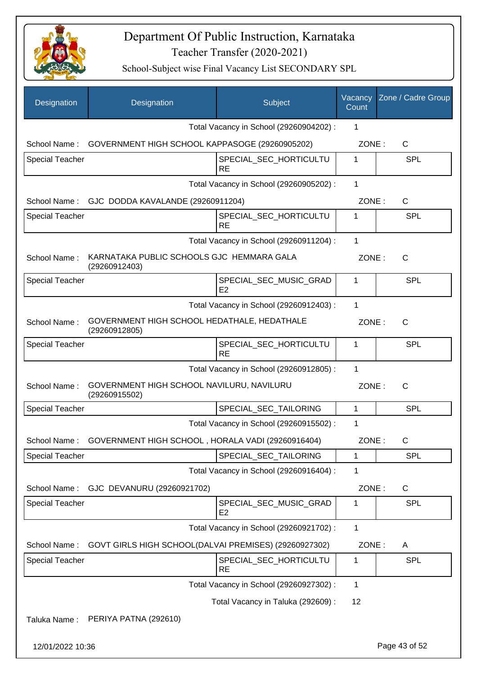

| Designation            | Designation                                                    | Subject                                  | Vacancy<br>Count | Zone / Cadre Group |
|------------------------|----------------------------------------------------------------|------------------------------------------|------------------|--------------------|
|                        |                                                                | Total Vacancy in School (29260904202) :  | 1                |                    |
| School Name:           | GOVERNMENT HIGH SCHOOL KAPPASOGE (29260905202)                 |                                          | ZONE:            | C                  |
| <b>Special Teacher</b> |                                                                | SPECIAL_SEC_HORTICULTU<br><b>RE</b>      | 1                | <b>SPL</b>         |
|                        |                                                                | Total Vacancy in School (29260905202) :  | 1                |                    |
|                        | School Name: GJC DODDA KAVALANDE (29260911204)                 |                                          | ZONE:            | C                  |
| <b>Special Teacher</b> |                                                                | SPECIAL_SEC_HORTICULTU<br><b>RE</b>      | 1                | <b>SPL</b>         |
|                        |                                                                | Total Vacancy in School (29260911204) :  | 1                |                    |
| School Name:           | KARNATAKA PUBLIC SCHOOLS GJC HEMMARA GALA<br>(29260912403)     |                                          | ZONE:            | $\mathsf{C}$       |
| <b>Special Teacher</b> |                                                                | SPECIAL SEC MUSIC GRAD<br>E2             | 1                | <b>SPL</b>         |
|                        |                                                                | Total Vacancy in School (29260912403) :  | 1                |                    |
| School Name:           | GOVERNMENT HIGH SCHOOL HEDATHALE, HEDATHALE<br>(29260912805)   |                                          | ZONE:            | $\mathsf{C}$       |
| <b>Special Teacher</b> |                                                                | SPECIAL_SEC_HORTICULTU<br><b>RE</b>      | 1                | SPL                |
|                        |                                                                | Total Vacancy in School (29260912805) :  | 1                |                    |
| School Name:           | GOVERNMENT HIGH SCHOOL NAVILURU, NAVILURU<br>(29260915502)     |                                          | ZONE:            | $\mathsf{C}$       |
| <b>Special Teacher</b> |                                                                | SPECIAL_SEC_TAILORING                    | $\mathbf{1}$     | <b>SPL</b>         |
|                        |                                                                | Total Vacancy in School (29260915502) :  | 1                |                    |
|                        | School Name: GOVERNMENT HIGH SCHOOL, HORALA VADI (29260916404) |                                          | ZONE:            | C                  |
| <b>Special Teacher</b> |                                                                | SPECIAL_SEC_TAILORING                    | 1                | <b>SPL</b>         |
|                        |                                                                | Total Vacancy in School (29260916404) :  | 1                |                    |
| School Name:           | GJC DEVANURU (29260921702)                                     |                                          | ZONE:            | C                  |
| <b>Special Teacher</b> |                                                                | SPECIAL_SEC_MUSIC_GRAD<br>E <sub>2</sub> | 1                | <b>SPL</b>         |
|                        |                                                                | Total Vacancy in School (29260921702) :  | 1                |                    |
| School Name:           | GOVT GIRLS HIGH SCHOOL(DALVAI PREMISES) (29260927302)          |                                          | ZONE:            | A                  |
| <b>Special Teacher</b> |                                                                | SPECIAL_SEC_HORTICULTU<br><b>RE</b>      | 1                | <b>SPL</b>         |
|                        |                                                                | Total Vacancy in School (29260927302) :  | 1                |                    |
|                        |                                                                | Total Vacancy in Taluka (292609):        | 12               |                    |
| Taluka Name:           | PERIYA PATNA (292610)                                          |                                          |                  |                    |
| 12/01/2022 10:36       |                                                                |                                          |                  | Page 43 of 52      |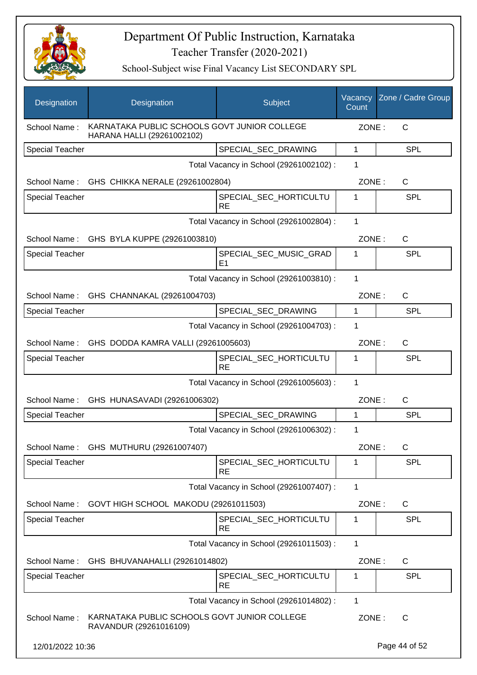

| Designation            | Designation                                                                | Subject                                 | Vacancy<br>Count | Zone / Cadre Group |
|------------------------|----------------------------------------------------------------------------|-----------------------------------------|------------------|--------------------|
| School Name:           | KARNATAKA PUBLIC SCHOOLS GOVT JUNIOR COLLEGE<br>HARANA HALLI (29261002102) |                                         | ZONE:            | C                  |
| <b>Special Teacher</b> |                                                                            | SPECIAL_SEC_DRAWING                     | $\mathbf{1}$     | <b>SPL</b>         |
|                        |                                                                            | Total Vacancy in School (29261002102) : | 1                |                    |
|                        | School Name: GHS CHIKKA NERALE (29261002804)                               |                                         | ZONE:            | $\mathsf{C}$       |
| <b>Special Teacher</b> |                                                                            | SPECIAL SEC HORTICULTU<br><b>RE</b>     | 1                | <b>SPL</b>         |
|                        |                                                                            | Total Vacancy in School (29261002804) : | 1                |                    |
|                        | School Name: GHS BYLA KUPPE (29261003810)                                  |                                         | ZONE:            | C                  |
| <b>Special Teacher</b> |                                                                            | SPECIAL SEC MUSIC GRAD<br>E1            | 1                | <b>SPL</b>         |
|                        |                                                                            | Total Vacancy in School (29261003810) : | 1                |                    |
|                        | School Name: GHS CHANNAKAL (29261004703)                                   |                                         | ZONE:            | $\mathsf{C}$       |
| <b>Special Teacher</b> |                                                                            | SPECIAL_SEC_DRAWING                     | 1                | <b>SPL</b>         |
|                        |                                                                            | Total Vacancy in School (29261004703) : | 1                |                    |
| School Name:           | GHS DODDA KAMRA VALLI (29261005603)                                        |                                         | ZONE:            | $\mathsf{C}$       |
| <b>Special Teacher</b> |                                                                            | SPECIAL_SEC_HORTICULTU<br><b>RE</b>     | 1                | <b>SPL</b>         |
|                        |                                                                            | Total Vacancy in School (29261005603) : | 1                |                    |
|                        | School Name: GHS HUNASAVADI (29261006302)                                  |                                         | ZONE:            | C                  |
| <b>Special Teacher</b> |                                                                            | SPECIAL_SEC_DRAWING                     | 1                | <b>SPL</b>         |
|                        |                                                                            | Total Vacancy in School (29261006302):  | 1                |                    |
|                        | School Name: GHS MUTHURU (29261007407)                                     |                                         | ZONE:            | C                  |
| <b>Special Teacher</b> |                                                                            | SPECIAL_SEC_HORTICULTU<br><b>RE</b>     | 1                | <b>SPL</b>         |
|                        |                                                                            | Total Vacancy in School (29261007407) : | $\mathbf{1}$     |                    |
| School Name:           | GOVT HIGH SCHOOL MAKODU (29261011503)                                      |                                         | ZONE:            | C                  |
| <b>Special Teacher</b> |                                                                            | SPECIAL_SEC_HORTICULTU<br><b>RE</b>     | 1                | <b>SPL</b>         |
|                        |                                                                            | Total Vacancy in School (29261011503) : | $\mathbf{1}$     |                    |
| School Name:           | GHS BHUVANAHALLI (29261014802)                                             |                                         | ZONE:            | $\mathsf{C}$       |
| Special Teacher        |                                                                            | SPECIAL_SEC_HORTICULTU<br><b>RE</b>     | 1                | <b>SPL</b>         |
|                        |                                                                            | Total Vacancy in School (29261014802) : | 1                |                    |
| School Name:           | KARNATAKA PUBLIC SCHOOLS GOVT JUNIOR COLLEGE<br>RAVANDUR (29261016109)     |                                         | ZONE:            | $\mathsf{C}$       |
| 12/01/2022 10:36       |                                                                            |                                         |                  | Page 44 of 52      |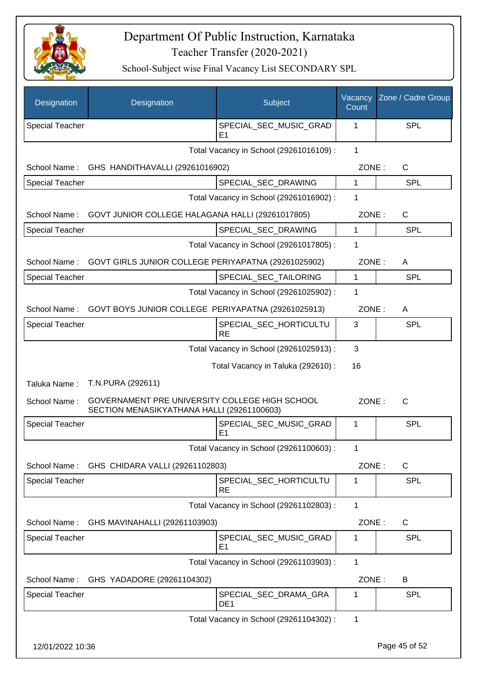

| Designation            | Designation                                                                                  | Subject                                  | Vacancy<br>Count | Zone / Cadre Group |
|------------------------|----------------------------------------------------------------------------------------------|------------------------------------------|------------------|--------------------|
| <b>Special Teacher</b> |                                                                                              | SPECIAL_SEC_MUSIC_GRAD<br>E <sub>1</sub> | 1                | <b>SPL</b>         |
|                        |                                                                                              | Total Vacancy in School (29261016109) :  | $\mathbf{1}$     |                    |
| School Name:           | GHS HANDITHAVALLI (29261016902)                                                              |                                          | ZONE:            | C                  |
| <b>Special Teacher</b> |                                                                                              | SPECIAL_SEC_DRAWING                      | 1                | <b>SPL</b>         |
|                        |                                                                                              | Total Vacancy in School (29261016902) :  | 1                |                    |
| School Name:           | GOVT JUNIOR COLLEGE HALAGANA HALLI (29261017805)                                             |                                          | ZONE:            | $\mathsf{C}$       |
| <b>Special Teacher</b> |                                                                                              | SPECIAL_SEC_DRAWING                      | 1                | <b>SPL</b>         |
|                        |                                                                                              | Total Vacancy in School (29261017805) :  | 1                |                    |
| School Name:           | GOVT GIRLS JUNIOR COLLEGE PERIYAPATNA (29261025902)                                          |                                          | ZONE:            | A                  |
| <b>Special Teacher</b> |                                                                                              | SPECIAL_SEC_TAILORING                    | 1                | <b>SPL</b>         |
|                        |                                                                                              | Total Vacancy in School (29261025902) :  | 1                |                    |
|                        | School Name: GOVT BOYS JUNIOR COLLEGE PERIYAPATNA (29261025913)                              |                                          | ZONE:            | $\mathsf{A}$       |
| <b>Special Teacher</b> |                                                                                              | SPECIAL_SEC_HORTICULTU<br><b>RE</b>      | 3                | <b>SPL</b>         |
|                        |                                                                                              | Total Vacancy in School (29261025913) :  | 3                |                    |
|                        |                                                                                              | Total Vacancy in Taluka (292610) :       | 16               |                    |
| Taluka Name:           | T.N.PURA (292611)                                                                            |                                          |                  |                    |
| School Name:           | GOVERNAMENT PRE UNIVERSITY COLLEGE HIGH SCHOOL<br>SECTION MENASIKYATHANA HALLI (29261100603) |                                          | ZONE:            | $\mathsf{C}$       |
| <b>Special Teacher</b> |                                                                                              | SPECIAL_SEC_MUSIC_GRAD<br>E1             | 1                | SPL                |
|                        |                                                                                              | Total Vacancy in School (29261100603) :  | 1                |                    |
| School Name:           | GHS CHIDARA VALLI (29261102803)                                                              |                                          | ZONE:            | $\mathsf{C}$       |
| <b>Special Teacher</b> |                                                                                              | SPECIAL_SEC_HORTICULTU<br><b>RE</b>      | 1                | <b>SPL</b>         |
|                        |                                                                                              | Total Vacancy in School (29261102803) :  | 1                |                    |
| School Name:           | GHS MAVINAHALLI (29261103903)                                                                |                                          | ZONE:            | C                  |
| Special Teacher        |                                                                                              | SPECIAL SEC MUSIC GRAD<br>E <sub>1</sub> | 1                | <b>SPL</b>         |
|                        |                                                                                              | Total Vacancy in School (29261103903) :  | 1                |                    |
| School Name:           | GHS YADADORE (29261104302)                                                                   |                                          | ZONE:            | B                  |
| Special Teacher        |                                                                                              | SPECIAL_SEC_DRAMA_GRA<br>DE <sub>1</sub> | 1                | SPL                |
|                        |                                                                                              | Total Vacancy in School (29261104302) :  | 1                |                    |
| 12/01/2022 10:36       |                                                                                              |                                          |                  | Page 45 of 52      |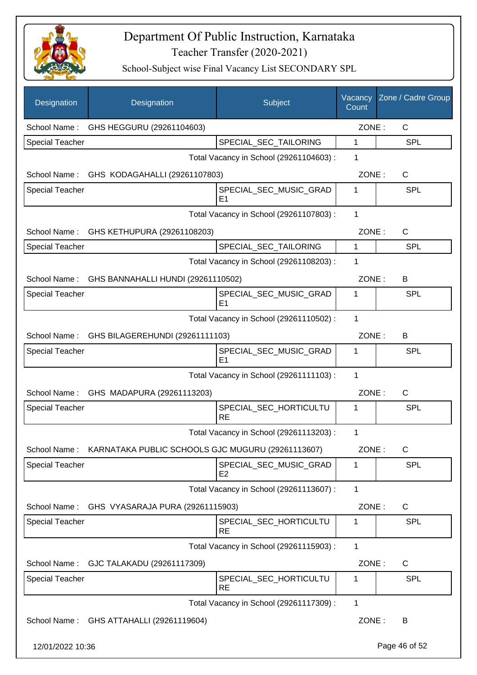

| Designation            | Designation                                       | Subject                                  | Vacancy<br>Count | Zone / Cadre Group |
|------------------------|---------------------------------------------------|------------------------------------------|------------------|--------------------|
| School Name:           | GHS HEGGURU (29261104603)                         |                                          | ZONE:            | C                  |
| <b>Special Teacher</b> |                                                   | SPECIAL_SEC_TAILORING                    | 1                | SPL                |
|                        |                                                   | Total Vacancy in School (29261104603) :  | 1                |                    |
|                        | School Name: GHS KODAGAHALLI (29261107803)        |                                          | ZONE:            | C                  |
| <b>Special Teacher</b> |                                                   | SPECIAL_SEC_MUSIC_GRAD<br>E <sub>1</sub> | 1                | <b>SPL</b>         |
|                        |                                                   | Total Vacancy in School (29261107803) :  | 1                |                    |
| School Name:           | GHS KETHUPURA (29261108203)                       |                                          | ZONE:            | C                  |
| <b>Special Teacher</b> |                                                   | SPECIAL_SEC_TAILORING                    | 1                | <b>SPL</b>         |
|                        |                                                   | Total Vacancy in School (29261108203) :  | 1                |                    |
|                        | School Name: GHS BANNAHALLI HUNDI (29261110502)   |                                          | ZONE:            | B                  |
| <b>Special Teacher</b> |                                                   | SPECIAL_SEC_MUSIC_GRAD<br>E <sub>1</sub> | $\mathbf{1}$     | SPL                |
|                        |                                                   | Total Vacancy in School (29261110502) :  | 1                |                    |
|                        | School Name: GHS BILAGEREHUNDI (29261111103)      |                                          | ZONE:            | B                  |
| <b>Special Teacher</b> |                                                   | SPECIAL_SEC_MUSIC_GRAD<br>E <sub>1</sub> | 1                | SPL                |
|                        |                                                   | Total Vacancy in School (29261111103) :  | 1                |                    |
|                        | School Name: GHS MADAPURA (29261113203)           |                                          | ZONE:            | C                  |
| <b>Special Teacher</b> |                                                   | SPECIAL_SEC_HORTICULTU<br><b>RE</b>      | 1                | SPL                |
|                        |                                                   | Total Vacancy in School (29261113203) :  | 1                |                    |
| School Name:           | KARNATAKA PUBLIC SCHOOLS GJC MUGURU (29261113607) |                                          | ZONE:            | C                  |
| Special Teacher        |                                                   | SPECIAL_SEC_MUSIC_GRAD<br>E2             | 1                | SPL                |
|                        |                                                   | Total Vacancy in School (29261113607) :  | 1                |                    |
| School Name:           | GHS VYASARAJA PURA (29261115903)                  |                                          | ZONE:            | C                  |
| <b>Special Teacher</b> |                                                   | SPECIAL_SEC_HORTICULTU<br><b>RE</b>      | 1                | SPL                |
|                        |                                                   | Total Vacancy in School (29261115903) :  | 1                |                    |
| School Name:           | GJC TALAKADU (29261117309)                        |                                          | ZONE:            | C                  |
| <b>Special Teacher</b> |                                                   | SPECIAL_SEC_HORTICULTU<br><b>RE</b>      | 1                | SPL                |
|                        |                                                   | Total Vacancy in School (29261117309) :  | $\mathbf{1}$     |                    |
| School Name:           | GHS ATTAHALLI (29261119604)                       |                                          | ZONE:            | B                  |
| 12/01/2022 10:36       |                                                   |                                          |                  | Page 46 of 52      |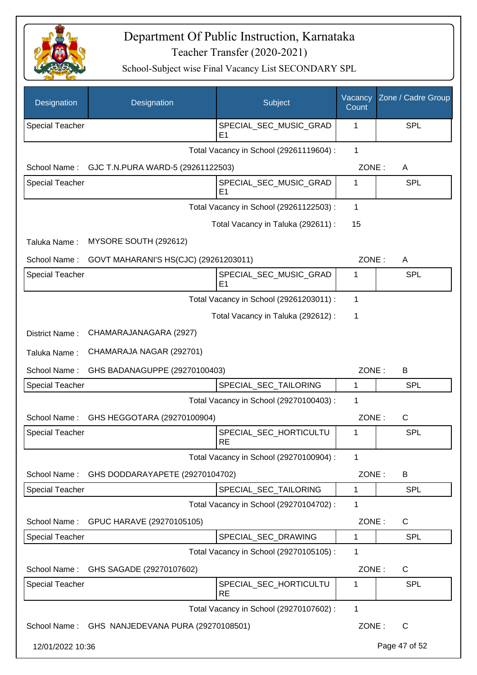

| Designation            | Designation                                     | Subject                                  | Vacancy<br>Count | Zone / Cadre Group |
|------------------------|-------------------------------------------------|------------------------------------------|------------------|--------------------|
| <b>Special Teacher</b> |                                                 | SPECIAL_SEC_MUSIC_GRAD<br>E <sub>1</sub> | 1                | <b>SPL</b>         |
|                        |                                                 | Total Vacancy in School (29261119604) :  | 1                |                    |
| School Name:           | GJC T.N.PURA WARD-5 (29261122503)               |                                          | ZONE:            | A                  |
| Special Teacher        |                                                 | SPECIAL_SEC_MUSIC_GRAD<br>E1             | 1                | <b>SPL</b>         |
|                        |                                                 | Total Vacancy in School (29261122503) :  | $\mathbf{1}$     |                    |
|                        |                                                 | Total Vacancy in Taluka (292611) :       | 15               |                    |
| Taluka Name:           | MYSORE SOUTH (292612)                           |                                          |                  |                    |
| School Name:           | GOVT MAHARANI'S HS(CJC) (29261203011)           |                                          | ZONE:            | A                  |
| Special Teacher        |                                                 | SPECIAL_SEC_MUSIC_GRAD<br>E <sub>1</sub> | 1                | <b>SPL</b>         |
|                        |                                                 | Total Vacancy in School (29261203011) :  | $\mathbf 1$      |                    |
|                        |                                                 | Total Vacancy in Taluka (292612) :       | 1                |                    |
| District Name:         | CHAMARAJANAGARA (2927)                          |                                          |                  |                    |
| Taluka Name:           | CHAMARAJA NAGAR (292701)                        |                                          |                  |                    |
| School Name:           | GHS BADANAGUPPE (29270100403)                   |                                          | ZONE:            | B                  |
| <b>Special Teacher</b> |                                                 | SPECIAL_SEC_TAILORING                    | $\mathbf{1}$     | <b>SPL</b>         |
|                        |                                                 | Total Vacancy in School (29270100403) :  | 1                |                    |
| School Name:           | GHS HEGGOTARA (29270100904)                     |                                          | ZONE:            | C                  |
| <b>Special Teacher</b> |                                                 | SPECIAL_SEC_HORTICULTU<br><b>RE</b>      | 1                | SPL                |
|                        |                                                 | Total Vacancy in School (29270100904) :  | 1                |                    |
| School Name:           | GHS DODDARAYAPETE (29270104702)                 |                                          | ZONE:            | B                  |
| Special Teacher        |                                                 | SPECIAL_SEC_TAILORING                    | $\mathbf 1$      | <b>SPL</b>         |
|                        |                                                 | Total Vacancy in School (29270104702) :  | 1                |                    |
| School Name:           | GPUC HARAVE (29270105105)                       |                                          | ZONE:            | C                  |
| Special Teacher        |                                                 | SPECIAL_SEC_DRAWING                      | 1                | <b>SPL</b>         |
|                        |                                                 | Total Vacancy in School (29270105105) :  | 1                |                    |
| School Name:           | GHS SAGADE (29270107602)                        |                                          | ZONE:            | $\mathsf{C}$       |
| <b>Special Teacher</b> |                                                 | SPECIAL_SEC_HORTICULTU<br><b>RE</b>      | 1                | <b>SPL</b>         |
|                        |                                                 | Total Vacancy in School (29270107602) :  | 1                |                    |
|                        | School Name: GHS NANJEDEVANA PURA (29270108501) |                                          | ZONE:            | $\mathsf{C}$       |
| 12/01/2022 10:36       |                                                 |                                          |                  | Page 47 of 52      |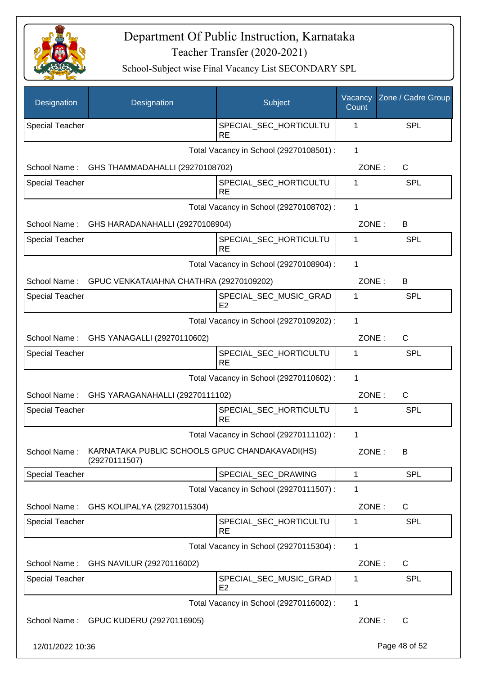

| Designation            | Designation                                                     | Subject                                  | Vacancy<br>Count | Zone / Cadre Group |
|------------------------|-----------------------------------------------------------------|------------------------------------------|------------------|--------------------|
| <b>Special Teacher</b> |                                                                 | SPECIAL_SEC_HORTICULTU<br>RE             | 1                | SPL                |
|                        |                                                                 | Total Vacancy in School (29270108501) :  | $\mathbf{1}$     |                    |
| School Name:           | GHS THAMMADAHALLI (29270108702)                                 |                                          | ZONE:            | C                  |
| <b>Special Teacher</b> |                                                                 | SPECIAL SEC HORTICULTU<br><b>RE</b>      | 1                | SPL                |
|                        |                                                                 | Total Vacancy in School (29270108702) :  | 1                |                    |
| School Name:           | GHS HARADANAHALLI (29270108904)                                 |                                          | ZONE:            | B                  |
| <b>Special Teacher</b> |                                                                 | SPECIAL_SEC_HORTICULTU<br><b>RE</b>      | 1                | <b>SPL</b>         |
|                        |                                                                 | Total Vacancy in School (29270108904) :  | 1                |                    |
|                        | School Name: GPUC VENKATAIAHNA CHATHRA (29270109202)            |                                          | ZONE:            | B                  |
| <b>Special Teacher</b> |                                                                 | SPECIAL_SEC_MUSIC_GRAD<br>E <sub>2</sub> | 1                | <b>SPL</b>         |
|                        |                                                                 | Total Vacancy in School (29270109202) :  | 1                |                    |
|                        | School Name: GHS YANAGALLI (29270110602)                        |                                          | ZONE:            | C                  |
| <b>Special Teacher</b> |                                                                 | SPECIAL_SEC_HORTICULTU<br><b>RE</b>      | 1                | SPL                |
|                        |                                                                 | Total Vacancy in School (29270110602) :  | 1                |                    |
|                        | School Name: GHS YARAGANAHALLI (29270111102)                    |                                          | ZONE:            | C                  |
| <b>Special Teacher</b> |                                                                 | SPECIAL_SEC_HORTICULTU<br><b>RE</b>      | 1                | SPL                |
|                        |                                                                 | Total Vacancy in School (29270111102) :  | 1                |                    |
| School Name:           | KARNATAKA PUBLIC SCHOOLS GPUC CHANDAKAVADI(HS)<br>(29270111507) |                                          | ZONE:            | В                  |
| <b>Special Teacher</b> |                                                                 | SPECIAL_SEC_DRAWING                      | 1                | <b>SPL</b>         |
|                        |                                                                 | Total Vacancy in School (29270111507) :  | 1                |                    |
| School Name:           | GHS KOLIPALYA (29270115304)                                     |                                          | ZONE:            | $\mathsf{C}$       |
| Special Teacher        |                                                                 | SPECIAL_SEC_HORTICULTU<br><b>RE</b>      | 1                | <b>SPL</b>         |
|                        |                                                                 | Total Vacancy in School (29270115304) :  | $\mathbf{1}$     |                    |
| School Name:           | GHS NAVILUR (29270116002)                                       |                                          | ZONE:            | $\mathsf{C}$       |
| <b>Special Teacher</b> |                                                                 | SPECIAL_SEC_MUSIC_GRAD<br>E <sub>2</sub> | 1                | <b>SPL</b>         |
|                        |                                                                 | Total Vacancy in School (29270116002) :  | 1                |                    |
| School Name:           | GPUC KUDERU (29270116905)                                       |                                          | ZONE:            | $\mathsf{C}$       |
| 12/01/2022 10:36       |                                                                 |                                          |                  | Page 48 of 52      |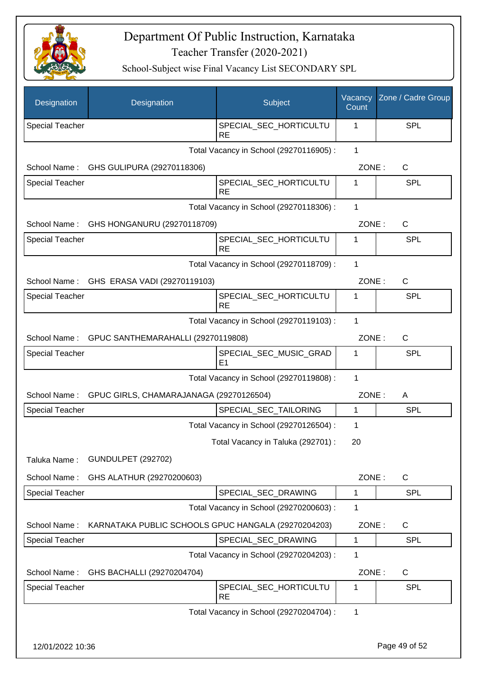

| Designation            | Designation                                         | Subject                                  | Vacancy<br>Count | Zone / Cadre Group |
|------------------------|-----------------------------------------------------|------------------------------------------|------------------|--------------------|
| <b>Special Teacher</b> |                                                     | SPECIAL_SEC_HORTICULTU<br><b>RE</b>      | 1                | SPL                |
|                        |                                                     | Total Vacancy in School (29270116905) :  | 1                |                    |
| School Name:           | GHS GULIPURA (29270118306)                          |                                          | ZONE:            | C                  |
| Special Teacher        |                                                     | SPECIAL_SEC_HORTICULTU<br><b>RE</b>      | 1                | SPL                |
|                        |                                                     | Total Vacancy in School (29270118306) :  | 1                |                    |
| School Name:           | GHS HONGANURU (29270118709)                         |                                          | ZONE:            | $\mathsf{C}$       |
| <b>Special Teacher</b> |                                                     | SPECIAL_SEC_HORTICULTU<br><b>RE</b>      | 1                | <b>SPL</b>         |
|                        |                                                     | Total Vacancy in School (29270118709) :  | 1                |                    |
| School Name:           | GHS ERASA VADI (29270119103)                        |                                          | ZONE:            | C                  |
| <b>Special Teacher</b> |                                                     | SPECIAL_SEC_HORTICULTU<br><b>RE</b>      | 1                | SPL                |
|                        |                                                     | Total Vacancy in School (29270119103) :  | 1                |                    |
| School Name:           | GPUC SANTHEMARAHALLI (29270119808)                  |                                          | ZONE:            | $\mathsf{C}$       |
| <b>Special Teacher</b> |                                                     | SPECIAL_SEC_MUSIC_GRAD<br>E <sub>1</sub> | 1                | SPL                |
|                        |                                                     | Total Vacancy in School (29270119808) :  | 1                |                    |
| School Name:           | GPUC GIRLS, CHAMARAJANAGA (29270126504)             |                                          | ZONE:            | A                  |
| <b>Special Teacher</b> |                                                     | SPECIAL_SEC_TAILORING                    | $\mathbf{1}$     | SPL                |
|                        |                                                     | Total Vacancy in School (29270126504) :  | 1                |                    |
|                        |                                                     | Total Vacancy in Taluka (292701) :       | 20               |                    |
| Taluka Name:           | <b>GUNDULPET (292702)</b>                           |                                          |                  |                    |
| School Name:           | GHS ALATHUR (29270200603)                           |                                          | ZONE:            | $\mathsf{C}$       |
| Special Teacher        |                                                     | SPECIAL_SEC_DRAWING                      | 1                | <b>SPL</b>         |
|                        |                                                     | Total Vacancy in School (29270200603) :  | 1                |                    |
| School Name:           | KARNATAKA PUBLIC SCHOOLS GPUC HANGALA (29270204203) |                                          | ZONE:            | C                  |
| <b>Special Teacher</b> |                                                     | SPECIAL_SEC_DRAWING                      | $\mathbf{1}$     | <b>SPL</b>         |
|                        |                                                     | Total Vacancy in School (29270204203) :  | 1                |                    |
| School Name:           | GHS BACHALLI (29270204704)                          |                                          | ZONE:            | C                  |
| Special Teacher        |                                                     | SPECIAL_SEC_HORTICULTU<br><b>RE</b>      | 1                | <b>SPL</b>         |
|                        |                                                     | Total Vacancy in School (29270204704) :  | 1                |                    |
| 12/01/2022 10:36       |                                                     |                                          |                  | Page 49 of 52      |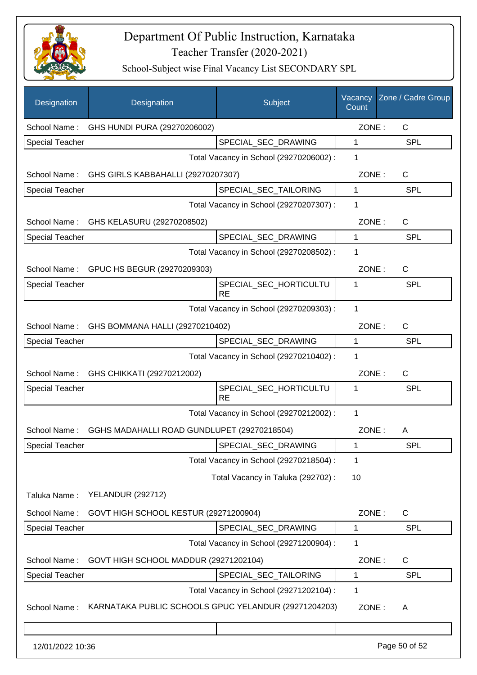

| Designation            | Designation                                          | Subject                                 | Vacancy<br>Count | Zone / Cadre Group |
|------------------------|------------------------------------------------------|-----------------------------------------|------------------|--------------------|
| School Name:           | GHS HUNDI PURA (29270206002)                         |                                         | ZONE:            | C                  |
| <b>Special Teacher</b> |                                                      | SPECIAL_SEC_DRAWING                     | 1                | <b>SPL</b>         |
|                        |                                                      | Total Vacancy in School (29270206002) : | 1                |                    |
| School Name:           | GHS GIRLS KABBAHALLI (29270207307)                   |                                         | ZONE:            | $\mathsf{C}$       |
| <b>Special Teacher</b> |                                                      | SPECIAL_SEC_TAILORING                   | 1                | <b>SPL</b>         |
|                        |                                                      | Total Vacancy in School (29270207307) : | 1                |                    |
| School Name:           | GHS KELASURU (29270208502)                           |                                         | ZONE:            | $\mathsf{C}$       |
| Special Teacher        |                                                      | SPECIAL_SEC_DRAWING                     | 1                | <b>SPL</b>         |
|                        |                                                      | Total Vacancy in School (29270208502) : | 1                |                    |
| School Name:           | GPUC HS BEGUR (29270209303)                          |                                         | ZONE:            | $\mathsf{C}$       |
| <b>Special Teacher</b> |                                                      | SPECIAL_SEC_HORTICULTU<br><b>RE</b>     | 1                | <b>SPL</b>         |
|                        |                                                      | Total Vacancy in School (29270209303) : | 1                |                    |
| School Name:           | GHS BOMMANA HALLI (29270210402)                      |                                         | ZONE:            | C                  |
| <b>Special Teacher</b> |                                                      | SPECIAL_SEC_DRAWING                     | $\mathbf{1}$     | <b>SPL</b>         |
|                        |                                                      | Total Vacancy in School (29270210402) : | 1                |                    |
| School Name:           | GHS CHIKKATI (29270212002)                           |                                         | ZONE:            | $\mathsf{C}$       |
| <b>Special Teacher</b> |                                                      | SPECIAL_SEC_HORTICULTU<br><b>RE</b>     | 1                | <b>SPL</b>         |
|                        |                                                      | Total Vacancy in School (29270212002) : | 1                |                    |
| School Name:           | GGHS MADAHALLI ROAD GUNDLUPET (29270218504)          |                                         | ZONE:            | A                  |
| <b>Special Teacher</b> |                                                      | SPECIAL_SEC_DRAWING                     | 1                | <b>SPL</b>         |
|                        |                                                      | Total Vacancy in School (29270218504) : | 1                |                    |
|                        |                                                      | Total Vacancy in Taluka (292702) :      | 10               |                    |
| Taluka Name:           | <b>YELANDUR (292712)</b>                             |                                         |                  |                    |
| School Name:           | GOVT HIGH SCHOOL KESTUR (29271200904)                |                                         | ZONE:            | C                  |
| <b>Special Teacher</b> |                                                      | SPECIAL_SEC_DRAWING                     | 1                | <b>SPL</b>         |
|                        |                                                      | Total Vacancy in School (29271200904) : | 1                |                    |
| School Name:           | GOVT HIGH SCHOOL MADDUR (29271202104)                |                                         | ZONE:            | C                  |
| Special Teacher        |                                                      | SPECIAL_SEC_TAILORING                   | 1                | <b>SPL</b>         |
|                        |                                                      | Total Vacancy in School (29271202104) : | 1                |                    |
| School Name:           | KARNATAKA PUBLIC SCHOOLS GPUC YELANDUR (29271204203) |                                         | ZONE:            | A                  |
|                        |                                                      |                                         |                  |                    |
| 12/01/2022 10:36       |                                                      |                                         |                  | Page 50 of 52      |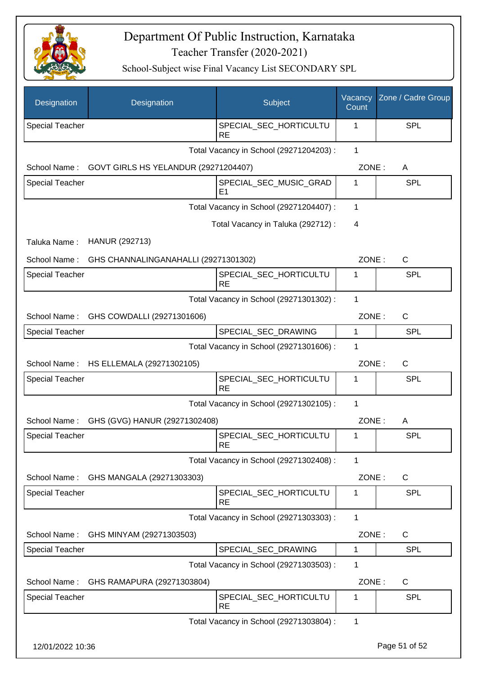

| Designation            | Designation                            | Subject                                  | Vacancy<br>Count | Zone / Cadre Group |
|------------------------|----------------------------------------|------------------------------------------|------------------|--------------------|
| <b>Special Teacher</b> |                                        | SPECIAL_SEC_HORTICULTU<br><b>RE</b>      | 1                | <b>SPL</b>         |
|                        |                                        | Total Vacancy in School (29271204203) :  | $\mathbf{1}$     |                    |
| School Name:           | GOVT GIRLS HS YELANDUR (29271204407)   |                                          | ZONE:            | A                  |
| <b>Special Teacher</b> |                                        | SPECIAL SEC MUSIC GRAD<br>E <sub>1</sub> | 1                | SPL                |
|                        |                                        | Total Vacancy in School (29271204407) :  | 1                |                    |
|                        |                                        | Total Vacancy in Taluka (292712) :       | 4                |                    |
| Taluka Name:           | HANUR (292713)                         |                                          |                  |                    |
| School Name:           | GHS CHANNALINGANAHALLI (29271301302)   |                                          | ZONE:            | $\mathsf{C}$       |
| <b>Special Teacher</b> |                                        | SPECIAL SEC HORTICULTU<br><b>RE</b>      | 1                | <b>SPL</b>         |
|                        |                                        | Total Vacancy in School (29271301302) :  | 1                |                    |
| School Name:           | GHS COWDALLI (29271301606)             |                                          | ZONE:            | $\mathsf{C}$       |
| <b>Special Teacher</b> |                                        | SPECIAL_SEC_DRAWING                      | 1                | SPL                |
|                        |                                        | Total Vacancy in School (29271301606) :  | 1                |                    |
|                        | School Name: HS ELLEMALA (29271302105) |                                          | ZONE:            | $\mathsf{C}$       |
| <b>Special Teacher</b> |                                        | SPECIAL_SEC_HORTICULTU<br><b>RE</b>      | 1                | <b>SPL</b>         |
|                        |                                        | Total Vacancy in School (29271302105) :  | 1                |                    |
| School Name:           | GHS (GVG) HANUR (29271302408)          |                                          | ZONE:            | A                  |
| <b>Special Teacher</b> |                                        | SPECIAL_SEC_HORTICULTU<br><b>RE</b>      | 1                | <b>SPL</b>         |
|                        |                                        | Total Vacancy in School (29271302408) :  | 1                |                    |
| School Name:           | GHS MANGALA (29271303303)              |                                          | ZONE:            | C                  |
| <b>Special Teacher</b> |                                        | SPECIAL_SEC_HORTICULTU<br><b>RE</b>      | 1                | <b>SPL</b>         |
|                        |                                        | Total Vacancy in School (29271303303) :  | 1                |                    |
| School Name:           | GHS MINYAM (29271303503)               |                                          | ZONE:            | C                  |
| <b>Special Teacher</b> |                                        | SPECIAL_SEC_DRAWING                      | $\mathbf{1}$     | <b>SPL</b>         |
|                        |                                        | Total Vacancy in School (29271303503) :  | 1                |                    |
| School Name:           | GHS RAMAPURA (29271303804)             |                                          | ZONE:            | C                  |
| <b>Special Teacher</b> |                                        | SPECIAL_SEC_HORTICULTU<br><b>RE</b>      | 1                | <b>SPL</b>         |
|                        |                                        | Total Vacancy in School (29271303804) :  | 1                |                    |
| 12/01/2022 10:36       |                                        |                                          |                  | Page 51 of 52      |